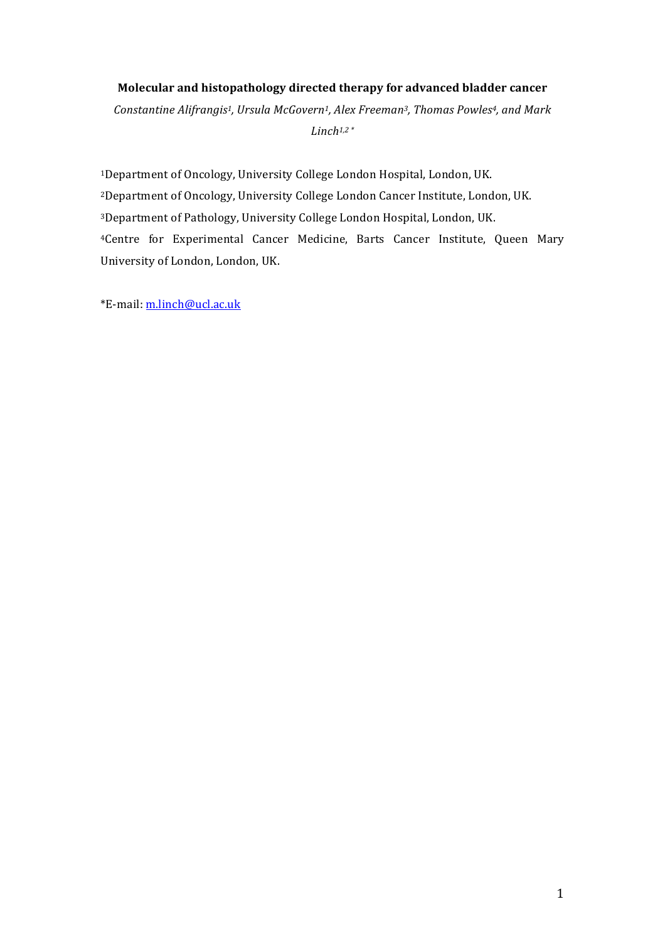# **Molecular and histopathology directed therapy for advanced bladder cancer**

Constantine Alifrangis<sup>1</sup>, Ursula McGovern<sup>1</sup>, Alex Freeman<sup>3</sup>, Thomas Powles<sup>4</sup>, and Mark  $Linch<sup>1,2</sup>$ 

<sup>1</sup>Department of Oncology, University College London Hospital, London, UK. <sup>2</sup>Department of Oncology, University College London Cancer Institute, London, UK. <sup>3</sup>Department of Pathology, University College London Hospital, London, UK. <sup>4</sup>Centre for Experimental Cancer Medicine, Barts Cancer Institute, Queen Mary University of London, London, UK.

\*E-mail: m.linch@ucl.ac.uk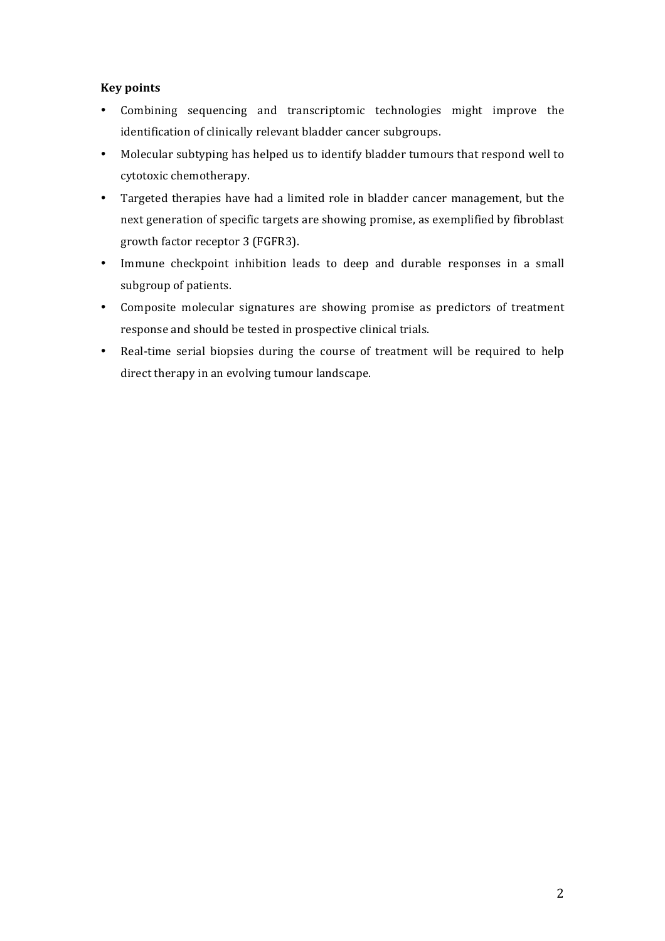# **Key points**

- Combining sequencing and transcriptomic technologies might improve the identification of clinically relevant bladder cancer subgroups.
- Molecular subtyping has helped us to identify bladder tumours that respond well to cytotoxic chemotherapy.
- Targeted therapies have had a limited role in bladder cancer management, but the next generation of specific targets are showing promise, as exemplified by fibroblast growth factor receptor 3 (FGFR3).
- Immune checkpoint inhibition leads to deep and durable responses in a small subgroup of patients.
- Composite molecular signatures are showing promise as predictors of treatment response and should be tested in prospective clinical trials.
- Real-time serial biopsies during the course of treatment will be required to help direct therapy in an evolving tumour landscape.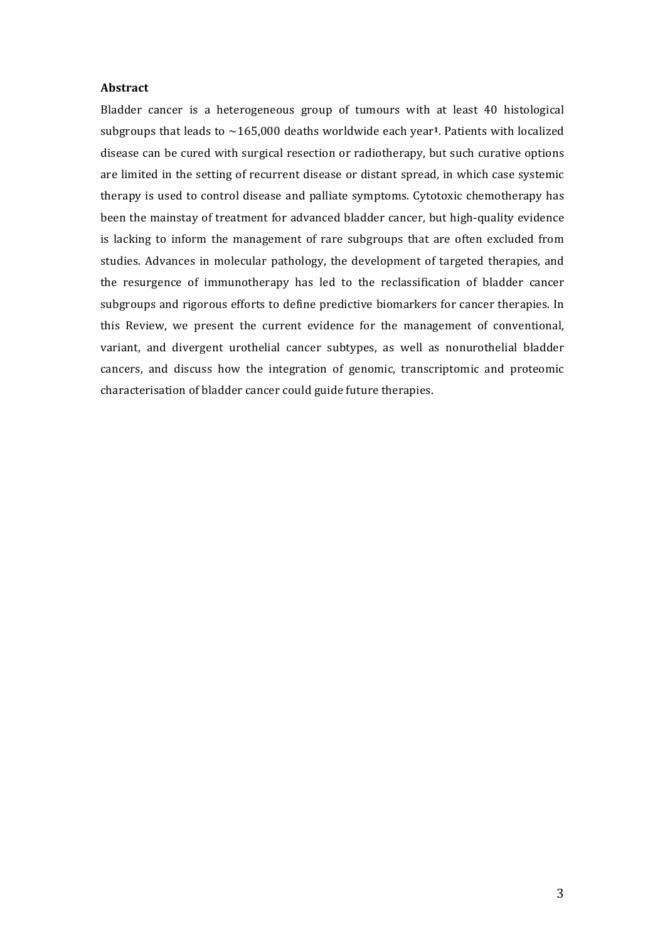#### **Abstract**

Bladder cancer is a heterogeneous group of tumours with at least 40 histological subgroups that leads to  $\sim$ 165,000 deaths worldwide each year<sup>1</sup>. Patients with localized disease can be cured with surgical resection or radiotherapy, but such curative options are limited in the setting of recurrent disease or distant spread, in which case systemic therapy is used to control disease and palliate symptoms. Cytotoxic chemotherapy has been the mainstay of treatment for advanced bladder cancer, but high-quality evidence is lacking to inform the management of rare subgroups that are often excluded from studies. Advances in molecular pathology, the development of targeted therapies, and the resurgence of immunotherapy has led to the reclassification of bladder cancer subgroups and rigorous efforts to define predictive biomarkers for cancer therapies. In this Review, we present the current evidence for the management of conventional, variant, and divergent urothelial cancer subtypes, as well as nonurothelial bladder cancers, and discuss how the integration of genomic, transcriptomic and proteomic characterisation of bladder cancer could guide future therapies.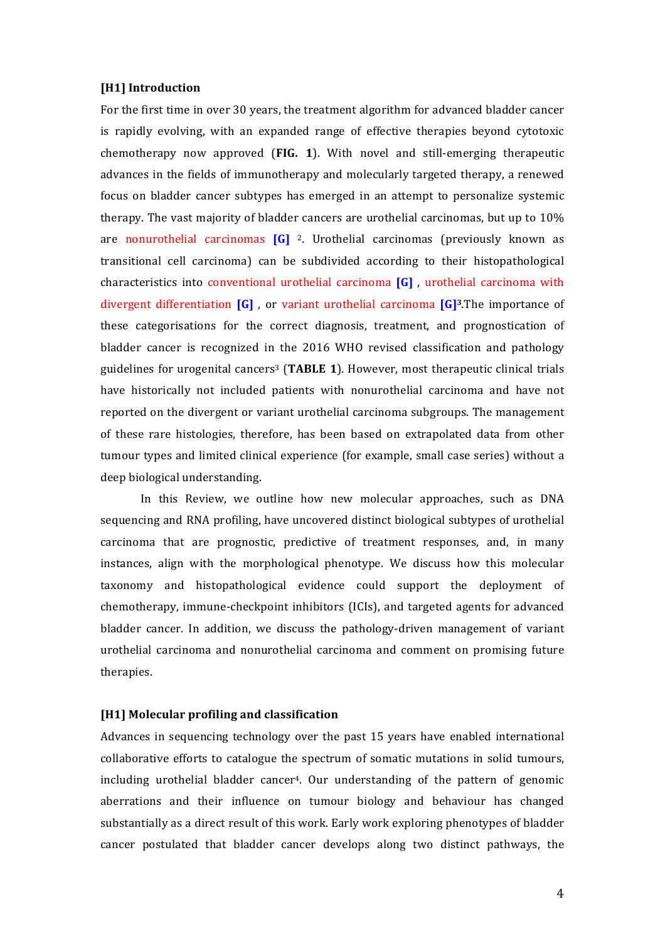#### **[H1] Introduction**

For the first time in over 30 years, the treatment algorithm for advanced bladder cancer is rapidly evolving, with an expanded range of effective therapies beyond cytotoxic chemotherapy now approved (**FIG. 1**). With novel and still-emerging therapeutic advances in the fields of immunotherapy and molecularly targeted therapy, a renewed focus on bladder cancer subtypes has emerged in an attempt to personalize systemic therapy. The vast majority of bladder cancers are urothelial carcinomas, but up to  $10\%$ are nonurothelial carcinomas [G]<sup>2</sup>. Urothelial carcinomas (previously known as transitional cell carcinoma) can be subdivided according to their histopathological characteristics into conventional urothelial carcinoma [G], urothelial carcinoma with divergent differentiation  $\begin{bmatrix} G \end{bmatrix}$ , or variant urothelial carcinoma  $\begin{bmatrix} G \end{bmatrix}^3$ . The importance of these categorisations for the correct diagnosis, treatment, and prognostication of bladder cancer is recognized in the 2016 WHO revised classification and pathology guidelines for urogenital cancers<sup>3</sup> (TABLE 1). However, most therapeutic clinical trials have historically not included patients with nonurothelial carcinoma and have not reported on the divergent or variant urothelial carcinoma subgroups. The management of these rare histologies, therefore, has been based on extrapolated data from other tumour types and limited clinical experience (for example, small case series) without a deep biological understanding.

In this Review, we outline how new molecular approaches, such as DNA sequencing and RNA profiling, have uncovered distinct biological subtypes of urothelial carcinoma that are prognostic, predictive of treatment responses, and, in many instances, align with the morphological phenotype. We discuss how this molecular taxonomy and histopathological evidence could support the deployment of chemotherapy, immune-checkpoint inhibitors (ICIs), and targeted agents for advanced bladder cancer. In addition, we discuss the pathology-driven management of variant urothelial carcinoma and nonurothelial carcinoma and comment on promising future therapies.

## [H1] Molecular profiling and classification

Advances in sequencing technology over the past 15 years have enabled international collaborative efforts to catalogue the spectrum of somatic mutations in solid tumours, including urothelial bladder cancer<sup>4</sup>. Our understanding of the pattern of genomic aberrations and their influence on tumour biology and behaviour has changed substantially as a direct result of this work. Early work exploring phenotypes of bladder cancer postulated that bladder cancer develops along two distinct pathways, the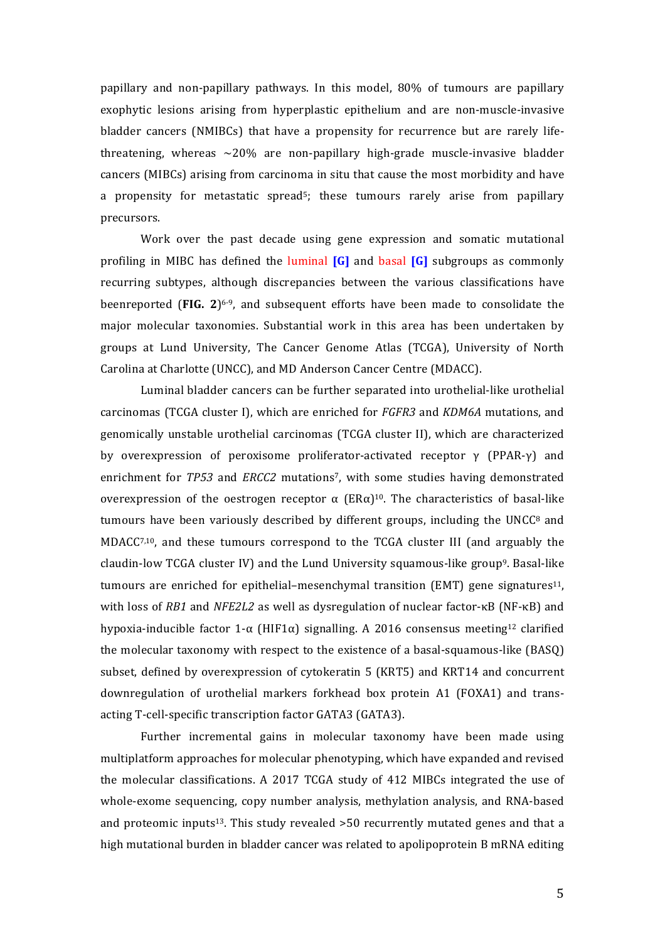papillary and non-papillary pathways. In this model, 80% of tumours are papillary exophytic lesions arising from hyperplastic epithelium and are non-muscle-invasive bladder cancers (NMIBCs) that have a propensity for recurrence but are rarely lifethreatening, whereas  $\sim$ 20% are non-papillary high-grade muscle-invasive bladder cancers (MIBCs) arising from carcinoma in situ that cause the most morbidity and have a propensity for metastatic spread<sup>5</sup>; these tumours rarely arise from papillary precursors.

Work over the past decade using gene expression and somatic mutational profiling in MIBC has defined the luminal **[G]** and basal **[G]** subgroups as commonly recurring subtypes, although discrepancies between the various classifications have beenreported **(FIG.** 2)<sup>6-9</sup>, and subsequent efforts have been made to consolidate the major molecular taxonomies. Substantial work in this area has been undertaken by groups at Lund University, The Cancer Genome Atlas (TCGA), University of North Carolina at Charlotte (UNCC), and MD Anderson Cancer Centre (MDACC).

Luminal bladder cancers can be further separated into urothelial-like urothelial carcinomas (TCGA cluster I), which are enriched for *FGFR3* and *KDM6A* mutations, and genomically unstable urothelial carcinomas (TCGA cluster II), which are characterized by overexpression of peroxisome proliferator-activated receptor  $\gamma$  (PPAR- $\gamma$ ) and enrichment for *TP53* and *ERCC2* mutations<sup>7</sup>, with some studies having demonstrated overexpression of the oestrogen receptor α  $(ERα)^{10}$ . The characteristics of basal-like tumours have been variously described by different groups, including the UNCC $^8$  and  $MDACC<sub>7,10</sub>$ , and these tumours correspond to the TCGA cluster III (and arguably the claudin-low TCGA cluster IV) and the Lund University squamous-like group<sup>9</sup>. Basal-like tumours are enriched for epithelial-mesenchymal transition (EMT) gene signatures<sup>11</sup>, with loss of *RB1* and *NFE2L2* as well as dysregulation of nuclear factor-κB (NF-κB) and hypoxia-inducible factor  $1-\alpha$  (HIF1 $\alpha$ ) signalling. A 2016 consensus meeting<sup>12</sup> clarified the molecular taxonomy with respect to the existence of a basal-squamous-like (BASQ) subset, defined by overexpression of cytokeratin 5 (KRT5) and KRT14 and concurrent downregulation of urothelial markers forkhead box protein A1 (FOXA1) and transacting T-cell-specific transcription factor GATA3 (GATA3).

Further incremental gains in molecular taxonomy have been made using multiplatform approaches for molecular phenotyping, which have expanded and revised the molecular classifications. A 2017 TCGA study of 412 MIBCs integrated the use of whole-exome sequencing, copy number analysis, methylation analysis, and RNA-based and proteomic inputs<sup>13</sup>. This study revealed  $>50$  recurrently mutated genes and that a high mutational burden in bladder cancer was related to apolipoprotein B mRNA editing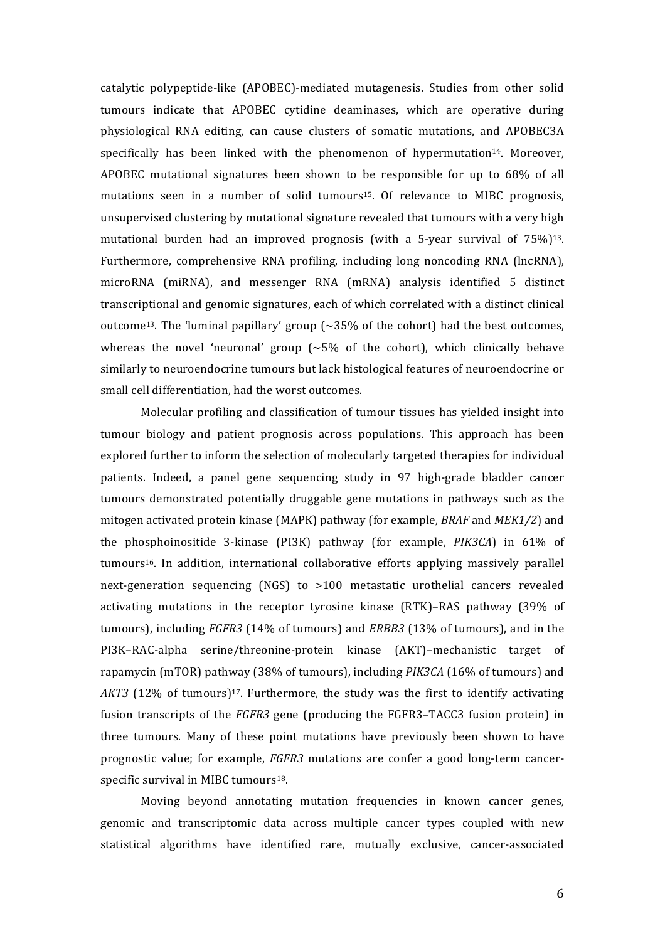catalytic polypeptide-like (APOBEC)-mediated mutagenesis. Studies from other solid tumours indicate that APOBEC cytidine deaminases, which are operative during physiological RNA editing, can cause clusters of somatic mutations, and APOBEC3A specifically has been linked with the phenomenon of hypermutation<sup>14</sup>. Moreover, APOBEC mutational signatures been shown to be responsible for up to  $68\%$  of all mutations seen in a number of solid tumours<sup>15</sup>. Of relevance to MIBC prognosis, unsupervised clustering by mutational signature revealed that tumours with a very high mutational burden had an improved prognosis (with a 5-year survival of  $75\%$ )<sup>13</sup>. Furthermore, comprehensive RNA profiling, including long noncoding RNA (lncRNA), microRNA (miRNA), and messenger RNA (mRNA) analysis identified 5 distinct transcriptional and genomic signatures, each of which correlated with a distinct clinical outcome<sup>13</sup>. The 'luminal papillary' group  $\sim 35\%$  of the cohort) had the best outcomes, whereas the novel 'neuronal' group  $({\sim}5\%$  of the cohort), which clinically behave similarly to neuroendocrine tumours but lack histological features of neuroendocrine or small cell differentiation, had the worst outcomes.

Molecular profiling and classification of tumour tissues has yielded insight into tumour biology and patient prognosis across populations. This approach has been explored further to inform the selection of molecularly targeted therapies for individual patients. Indeed, a panel gene sequencing study in 97 high-grade bladder cancer tumours demonstrated potentially druggable gene mutations in pathways such as the mitogen activated protein kinase (MAPK) pathway (for example, *BRAF* and *MEK1/2*) and the phosphoinositide 3-kinase (PI3K) pathway (for example, *PIK3CA*) in 61% of tumours<sup>16</sup>. In addition, international collaborative efforts applying massively parallel next-generation sequencing (NGS) to >100 metastatic urothelial cancers revealed activating mutations in the receptor tyrosine kinase (RTK)–RAS pathway (39% of tumours), including *FGFR3* (14% of tumours) and *ERBB3* (13% of tumours), and in the PI3K–RAC-alpha serine/threonine-protein kinase (AKT)–mechanistic target of rapamycin (mTOR) pathway (38% of tumours), including *PIK3CA* (16% of tumours) and *AKT3* (12% of tumours)<sup>17</sup>. Furthermore, the study was the first to identify activating fusion transcripts of the *FGFR3* gene (producing the FGFR3–TACC3 fusion protein) in three tumours. Many of these point mutations have previously been shown to have prognostic value; for example, *FGFR3* mutations are confer a good long-term cancerspecific survival in MIBC tumours<sup>18</sup>.

Moving beyond annotating mutation frequencies in known cancer genes, genomic and transcriptomic data across multiple cancer types coupled with new statistical algorithms have identified rare, mutually exclusive, cancer-associated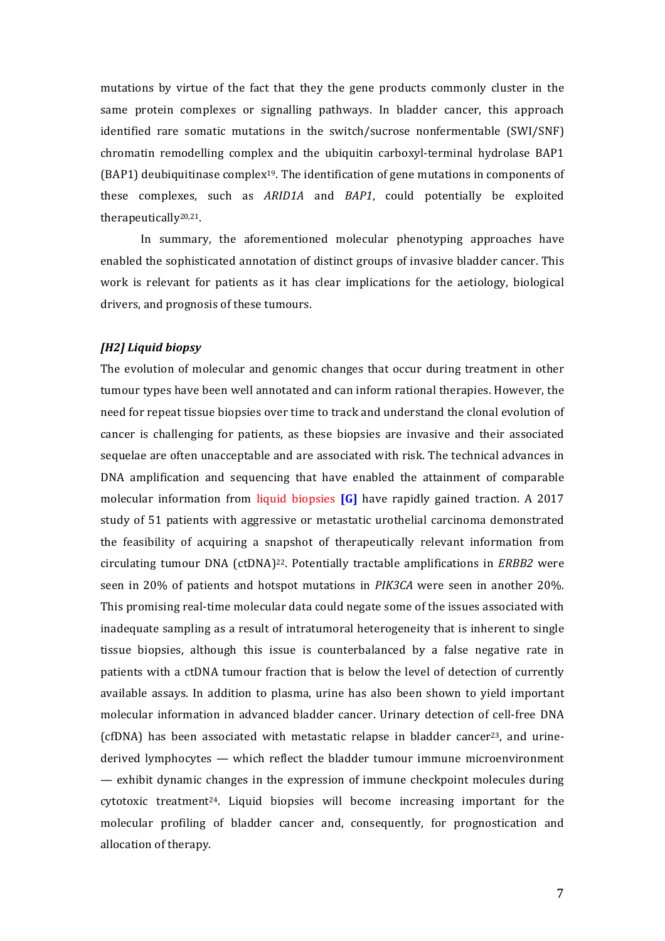mutations by virtue of the fact that they the gene products commonly cluster in the same protein complexes or signalling pathways. In bladder cancer, this approach identified rare somatic mutations in the switch/sucrose nonfermentable (SWI/SNF) chromatin remodelling complex and the ubiquitin carboxyl-terminal hydrolase BAP1  $(BAP1)$  deubiquitinase complex<sup>19</sup>. The identification of gene mutations in components of these complexes, such as *ARID1A* and *BAP1*, could potentially be exploited therapeutically20,21.

In summary, the aforementioned molecular phenotyping approaches have enabled the sophisticated annotation of distinct groups of invasive bladder cancer. This work is relevant for patients as it has clear implications for the aetiology, biological drivers, and prognosis of these tumours.

#### *[H2] Liquid biopsy*

The evolution of molecular and genomic changes that occur during treatment in other tumour types have been well annotated and can inform rational therapies. However, the need for repeat tissue biopsies over time to track and understand the clonal evolution of cancer is challenging for patients, as these biopsies are invasive and their associated sequelae are often unacceptable and are associated with risk. The technical advances in DNA amplification and sequencing that have enabled the attainment of comparable molecular information from liquid biopsies **[G]** have rapidly gained traction. A 2017 study of 51 patients with aggressive or metastatic urothelial carcinoma demonstrated the feasibility of acquiring a snapshot of therapeutically relevant information from circulating tumour  $DNA$  (ctDNA)<sup>22</sup>. Potentially tractable amplifications in *ERBB2* were seen in 20% of patients and hotspot mutations in *PIK3CA* were seen in another 20%. This promising real-time molecular data could negate some of the issues associated with inadequate sampling as a result of intratumoral heterogeneity that is inherent to single tissue biopsies, although this issue is counterbalanced by a false negative rate in patients with a ctDNA tumour fraction that is below the level of detection of currently available assays. In addition to plasma, urine has also been shown to yield important molecular information in advanced bladder cancer. Urinary detection of cell-free DNA (cfDNA) has been associated with metastatic relapse in bladder cancer<sup>23</sup>, and urinederived lymphocytes — which reflect the bladder tumour immune microenvironment  $-$  exhibit dynamic changes in the expression of immune checkpoint molecules during cytotoxic treatment<sup>24</sup>. Liquid biopsies will become increasing important for the molecular profiling of bladder cancer and, consequently, for prognostication and allocation of therapy.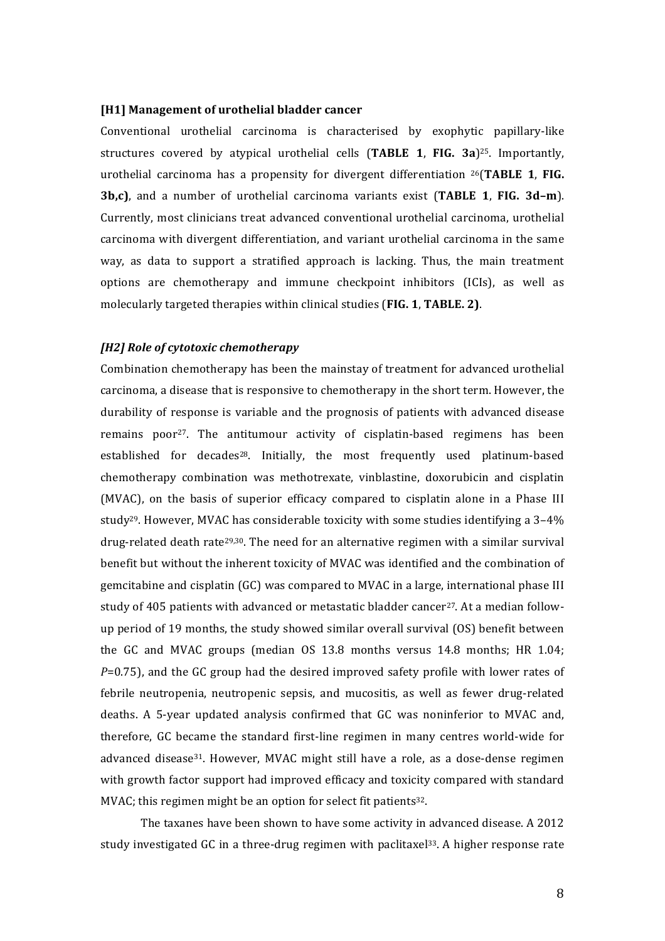#### [H1] Management of urothelial bladder cancer

Conventional urothelial carcinoma is characterised by exophytic papillary-like structures covered by atypical urothelial cells (TABLE 1, FIG. 3a)<sup>25</sup>. Importantly, urothelial carcinoma has a propensity for divergent differentiation <sup>26</sup>(TABLE 1, FIG. **3b,c)**, and a number of urothelial carcinoma variants exist (TABLE 1, FIG. 3d-m). Currently, most clinicians treat advanced conventional urothelial carcinoma, urothelial carcinoma with divergent differentiation, and variant urothelial carcinoma in the same way, as data to support a stratified approach is lacking. Thus, the main treatment options are chemotherapy and immune checkpoint inhibitors (ICIs), as well as molecularly targeted therapies within clinical studies (**FIG. 1, TABLE. 2**).

#### *[H2] Role of cytotoxic chemotherapy*

Combination chemotherapy has been the mainstay of treatment for advanced urothelial carcinoma, a disease that is responsive to chemotherapy in the short term. However, the durability of response is variable and the prognosis of patients with advanced disease remains poor<sup>27</sup>. The antitumour activity of cisplatin-based regimens has been established for decades<sup>28</sup>. Initially, the most frequently used platinum-based chemotherapy combination was methotrexate, vinblastine, doxorubicin and cisplatin (MVAC), on the basis of superior efficacy compared to cisplatin alone in a Phase III study<sup>29</sup>. However, MVAC has considerable toxicity with some studies identifying a  $3-4\%$ drug-related death rate<sup>29,30</sup>. The need for an alternative regimen with a similar survival benefit but without the inherent toxicity of MVAC was identified and the combination of gemcitabine and cisplatin (GC) was compared to MVAC in a large, international phase III study of 405 patients with advanced or metastatic bladder cancer<sup>27</sup>. At a median followup period of 19 months, the study showed similar overall survival (OS) benefit between the GC and MVAC groups (median OS  $13.8$  months versus  $14.8$  months; HR  $1.04$ ; *P*=0.75), and the GC group had the desired improved safety profile with lower rates of febrile neutropenia, neutropenic sepsis, and mucositis, as well as fewer drug-related deaths. A 5-year updated analysis confirmed that GC was noninferior to MVAC and, therefore, GC became the standard first-line regimen in many centres world-wide for advanced disease<sup>31</sup>. However, MVAC might still have a role, as a dose-dense regimen with growth factor support had improved efficacy and toxicity compared with standard MVAC; this regimen might be an option for select fit patients<sup>32</sup>.

The taxanes have been shown to have some activity in advanced disease. A 2012 study investigated GC in a three-drug regimen with paclitaxel<sup>33</sup>. A higher response rate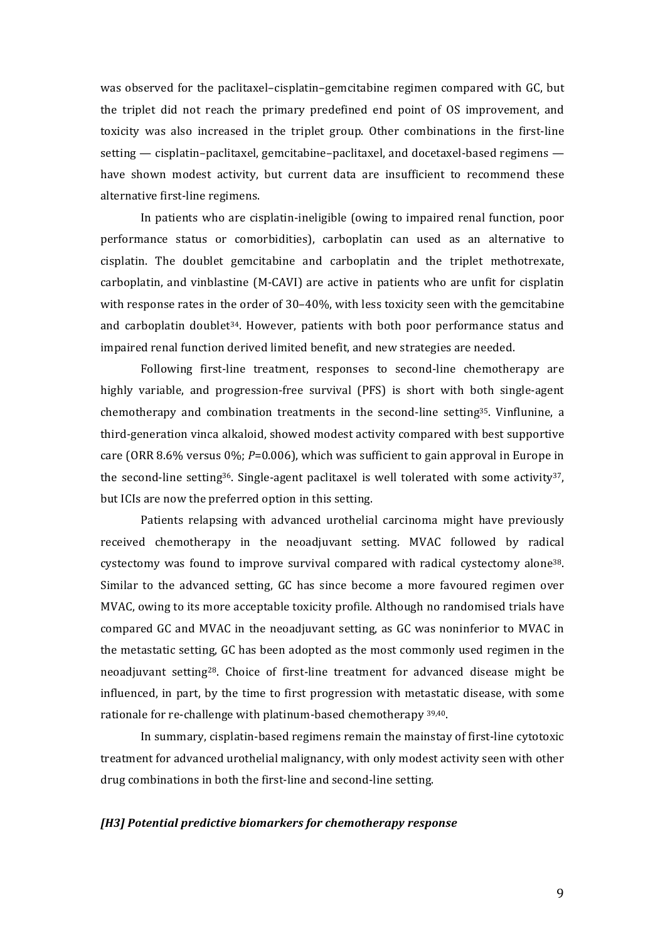was observed for the paclitaxel–cisplatin–gemcitabine regimen compared with GC, but the triplet did not reach the primary predefined end point of OS improvement, and toxicity was also increased in the triplet group. Other combinations in the first-line setting  $-$  cisplatin–paclitaxel, gemcitabine–paclitaxel, and docetaxel-based regimens  $$ have shown modest activity, but current data are insufficient to recommend these alternative first-line regimens.

In patients who are cisplatin-ineligible (owing to impaired renal function, poor performance status or comorbidities), carboplatin can used as an alternative to cisplatin. The doublet gemcitabine and carboplatin and the triplet methotrexate, carboplatin, and vinblastine (M-CAVI) are active in patients who are unfit for cisplatin with response rates in the order of  $30-40%$ , with less toxicity seen with the gemcitabine and carboplatin doublet<sup>34</sup>. However, patients with both poor performance status and impaired renal function derived limited benefit, and new strategies are needed.

Following first-line treatment, responses to second-line chemotherapy are highly variable, and progression-free survival (PFS) is short with both single-agent chemotherapy and combination treatments in the second-line setting<sup>35</sup>. Vinflunine, a third-generation vinca alkaloid, showed modest activity compared with best supportive care (ORR 8.6% versus 0%;  $P=0.006$ ), which was sufficient to gain approval in Europe in the second-line setting<sup>36</sup>. Single-agent paclitaxel is well tolerated with some activity<sup>37</sup>, but ICIs are now the preferred option in this setting.

Patients relapsing with advanced urothelial carcinoma might have previously received chemotherapy in the neoadjuvant setting. MVAC followed by radical cystectomy was found to improve survival compared with radical cystectomy alone<sup>38</sup>. Similar to the advanced setting, GC has since become a more favoured regimen over MVAC, owing to its more acceptable toxicity profile. Although no randomised trials have compared GC and MVAC in the neoadjuvant setting, as GC was noninferior to MVAC in the metastatic setting, GC has been adopted as the most commonly used regimen in the neoadjuvant setting<sup>28</sup>. Choice of first-line treatment for advanced disease might be influenced, in part, by the time to first progression with metastatic disease, with some rationale for re-challenge with platinum-based chemotherapy 39,40.

In summary, cisplatin-based regimens remain the mainstay of first-line cytotoxic treatment for advanced urothelial malignancy, with only modest activity seen with other drug combinations in both the first-line and second-line setting.

#### *[H3] Potential predictive biomarkers for chemotherapy response*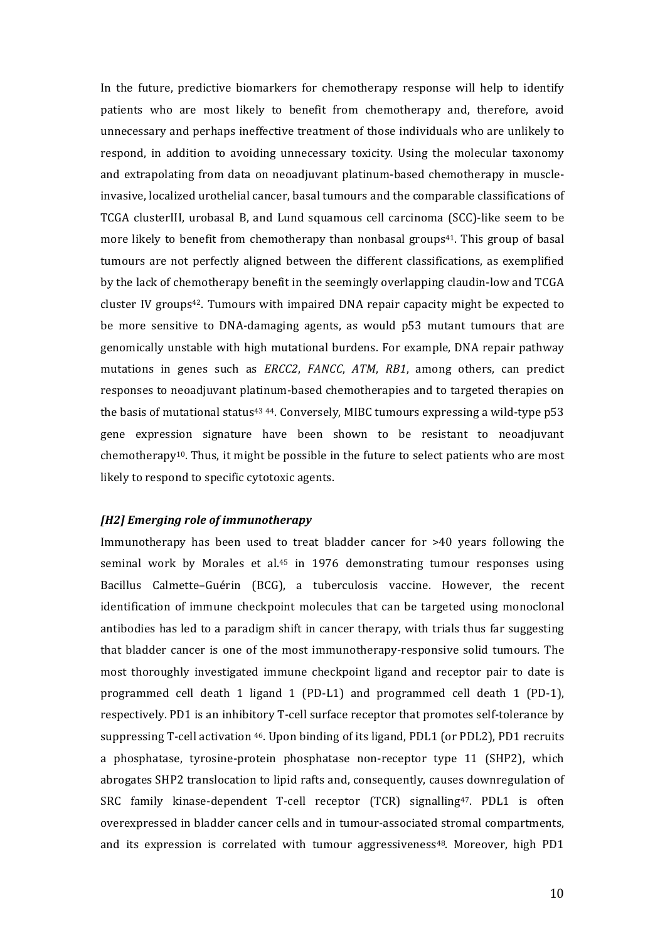In the future, predictive biomarkers for chemotherapy response will help to identify patients who are most likely to benefit from chemotherapy and, therefore, avoid unnecessary and perhaps ineffective treatment of those individuals who are unlikely to respond, in addition to avoiding unnecessary toxicity. Using the molecular taxonomy and extrapolating from data on neoadjuvant platinum-based chemotherapy in muscleinvasive, localized urothelial cancer, basal tumours and the comparable classifications of TCGA clusterIII, urobasal B, and Lund squamous cell carcinoma (SCC)-like seem to be more likely to benefit from chemotherapy than nonbasal groups<sup>41</sup>. This group of basal tumours are not perfectly aligned between the different classifications, as exemplified by the lack of chemotherapy benefit in the seemingly overlapping claudin-low and TCGA cluster IV groups<sup>42</sup>. Tumours with impaired DNA repair capacity might be expected to be more sensitive to DNA-damaging agents, as would p53 mutant tumours that are genomically unstable with high mutational burdens. For example, DNA repair pathway mutations in genes such as *ERCC2*, *FANCC*, *ATM*, *RB1*, among others, can predict responses to neoadjuvant platinum-based chemotherapies and to targeted therapies on the basis of mutational status<sup>43 44</sup>. Conversely, MIBC tumours expressing a wild-type  $p53$ gene expression signature have been shown to be resistant to neoadjuvant chemotherapy<sup>10</sup>. Thus, it might be possible in the future to select patients who are most likely to respond to specific cytotoxic agents.

#### *[H2] Emerging role of immunotherapy*

Immunotherapy has been used to treat bladder cancer for >40 years following the seminal work by Morales et al.<sup>45</sup> in 1976 demonstrating tumour responses using Bacillus Calmette-Guérin (BCG), a tuberculosis vaccine. However, the recent identification of immune checkpoint molecules that can be targeted using monoclonal antibodies has led to a paradigm shift in cancer therapy, with trials thus far suggesting that bladder cancer is one of the most immunotherapy-responsive solid tumours. The most thoroughly investigated immune checkpoint ligand and receptor pair to date is programmed cell death 1 ligand 1 (PD-L1) and programmed cell death 1 (PD-1), respectively. PD1 is an inhibitory T-cell surface receptor that promotes self-tolerance by suppressing T-cell activation  $46$ . Upon binding of its ligand, PDL1 (or PDL2), PD1 recruits a phosphatase, tyrosine-protein phosphatase non-receptor type 11 (SHP2), which abrogates SHP2 translocation to lipid rafts and, consequently, causes downregulation of SRC family kinase-dependent T-cell receptor (TCR) signalling<sup>47</sup>. PDL1 is often overexpressed in bladder cancer cells and in tumour-associated stromal compartments, and its expression is correlated with tumour aggressiveness $48$ . Moreover, high PD1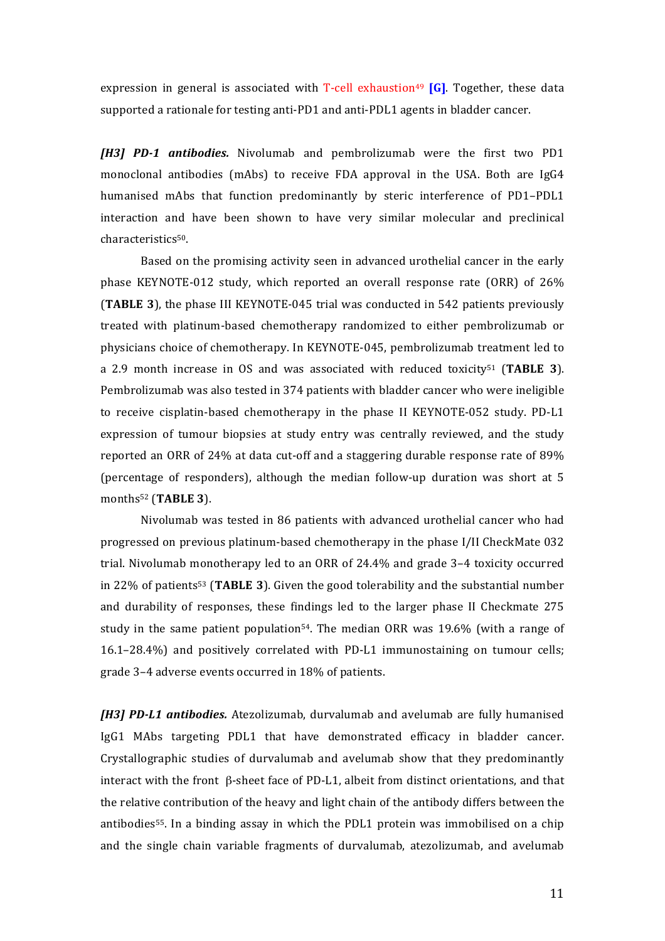expression in general is associated with **T-cell** exhaustion<sup>49</sup> [G]. Together, these data supported a rationale for testing anti-PD1 and anti-PDL1 agents in bladder cancer.

**[H3] PD-1 antibodies.** Nivolumab and pembrolizumab were the first two PD1 monoclonal antibodies (mAbs) to receive FDA approval in the USA. Both are  $\lg G4$ humanised mAbs that function predominantly by steric interference of PD1-PDL1 interaction and have been shown to have very similar molecular and preclinical characteristics50. 

Based on the promising activity seen in advanced urothelial cancer in the early phase KEYNOTE-012 study, which reported an overall response rate (ORR) of 26% **(TABLE 3)**, the phase III KEYNOTE-045 trial was conducted in 542 patients previously treated with platinum-based chemotherapy randomized to either pembrolizumab or physicians choice of chemotherapy. In KEYNOTE-045, pembrolizumab treatment led to a 2.9 month increase in OS and was associated with reduced toxicity<sup>51</sup> (TABLE 3). Pembrolizumab was also tested in 374 patients with bladder cancer who were ineligible to receive cisplatin-based chemotherapy in the phase II KEYNOTE-052 study. PD-L1 expression of tumour biopsies at study entry was centrally reviewed, and the study reported an ORR of 24% at data cut-off and a staggering durable response rate of 89% (percentage of responders), although the median follow-up duration was short at  $5$ months<sup>52</sup> (TABLE 3).

Nivolumab was tested in 86 patients with advanced urothelial cancer who had progressed on previous platinum-based chemotherapy in the phase I/II CheckMate 032 trial. Nivolumab monotherapy led to an ORR of  $24.4\%$  and grade  $3-4$  toxicity occurred in 22% of patients<sup>53</sup> (TABLE 3). Given the good tolerability and the substantial number and durability of responses, these findings led to the larger phase II Checkmate 275 study in the same patient population<sup>54</sup>. The median ORR was  $19.6\%$  (with a range of  $16.1-28.4\%$ ) and positively correlated with PD-L1 immunostaining on tumour cells; grade 3-4 adverse events occurred in 18% of patients.

**[H3] PD-L1 antibodies.** Atezolizumab, durvalumab and avelumab are fully humanised IgG1 MAbs targeting PDL1 that have demonstrated efficacy in bladder cancer. Crystallographic studies of durvalumab and avelumab show that they predominantly interact with the front  $\beta$ -sheet face of PD-L1, albeit from distinct orientations, and that the relative contribution of the heavy and light chain of the antibody differs between the antibodies<sup>55</sup>. In a binding assay in which the PDL1 protein was immobilised on a chip and the single chain variable fragments of durvalumab, atezolizumab, and avelumab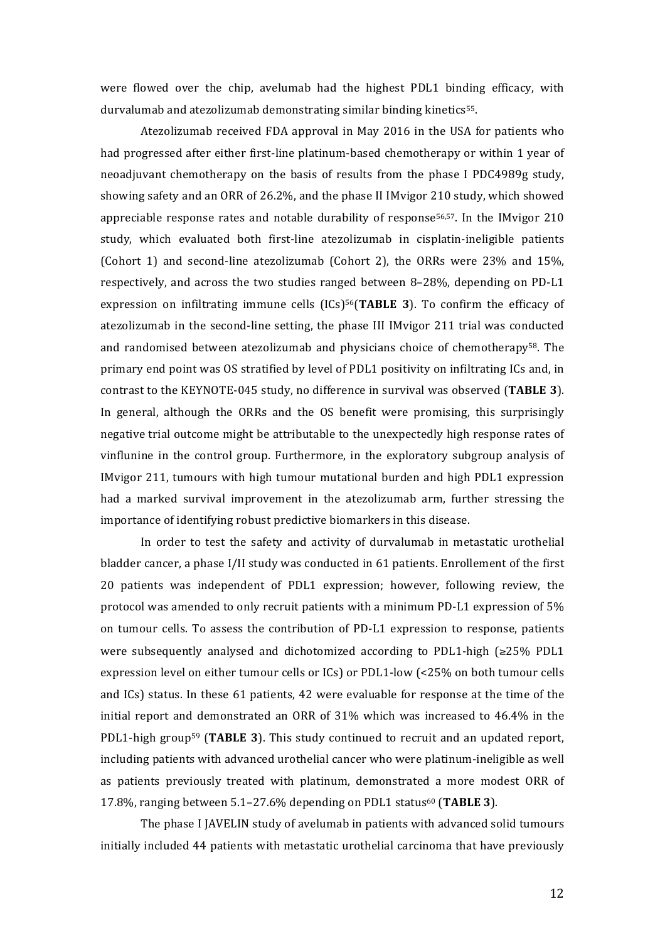were flowed over the chip, avelumab had the highest PDL1 binding efficacy, with durvalumab and atezolizumab demonstrating similar binding kinetics<sup>55</sup>.

Atezolizumab received FDA approval in May 2016 in the USA for patients who had progressed after either first-line platinum-based chemotherapy or within 1 year of neoadjuvant chemotherapy on the basis of results from the phase I PDC4989g study, showing safety and an ORR of 26.2%, and the phase II IMvigor 210 study, which showed appreciable response rates and notable durability of response<sup>56,57</sup>. In the IMvigor  $210$ study, which evaluated both first-line atezolizumab in cisplatin-ineligible patients (Cohort 1) and second-line atezolizumab (Cohort 2), the ORRs were  $23\%$  and  $15\%$ , respectively, and across the two studies ranged between 8-28%, depending on PD-L1 expression on infiltrating immune cells (ICs)<sup>56</sup>(TABLE 3). To confirm the efficacy of atezolizumab in the second-line setting, the phase III IMvigor 211 trial was conducted and randomised between atezolizumab and physicians choice of chemotherapy $58$ . The primary end point was OS stratified by level of PDL1 positivity on infiltrating ICs and, in contrast to the KEYNOTE-045 study, no difference in survival was observed (TABLE 3). In general, although the ORRs and the OS benefit were promising, this surprisingly negative trial outcome might be attributable to the unexpectedly high response rates of vinflunine in the control group. Furthermore, in the exploratory subgroup analysis of IMvigor 211, tumours with high tumour mutational burden and high PDL1 expression had a marked survival improvement in the atezolizumab arm, further stressing the importance of identifying robust predictive biomarkers in this disease.

In order to test the safety and activity of durvalumab in metastatic urothelial bladder cancer, a phase  $I/I$ I study was conducted in 61 patients. Enrollement of the first 20 patients was independent of PDL1 expression; however, following review, the protocol was amended to only recruit patients with a minimum PD-L1 expression of  $5\%$ on tumour cells. To assess the contribution of PD-L1 expression to response, patients were subsequently analysed and dichotomized according to PDL1-high  $\geq 25\%$  PDL1 expression level on either tumour cells or ICs) or PDL1-low (<25% on both tumour cells and  $\text{ICs}$ ) status. In these 61 patients, 42 were evaluable for response at the time of the initial report and demonstrated an ORR of  $31\%$  which was increased to  $46.4\%$  in the PDL1-high group<sup>59</sup> (TABLE 3). This study continued to recruit and an updated report, including patients with advanced urothelial cancer who were platinum-ineligible as well as patients previously treated with platinum, demonstrated a more modest ORR of 17.8%, ranging between 5.1–27.6% depending on PDL1 status60 (**TABLE 3**). 

The phase I JAVELIN study of avelumab in patients with advanced solid tumours initially included 44 patients with metastatic urothelial carcinoma that have previously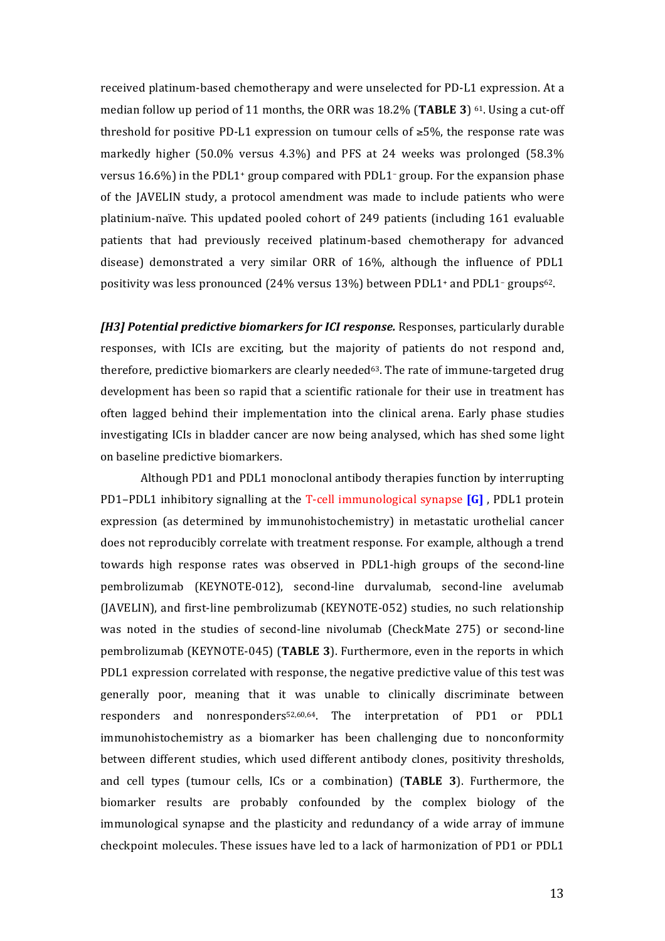received platinum-based chemotherapy and were unselected for PD-L1 expression. At a median follow up period of 11 months, the ORR was  $18.2\%$  (TABLE 3)  $61$ . Using a cut-off threshold for positive PD-L1 expression on tumour cells of  $\geq 5\%$ , the response rate was markedly higher  $(50.0\%$  versus 4.3%) and PFS at 24 weeks was prolonged  $(58.3\%$ versus  $16.6\%$ ) in the PDL1+ group compared with PDL1- group. For the expansion phase of the JAVELIN study, a protocol amendment was made to include patients who were platinium-naïve. This updated pooled cohort of 249 patients (including 161 evaluable patients that had previously received platinum-based chemotherapy for advanced disease) demonstrated a very similar ORR of 16%, although the influence of PDL1 positivity was less pronounced  $(24\%$  versus  $13\%)$  between PDL1+ and PDL1- groups<sup>62</sup>.

*[H3] Potential predictive biomarkers for ICI response.* Responses, particularly durable responses, with ICIs are exciting, but the majority of patients do not respond and, therefore, predictive biomarkers are clearly needed $63$ . The rate of immune-targeted drug development has been so rapid that a scientific rationale for their use in treatment has often lagged behind their implementation into the clinical arena. Early phase studies investigating ICIs in bladder cancer are now being analysed, which has shed some light on baseline predictive biomarkers.

Although PD1 and PDL1 monoclonal antibody therapies function by interrupting PD1-PDL1 inhibitory signalling at the T-cell immunological synapse [G], PDL1 protein expression (as determined by immunohistochemistry) in metastatic urothelial cancer does not reproducibly correlate with treatment response. For example, although a trend towards high response rates was observed in PDL1-high groups of the second-line pembrolizumab (KEYNOTE-012), second-line durvalumab, second-line avelumab  $(JAVELIN)$ , and first-line pembrolizumab  $(KEYNOTE-052)$  studies, no such relationship was noted in the studies of second-line nivolumab (CheckMate 275) or second-line pembrolizumab (KEYNOTE-045) (TABLE 3). Furthermore, even in the reports in which PDL1 expression correlated with response, the negative predictive value of this test was generally poor, meaning that it was unable to clinically discriminate between responders and nonresponders<sup>52,60,64</sup>. The interpretation of PD1 or PDL1 immunohistochemistry as a biomarker has been challenging due to nonconformity between different studies, which used different antibody clones, positivity thresholds, and cell types (tumour cells, ICs or a combination) (**TABLE 3**). Furthermore, the biomarker results are probably confounded by the complex biology of the immunological synapse and the plasticity and redundancy of a wide array of immune checkpoint molecules. These issues have led to a lack of harmonization of PD1 or PDL1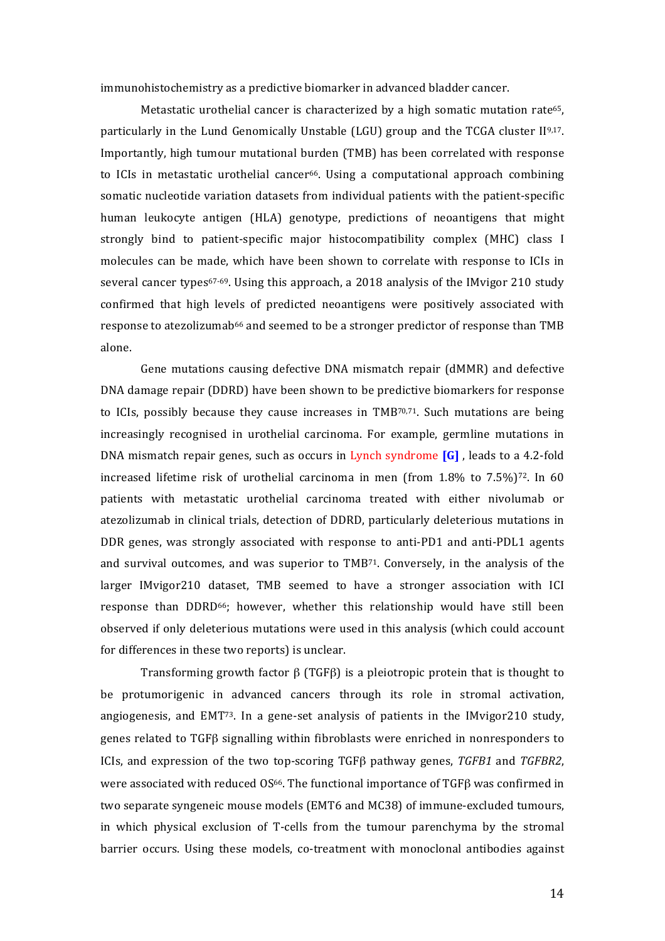immunohistochemistry as a predictive biomarker in advanced bladder cancer.

Metastatic urothelial cancer is characterized by a high somatic mutation rate<sup>65</sup>, particularly in the Lund Genomically Unstable (LGU) group and the TCGA cluster  $II^{9,17}$ . Importantly, high tumour mutational burden (TMB) has been correlated with response to ICIs in metastatic urothelial cancer<sup>66</sup>. Using a computational approach combining somatic nucleotide variation datasets from individual patients with the patient-specific human leukocyte antigen (HLA) genotype, predictions of neoantigens that might strongly bind to patient-specific major histocompatibility complex (MHC) class I molecules can be made, which have been shown to correlate with response to ICIs in several cancer types<sup>67-69</sup>. Using this approach, a 2018 analysis of the IMvigor 210 study confirmed that high levels of predicted neoantigens were positively associated with response to atezolizumab<sup>66</sup> and seemed to be a stronger predictor of response than TMB alone.

Gene mutations causing defective DNA mismatch repair (dMMR) and defective DNA damage repair (DDRD) have been shown to be predictive biomarkers for response to ICIs, possibly because they cause increases in  $TMB^{70,71}$ . Such mutations are being increasingly recognised in urothelial carcinoma. For example, germline mutations in DNA mismatch repair genes, such as occurs in Lynch syndrome **[G]**, leads to a 4.2-fold increased lifetime risk of urothelial carcinoma in men (from  $1.8\%$  to  $7.5\%$ )<sup>72</sup>. In 60 patients with metastatic urothelial carcinoma treated with either nivolumab or atezolizumab in clinical trials, detection of DDRD, particularly deleterious mutations in DDR genes, was strongly associated with response to anti-PD1 and anti-PDL1 agents and survival outcomes, and was superior to  $TMB^{71}$ . Conversely, in the analysis of the larger IMvigor210 dataset, TMB seemed to have a stronger association with ICI response than DDRD<sup>66</sup>; however, whether this relationship would have still been observed if only deleterious mutations were used in this analysis (which could account for differences in these two reports) is unclear.

Transforming growth factor  $\beta$  (TGF $\beta$ ) is a pleiotropic protein that is thought to be protumorigenic in advanced cancers through its role in stromal activation, angiogenesis, and  $EMT^{73}$ . In a gene-set analysis of patients in the IMvigor210 study, genes related to  $TGF\beta$  signalling within fibroblasts were enriched in nonresponders to ICIs, and expression of the two top-scoring TGFβ pathway genes, *TGFB1* and *TGFBR2*, were associated with reduced  $OS^{66}$ . The functional importance of TGFB was confirmed in two separate syngeneic mouse models (EMT6 and MC38) of immune-excluded tumours, in which physical exclusion of T-cells from the tumour parenchyma by the stromal barrier occurs. Using these models, co-treatment with monoclonal antibodies against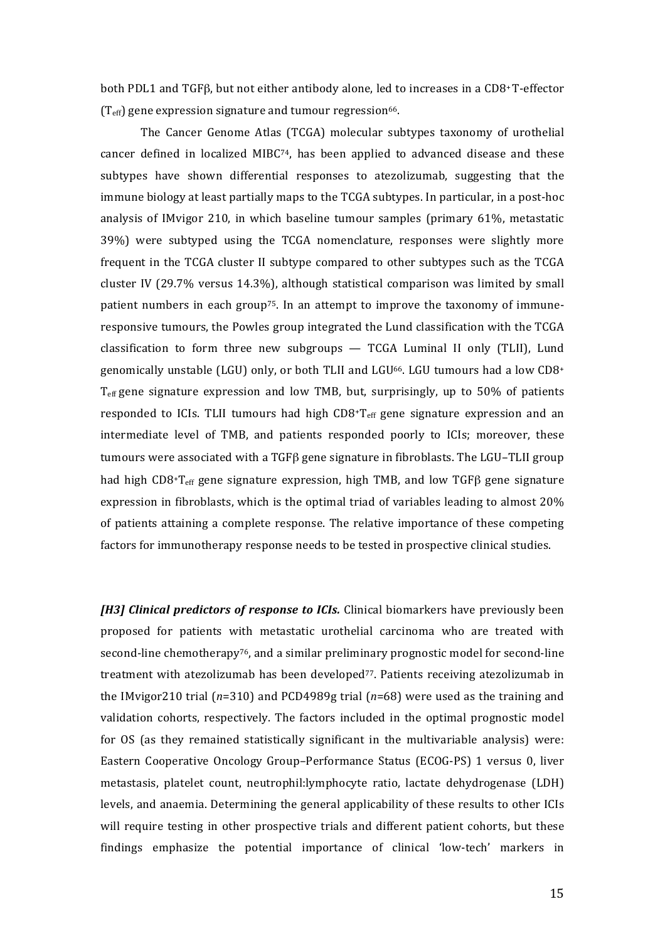both PDL1 and TGFβ, but not either antibody alone, led to increases in a CD8+T-effector  $(T_{\text{eff}})$  gene expression signature and tumour regression<sup>66</sup>.

The Cancer Genome Atlas (TCGA) molecular subtypes taxonomy of urothelial cancer defined in localized MIBC $74$ , has been applied to advanced disease and these subtypes have shown differential responses to atezolizumab, suggesting that the immune biology at least partially maps to the TCGA subtypes. In particular, in a post-hoc analysis of IMvigor 210, in which baseline tumour samples (primary  $61\%$ , metastatic  $39\%$ ) were subtyped using the TCGA nomenclature, responses were slightly more frequent in the TCGA cluster II subtype compared to other subtypes such as the TCGA cluster IV (29.7% versus 14.3%), although statistical comparison was limited by small patient numbers in each group<sup>75</sup>. In an attempt to improve the taxonomy of immuneresponsive tumours, the Powles group integrated the Lund classification with the TCGA classification to form three new subgroups  $-$  TCGA Luminal II only (TLII), Lund genomically unstable (LGU) only, or both TLII and LGU<sup>66</sup>. LGU tumours had a low CD8<sup>+</sup>  $T_{\text{eff}}$  gene signature expression and low TMB, but, surprisingly, up to 50% of patients responded to ICIs. TLII tumours had high  $CDS+T_{\text{eff}}$  gene signature expression and an intermediate level of TMB, and patients responded poorly to ICIs; moreover, these tumours were associated with a TGF $\beta$  gene signature in fibroblasts. The LGU-TLII group had high CD8+T<sub>eff</sub> gene signature expression, high TMB, and low TGF<sub>β</sub> gene signature expression in fibroblasts, which is the optimal triad of variables leading to almost  $20\%$ of patients attaining a complete response. The relative importance of these competing factors for immunotherapy response needs to be tested in prospective clinical studies.

*[H3] Clinical predictors of response to ICIs.* Clinical biomarkers have previously been proposed for patients with metastatic urothelial carcinoma who are treated with second-line chemotherapy<sup>76</sup>, and a similar preliminary prognostic model for second-line treatment with atezolizumab has been developed $77$ . Patients receiving atezolizumab in the IMvigor210 trial  $(n=310)$  and PCD4989g trial  $(n=68)$  were used as the training and validation cohorts, respectively. The factors included in the optimal prognostic model for OS (as they remained statistically significant in the multivariable analysis) were: Eastern Cooperative Oncology Group–Performance Status (ECOG-PS) 1 versus 0, liver metastasis, platelet count, neutrophil:lymphocyte ratio, lactate dehydrogenase (LDH) levels, and anaemia. Determining the general applicability of these results to other ICIs will require testing in other prospective trials and different patient cohorts, but these findings emphasize the potential importance of clinical 'low-tech' markers in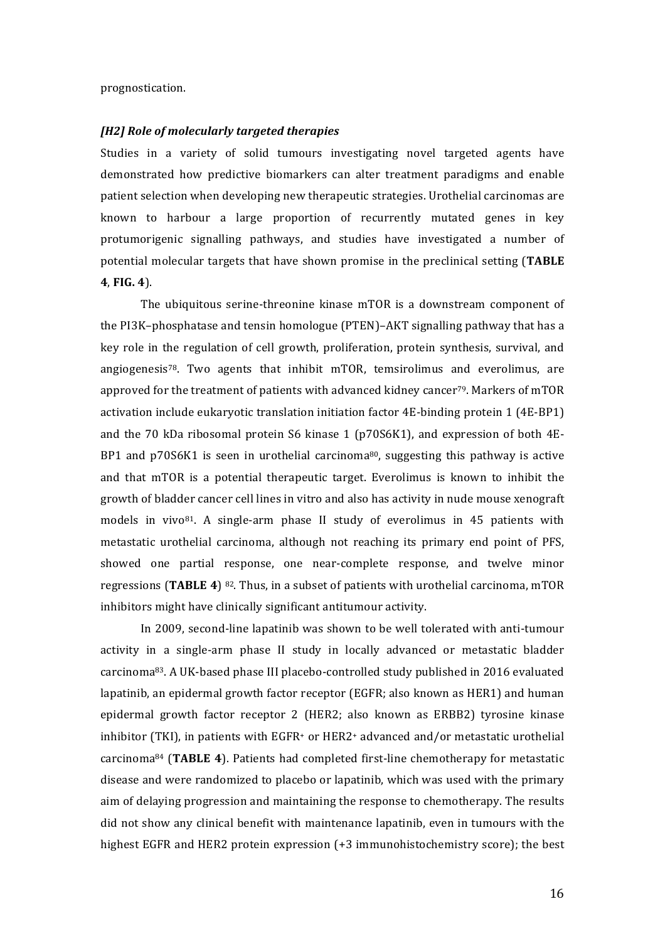prognostication.

#### *[H2] Role of molecularly targeted therapies*

Studies in a variety of solid tumours investigating novel targeted agents have demonstrated how predictive biomarkers can alter treatment paradigms and enable patient selection when developing new therapeutic strategies. Urothelial carcinomas are known to harbour a large proportion of recurrently mutated genes in key protumorigenic signalling pathways, and studies have investigated a number of potential molecular targets that have shown promise in the preclinical setting **(TABLE 4**, **FIG. 4**). 

The ubiquitous serine-threonine kinase mTOR is a downstream component of the  $PI3K$ –phosphatase and tensin homologue  $(PTEN)$ –AKT signalling pathway that has a key role in the regulation of cell growth, proliferation, protein synthesis, survival, and angiogenesis<sup>78</sup>. Two agents that inhibit mTOR, temsirolimus and everolimus, are approved for the treatment of patients with advanced kidney cancer<sup>79</sup>. Markers of mTOR activation include eukaryotic translation initiation factor  $4E$ -binding protein 1 ( $4E$ -BP1) and the 70 kDa ribosomal protein S6 kinase 1 (p70S6K1), and expression of both 4E-BP1 and  $p70S6K1$  is seen in urothelial carcinoma<sup>80</sup>, suggesting this pathway is active and that mTOR is a potential therapeutic target. Everolimus is known to inhibit the growth of bladder cancer cell lines in vitro and also has activity in nude mouse xenograft models in vivo<sup>81</sup>. A single-arm phase II study of everolimus in 45 patients with metastatic urothelial carcinoma, although not reaching its primary end point of PFS, showed one partial response, one near-complete response, and twelve minor regressions (TABLE 4) <sup>82</sup>. Thus, in a subset of patients with urothelial carcinoma, mTOR inhibitors might have clinically significant antitumour activity.

In 2009, second-line lapatinib was shown to be well tolerated with anti-tumour activity in a single-arm phase II study in locally advanced or metastatic bladder carcinoma<sup>83</sup>. A UK-based phase III placebo-controlled study published in 2016 evaluated lapatinib, an epidermal growth factor receptor (EGFR; also known as HER1) and human epidermal growth factor receptor 2 (HER2; also known as ERBB2) tyrosine kinase inhibitor (TKI), in patients with EGFR<sup>+</sup> or HER2<sup>+</sup> advanced and/or metastatic urothelial carcinoma<sup>84</sup> (TABLE 4). Patients had completed first-line chemotherapy for metastatic disease and were randomized to placebo or lapatinib, which was used with the primary aim of delaying progression and maintaining the response to chemotherapy. The results did not show any clinical benefit with maintenance lapatinib, even in tumours with the highest EGFR and HER2 protein expression  $(+3 \text{ immunohistochemistry score})$ ; the best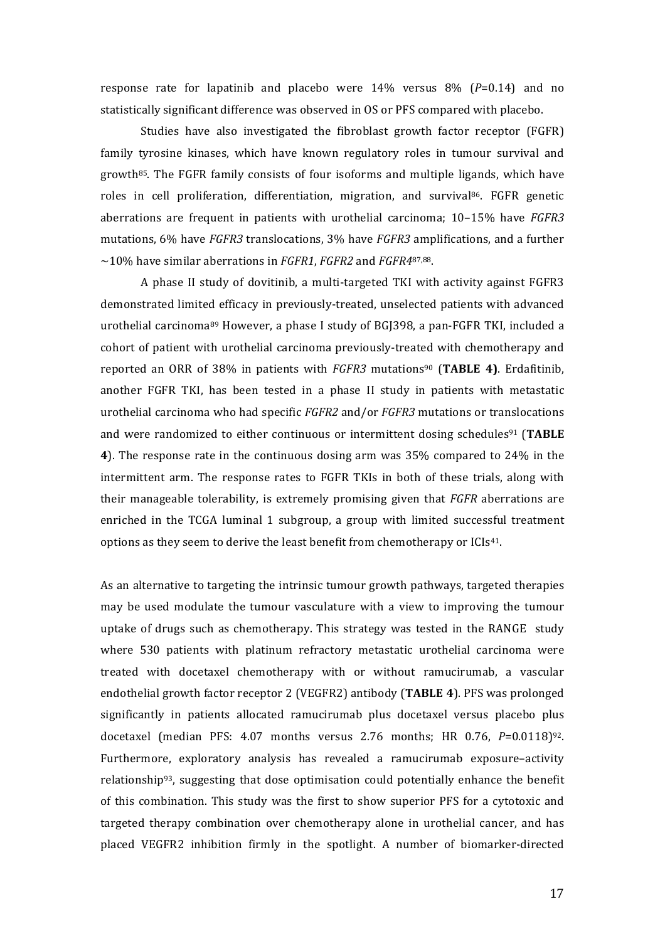response rate for lapatinib and placebo were  $14\%$  versus  $8\%$  ( $P=0.14$ ) and no statistically significant difference was observed in OS or PFS compared with placebo.

Studies have also investigated the fibroblast growth factor receptor (FGFR) family tyrosine kinases, which have known regulatory roles in tumour survival and growth<sup>85</sup>. The FGFR family consists of four isoforms and multiple ligands, which have roles in cell proliferation, differentiation, migration, and survival<sup>86</sup>. FGFR genetic aberrations are frequent in patients with urothelial carcinoma; 10-15% have *FGFR3* mutations, 6% have *FGFR3* translocations, 3% have *FGFR3* amplifications, and a further ~10% have similar aberrations in *FGFR1*, *FGFR2* and *FGFR4*87,88.

A phase II study of dovitinib, a multi-targeted TKI with activity against FGFR3 demonstrated limited efficacy in previously-treated, unselected patients with advanced urothelial carcinoma $89$  However, a phase I study of BGJ398, a pan-FGFR TKI, included a cohort of patient with urothelial carcinoma previously-treated with chemotherapy and reported an ORR of 38% in patients with *FGFR3* mutations90 (**TABLE 4)**. Erdafitinib, another FGFR TKI, has been tested in a phase II study in patients with metastatic urothelial carcinoma who had specific *FGFR2* and/or *FGFR3* mutations or translocations and were randomized to either continuous or intermittent dosing schedules<sup>91</sup> (TABLE **4**). The response rate in the continuous dosing arm was 35% compared to 24% in the intermittent arm. The response rates to FGFR TKIs in both of these trials, along with their manageable tolerability, is extremely promising given that *FGFR* aberrations are enriched in the TCGA luminal 1 subgroup, a group with limited successful treatment options as they seem to derive the least benefit from chemotherapy or ICIs<sup>41</sup>.

As an alternative to targeting the intrinsic tumour growth pathways, targeted therapies may be used modulate the tumour vasculature with a view to improving the tumour uptake of drugs such as chemotherapy. This strategy was tested in the RANGE study where 530 patients with platinum refractory metastatic urothelial carcinoma were treated with docetaxel chemotherapy with or without ramucirumab, a vascular endothelial growth factor receptor 2 (VEGFR2) antibody (**TABLE 4**). PFS was prolonged significantly in patients allocated ramucirumab plus docetaxel versus placebo plus docetaxel (median PFS:  $4.07$  months versus 2.76 months; HR  $0.76$ ,  $P=0.0118$ )<sup>92</sup>. Furthermore, exploratory analysis has revealed a ramucirumab exposure–activity relationship<sup>93</sup>, suggesting that dose optimisation could potentially enhance the benefit of this combination. This study was the first to show superior PFS for a cytotoxic and targeted therapy combination over chemotherapy alone in urothelial cancer, and has placed VEGFR2 inhibition firmly in the spotlight. A number of biomarker-directed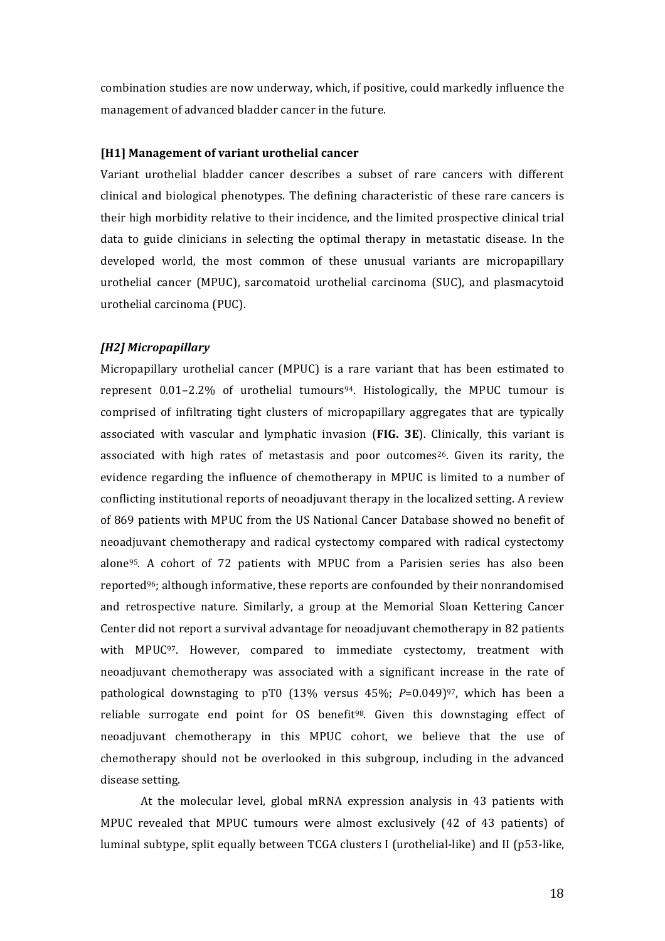combination studies are now underway, which, if positive, could markedly influence the management of advanced bladder cancer in the future.

#### **[H1] Management of variant urothelial cancer**

Variant urothelial bladder cancer describes a subset of rare cancers with different clinical and biological phenotypes. The defining characteristic of these rare cancers is their high morbidity relative to their incidence, and the limited prospective clinical trial data to guide clinicians in selecting the optimal therapy in metastatic disease. In the developed world, the most common of these unusual variants are micropapillary urothelial cancer (MPUC), sarcomatoid urothelial carcinoma (SUC), and plasmacytoid urothelial carcinoma (PUC).

#### *[H2] Micropapillary*

Micropapillary urothelial cancer (MPUC) is a rare variant that has been estimated to represent  $0.01-2.2\%$  of urothelial tumours<sup>94</sup>. Histologically, the MPUC tumour is comprised of infiltrating tight clusters of micropapillary aggregates that are typically associated with vascular and lymphatic invasion (FIG. 3E). Clinically, this variant is associated with high rates of metastasis and poor outcomes<sup>26</sup>. Given its rarity, the evidence regarding the influence of chemotherapy in MPUC is limited to a number of conflicting institutional reports of neoadjuvant therapy in the localized setting. A review of 869 patients with MPUC from the US National Cancer Database showed no benefit of neoadjuvant chemotherapy and radical cystectomy compared with radical cystectomy alone<sup>95</sup>. A cohort of 72 patients with MPUC from a Parisien series has also been reported<sup>96</sup>; although informative, these reports are confounded by their nonrandomised and retrospective nature. Similarly, a group at the Memorial Sloan Kettering Cancer Center did not report a survival advantage for neoadjuvant chemotherapy in 82 patients with MPUC<sup>97</sup>. However, compared to immediate cystectomy, treatment with neoadjuvant chemotherapy was associated with a significant increase in the rate of pathological downstaging to pT0  $(13\%$  versus  $45\%$ ;  $P=0.049$ <sup>97</sup>, which has been a reliable surrogate end point for OS benefit<sup>98</sup>. Given this downstaging effect of neoadjuvant chemotherapy in this MPUC cohort, we believe that the use of chemotherapy should not be overlooked in this subgroup, including in the advanced disease setting.

At the molecular level, global mRNA expression analysis in 43 patients with MPUC revealed that MPUC tumours were almost exclusively  $(42 \text{ of } 43 \text{ patients})$  of luminal subtype, split equally between TCGA clusters I (urothelial-like) and II (p53-like,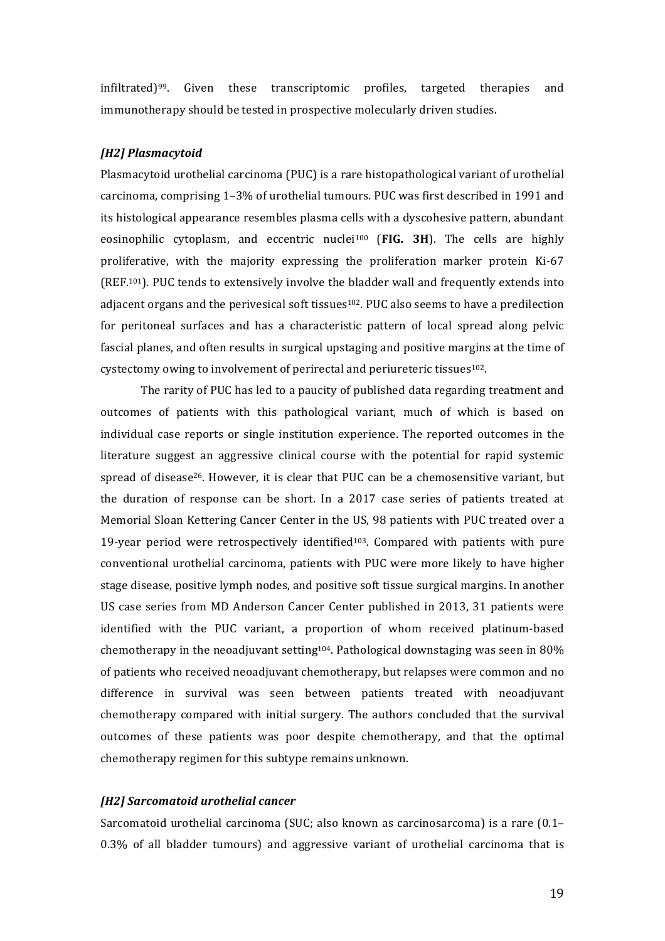infiltrated) $99$ . Given these transcriptomic profiles, targeted therapies and immunotherapy should be tested in prospective molecularly driven studies.

#### *[H2] Plasmacytoid*

Plasmacytoid urothelial carcinoma (PUC) is a rare histopathological variant of urothelial carcinoma, comprising 1-3% of urothelial tumours. PUC was first described in 1991 and its histological appearance resembles plasma cells with a dyscohesive pattern, abundant eosinophilic cytoplasm, and eccentric nuclei<sup>100</sup> (FIG. 3H). The cells are highly proliferative, with the majority expressing the proliferation marker protein Ki-67 (REF.<sup>101</sup>). PUC tends to extensively involve the bladder wall and frequently extends into adjacent organs and the perivesical soft tissues<sup>102</sup>. PUC also seems to have a predilection for peritoneal surfaces and has a characteristic pattern of local spread along pelvic fascial planes, and often results in surgical upstaging and positive margins at the time of cystectomy owing to involvement of perirectal and periureteric tissues<sup>102</sup>.

The rarity of PUC has led to a paucity of published data regarding treatment and outcomes of patients with this pathological variant, much of which is based on individual case reports or single institution experience. The reported outcomes in the literature suggest an aggressive clinical course with the potential for rapid systemic spread of disease<sup>26</sup>. However, it is clear that PUC can be a chemosensitive variant, but the duration of response can be short. In a  $2017$  case series of patients treated at Memorial Sloan Kettering Cancer Center in the US, 98 patients with PUC treated over a 19-year period were retrospectively identified<sup>103</sup>. Compared with patients with pure conventional urothelial carcinoma, patients with PUC were more likely to have higher stage disease, positive lymph nodes, and positive soft tissue surgical margins. In another US case series from MD Anderson Cancer Center published in 2013, 31 patients were identified with the PUC variant, a proportion of whom received platinum-based chemotherapy in the neoadjuvant setting<sup>104</sup>. Pathological downstaging was seen in 80% of patients who received neoadjuvant chemotherapy, but relapses were common and no difference in survival was seen between patients treated with neoadjuvant chemotherapy compared with initial surgery. The authors concluded that the survival outcomes of these patients was poor despite chemotherapy, and that the optimal chemotherapy regimen for this subtype remains unknown.

#### *[H2] Sarcomatoid urothelial cancer*

Sarcomatoid urothelial carcinoma (SUC; also known as carcinosarcoma) is a rare  $(0.1 0.3\%$  of all bladder tumours) and aggressive variant of urothelial carcinoma that is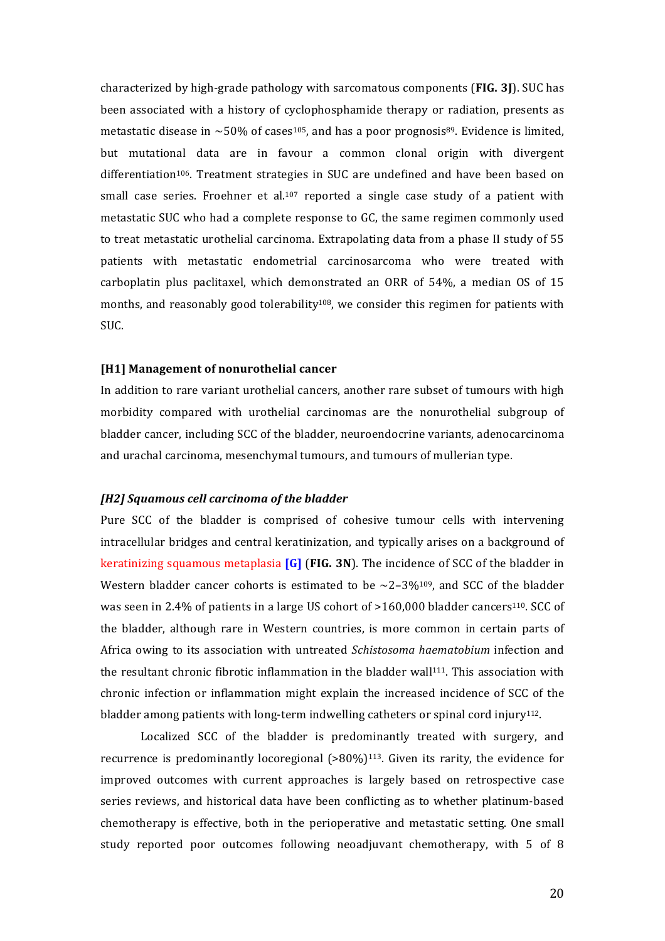characterized by high-grade pathology with sarcomatous components (**FIG. 3J**). SUC has been associated with a history of cyclophosphamide therapy or radiation, presents as metastatic disease in  $\sim$  50% of cases<sup>105</sup>, and has a poor prognosis<sup>89</sup>. Evidence is limited, but mutational data are in favour a common clonal origin with divergent differentiation<sup>106</sup>. Treatment strategies in SUC are undefined and have been based on small case series. Froehner et al.<sup>107</sup> reported a single case study of a patient with metastatic SUC who had a complete response to GC, the same regimen commonly used to treat metastatic urothelial carcinoma. Extrapolating data from a phase II study of 55 patients with metastatic endometrial carcinosarcoma who were treated with carboplatin plus paclitaxel, which demonstrated an ORR of 54%, a median OS of 15 months, and reasonably good tolerability<sup>108</sup>, we consider this regimen for patients with SUC.

#### [H1] Management of nonurothelial cancer

In addition to rare variant urothelial cancers, another rare subset of tumours with high morbidity compared with urothelial carcinomas are the nonurothelial subgroup of bladder cancer, including SCC of the bladder, neuroendocrine variants, adenocarcinoma and urachal carcinoma, mesenchymal tumours, and tumours of mullerian type.

#### *[H2] Squamous cell carcinoma of the bladder*

Pure SCC of the bladder is comprised of cohesive tumour cells with intervening intracellular bridges and central keratinization, and typically arises on a background of **keratinizing squamous metaplasia [G] (FIG. 3N).** The incidence of SCC of the bladder in Western bladder cancer cohorts is estimated to be  $\sim$ 2–3%<sup>109</sup>, and SCC of the bladder was seen in 2.4% of patients in a large US cohort of  $>160,000$  bladder cancers<sup>110</sup>. SCC of the bladder, although rare in Western countries, is more common in certain parts of Africa owing to its association with untreated *Schistosoma haematobium* infection and the resultant chronic fibrotic inflammation in the bladder wall<sup>111</sup>. This association with chronic infection or inflammation might explain the increased incidence of SCC of the bladder among patients with long-term indwelling catheters or spinal cord injury<sup>112</sup>.

Localized SCC of the bladder is predominantly treated with surgery, and recurrence is predominantly locoregional  $(>80\%)$ <sup>113</sup>. Given its rarity, the evidence for improved outcomes with current approaches is largely based on retrospective case series reviews, and historical data have been conflicting as to whether platinum-based chemotherapy is effective, both in the perioperative and metastatic setting. One small study reported poor outcomes following neoadjuvant chemotherapy, with 5 of 8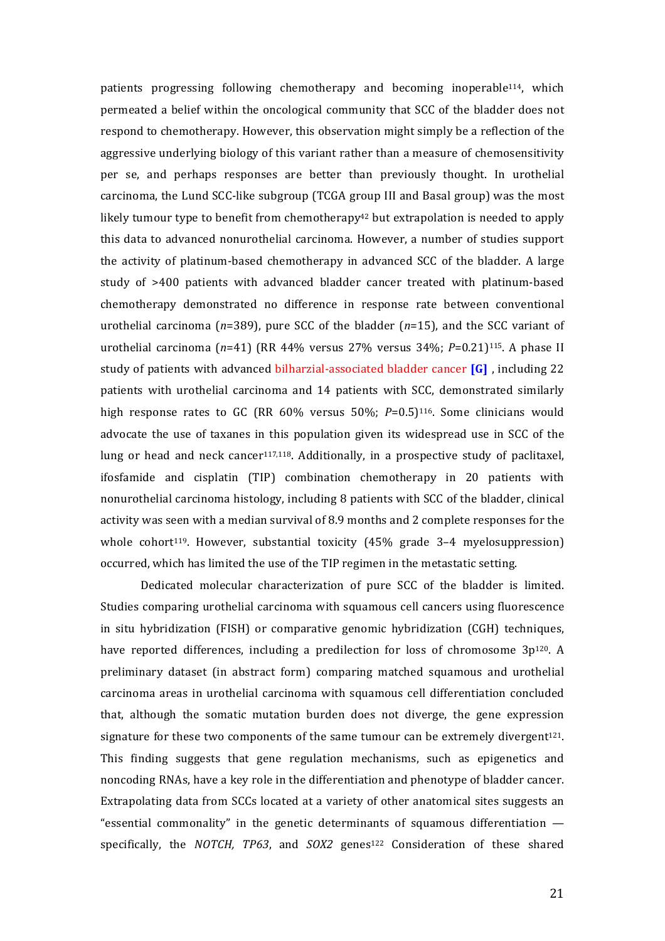patients progressing following chemotherapy and becoming inoperable<sup>114</sup>, which permeated a belief within the oncological community that SCC of the bladder does not respond to chemotherapy. However, this observation might simply be a reflection of the aggressive underlying biology of this variant rather than a measure of chemosensitivity per se, and perhaps responses are better than previously thought. In urothelial carcinoma, the Lund SCC-like subgroup (TCGA group III and Basal group) was the most likely tumour type to benefit from chemotherapy<sup>42</sup> but extrapolation is needed to apply this data to advanced nonurothelial carcinoma. However, a number of studies support the activity of platinum-based chemotherapy in advanced SCC of the bladder. A large study of >400 patients with advanced bladder cancer treated with platinum-based chemotherapy demonstrated no difference in response rate between conventional urothelial carcinoma  $(n=389)$ , pure SCC of the bladder  $(n=15)$ , and the SCC variant of urothelial carcinoma  $(n=41)$  (RR 44% versus 27% versus 34%;  $P=0.21$ )<sup>115</sup>. A phase II study of patients with advanced bilharzial-associated bladder cancer **[G]**, including 22 patients with urothelial carcinoma and 14 patients with SCC, demonstrated similarly high response rates to GC (RR  $60\%$  versus 50%;  $P=0.5$ )<sup>116</sup>. Some clinicians would advocate the use of taxanes in this population given its widespread use in SCC of the lung or head and neck cancer<sup>117,118</sup>. Additionally, in a prospective study of paclitaxel, ifosfamide and cisplatin (TIP) combination chemotherapy in 20 patients with nonurothelial carcinoma histology, including 8 patients with SCC of the bladder, clinical activity was seen with a median survival of 8.9 months and 2 complete responses for the whole cohort<sup>119</sup>. However, substantial toxicity  $(45\% \text{ grade } 3-4 \text{ myelosuppression})$ occurred, which has limited the use of the TIP regimen in the metastatic setting.

Dedicated molecular characterization of pure SCC of the bladder is limited. Studies comparing urothelial carcinoma with squamous cell cancers using fluorescence in situ hybridization (FISH) or comparative genomic hybridization (CGH) techniques, have reported differences, including a predilection for loss of chromosome  $3p^{120}$ . A preliminary dataset (in abstract form) comparing matched squamous and urothelial carcinoma areas in urothelial carcinoma with squamous cell differentiation concluded that, although the somatic mutation burden does not diverge, the gene expression signature for these two components of the same tumour can be extremely divergent<sup>121</sup>. This finding suggests that gene regulation mechanisms, such as epigenetics and noncoding RNAs, have a key role in the differentiation and phenotype of bladder cancer. Extrapolating data from SCCs located at a variety of other anatomical sites suggests an "essential commonality" in the genetic determinants of squamous differentiation  $$ specifically, the *NOTCH*, *TP63*, and *SOX2* genes<sup>122</sup> Consideration of these shared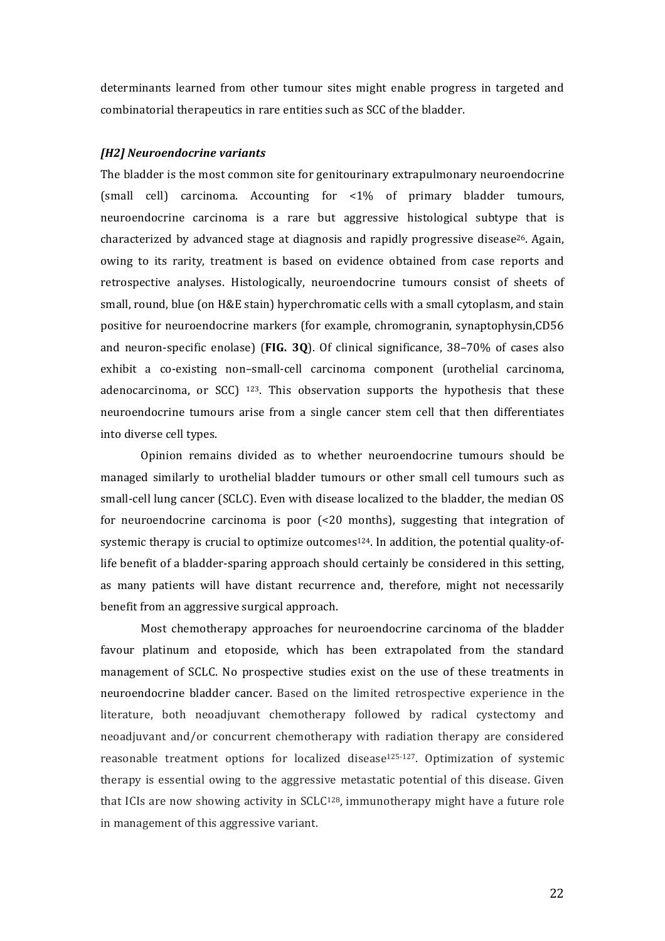determinants learned from other tumour sites might enable progress in targeted and combinatorial therapeutics in rare entities such as SCC of the bladder.

## *[H2] Neuroendocrine variants*

The bladder is the most common site for genitourinary extrapulmonary neuroendocrine (small cell) carcinoma. Accounting for  $\langle 1\% \rangle$  of primary bladder tumours, neuroendocrine carcinoma is a rare but aggressive histological subtype that is characterized by advanced stage at diagnosis and rapidly progressive disease<sup>26</sup>. Again, owing to its rarity, treatment is based on evidence obtained from case reports and retrospective analyses. Histologically, neuroendocrine tumours consist of sheets of small, round, blue (on H&E stain) hyperchromatic cells with a small cytoplasm, and stain positive for neuroendocrine markers (for example, chromogranin, synaptophysin,CD56 and neuron-specific enolase) (**FIG. 30**). Of clinical significance, 38–70% of cases also exhibit a co-existing non-small-cell carcinoma component (urothelial carcinoma, adenocarcinoma, or  $SCC$ ) <sup>123</sup>. This observation supports the hypothesis that these neuroendocrine tumours arise from a single cancer stem cell that then differentiates into diverse cell types.

Opinion remains divided as to whether neuroendocrine tumours should be managed similarly to urothelial bladder tumours or other small cell tumours such as small-cell lung cancer (SCLC). Even with disease localized to the bladder, the median OS for neuroendocrine carcinoma is poor  $\left( < 20 \right)$  months), suggesting that integration of systemic therapy is crucial to optimize outcomes<sup>124</sup>. In addition, the potential quality-oflife benefit of a bladder-sparing approach should certainly be considered in this setting, as many patients will have distant recurrence and, therefore, might not necessarily benefit from an aggressive surgical approach.

Most chemotherapy approaches for neuroendocrine carcinoma of the bladder favour platinum and etoposide, which has been extrapolated from the standard management of SCLC. No prospective studies exist on the use of these treatments in neuroendocrine bladder cancer. Based on the limited retrospective experience in the literature, both neoadjuvant chemotherapy followed by radical cystectomy and neoadjuvant and/or concurrent chemotherapy with radiation therapy are considered reasonable treatment options for localized disease<sup>125-127</sup>. Optimization of systemic therapy is essential owing to the aggressive metastatic potential of this disease. Given that ICIs are now showing activity in  $SCLC^{128}$ , immunotherapy might have a future role in management of this aggressive variant.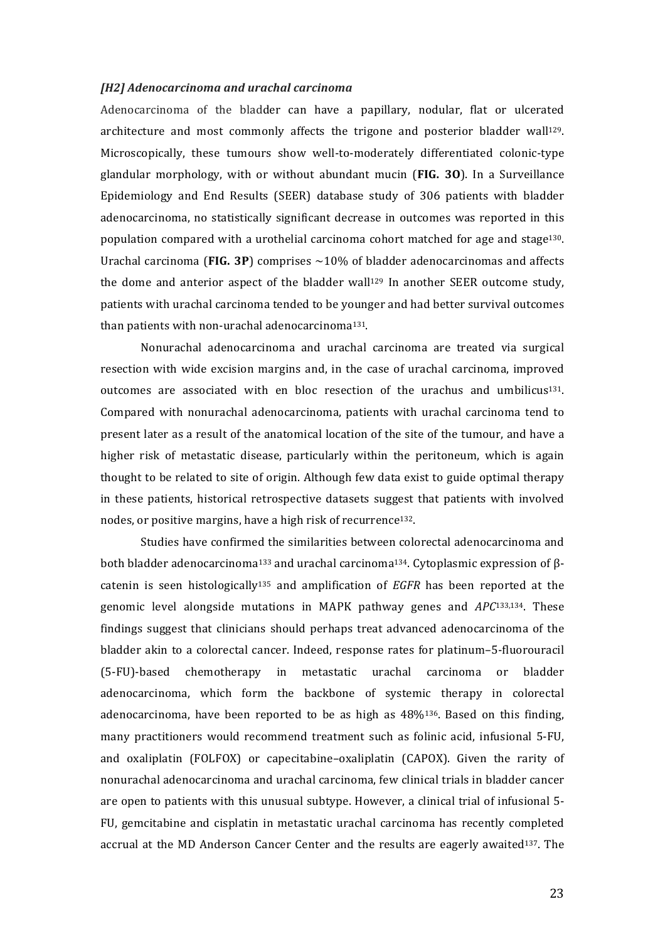#### *[H2] Adenocarcinoma and urachal carcinoma*

Adenocarcinoma of the bladder can have a papillary, nodular, flat or ulcerated architecture and most commonly affects the trigone and posterior bladder wall<sup>129</sup>. Microscopically, these tumours show well-to-moderately differentiated colonic-type glandular morphology, with or without abundant mucin (FIG. 30). In a Surveillance Epidemiology and End Results (SEER) database study of 306 patients with bladder adenocarcinoma, no statistically significant decrease in outcomes was reported in this population compared with a urothelial carcinoma cohort matched for age and stage<sup>130</sup>. Urachal carcinoma (FIG. 3P) comprises  $\sim$ 10% of bladder adenocarcinomas and affects the dome and anterior aspect of the bladder wall<sup>129</sup> In another SEER outcome study, patients with urachal carcinoma tended to be younger and had better survival outcomes than patients with non-urachal adenocarcinoma<sup>131</sup>.

Nonurachal adenocarcinoma and urachal carcinoma are treated via surgical resection with wide excision margins and, in the case of urachal carcinoma, improved outcomes are associated with en bloc resection of the urachus and umbilicus<sup>131</sup>. Compared with nonurachal adenocarcinoma, patients with urachal carcinoma tend to present later as a result of the anatomical location of the site of the tumour, and have a higher risk of metastatic disease, particularly within the peritoneum, which is again thought to be related to site of origin. Although few data exist to guide optimal therapy in these patients, historical retrospective datasets suggest that patients with involved nodes, or positive margins, have a high risk of recurrence<sup>132</sup>.

Studies have confirmed the similarities between colorectal adenocarcinoma and both bladder adenocarcinoma<sup>133</sup> and urachal carcinoma<sup>134</sup>. Cytoplasmic expression of  $\beta$ catenin is seen histologically<sup>135</sup> and amplification of *EGFR* has been reported at the genomic level alongside mutations in MAPK pathway genes and *APC*<sup>133,134</sup>. These findings suggest that clinicians should perhaps treat advanced adenocarcinoma of the bladder akin to a colorectal cancer. Indeed, response rates for platinum-5-fluorouracil (5-FU)-based chemotherapy in metastatic urachal carcinoma or bladder adenocarcinoma, which form the backbone of systemic therapy in colorectal adenocarcinoma, have been reported to be as high as  $48\frac{136}{136}$ . Based on this finding, many practitioners would recommend treatment such as folinic acid, infusional 5-FU, and oxaliplatin (FOLFOX) or capecitabine–oxaliplatin (CAPOX). Given the rarity of nonurachal adenocarcinoma and urachal carcinoma, few clinical trials in bladder cancer are open to patients with this unusual subtype. However, a clinical trial of infusional 5-FU, gemcitabine and cisplatin in metastatic urachal carcinoma has recently completed accrual at the MD Anderson Cancer Center and the results are eagerly awaited<sup>137</sup>. The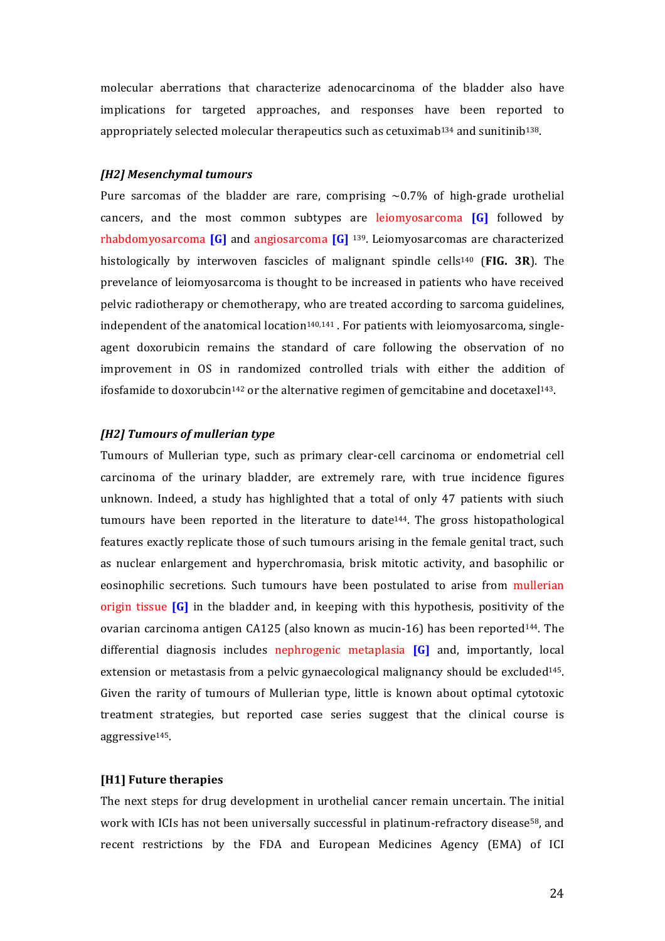molecular aberrations that characterize adenocarcinoma of the bladder also have implications for targeted approaches, and responses have been reported to appropriately selected molecular therapeutics such as cetuximab<sup>134</sup> and sunitinib<sup>138</sup>.

#### *[H2] Mesenchymal tumours*

Pure sarcomas of the bladder are rare, comprising  $\sim 0.7\%$  of high-grade urothelial cancers, and the most common subtypes are leiomyosarcoma [G] followed by rhabdomyosarcoma **[G]** and angiosarcoma **[G]** <sup>139</sup>. Leiomyosarcomas are characterized histologically by interwoven fascicles of malignant spindle cells<sup>140</sup> (FIG. 3R). The prevelance of leiomyosarcoma is thought to be increased in patients who have received pelvic radiotherapy or chemotherapy, who are treated according to sarcoma guidelines, independent of the anatomical location<sup>140,141</sup>. For patients with leiomyosarcoma, singleagent doxorubicin remains the standard of care following the observation of no improvement in OS in randomized controlled trials with either the addition of ifosfamide to doxorubcin<sup>142</sup> or the alternative regimen of gemcitabine and docetaxel<sup>143</sup>.

## *[H2] Tumours of mullerian type*

Tumours of Mullerian type, such as primary clear-cell carcinoma or endometrial cell carcinoma of the urinary bladder, are extremely rare, with true incidence figures unknown. Indeed, a study has highlighted that a total of only  $47$  patients with siuch tumours have been reported in the literature to date<sup>144</sup>. The gross histopathological features exactly replicate those of such tumours arising in the female genital tract, such as nuclear enlargement and hyperchromasia, brisk mitotic activity, and basophilic or eosinophilic secretions. Such tumours have been postulated to arise from mullerian origin tissue **[G]** in the bladder and, in keeping with this hypothesis, positivity of the ovarian carcinoma antigen CA125 (also known as mucin-16) has been reported<sup>144</sup>. The differential diagnosis includes nephrogenic metaplasia **[G]** and, importantly, local extension or metastasis from a pelvic gynaecological malignancy should be excluded<sup>145</sup>. Given the rarity of tumours of Mullerian type, little is known about optimal cytotoxic treatment strategies, but reported case series suggest that the clinical course is aggressive145.

#### **[H1] Future therapies**

The next steps for drug development in urothelial cancer remain uncertain. The initial work with ICIs has not been universally successful in platinum-refractory disease<sup>58</sup>, and recent restrictions by the FDA and European Medicines Agency (EMA) of ICI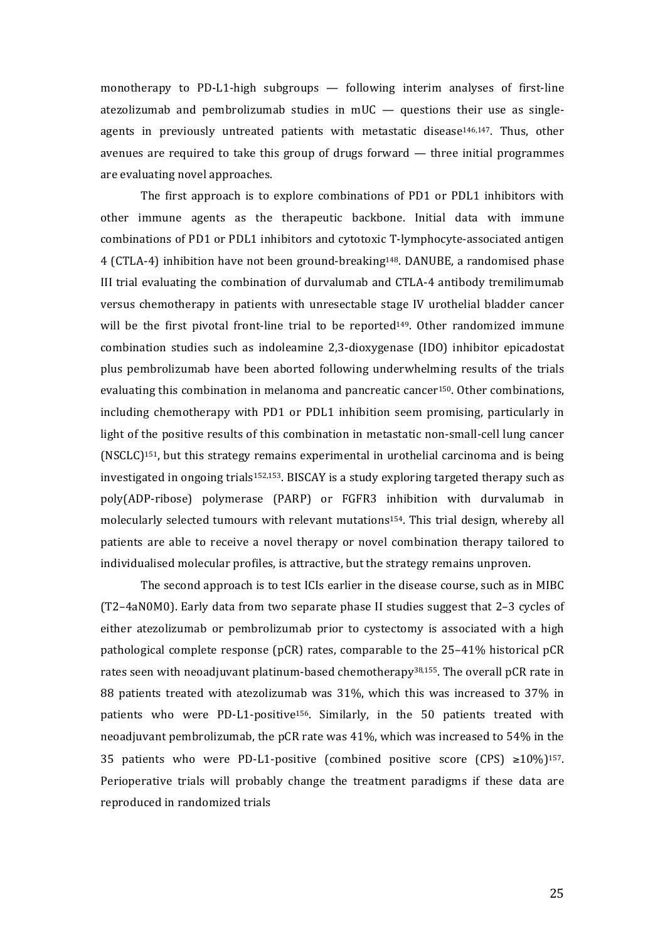monotherapy to PD-L1-high subgroups  $-$  following interim analyses of first-line atezolizumab and pembrolizumab studies in  $mUC -$  questions their use as singleagents in previously untreated patients with metastatic disease<sup>146,147</sup>. Thus, other avenues are required to take this group of drugs forward  $-$  three initial programmes are evaluating novel approaches.

The first approach is to explore combinations of PD1 or PDL1 inhibitors with other immune agents as the therapeutic backbone. Initial data with immune combinations of PD1 or PDL1 inhibitors and cytotoxic T-lymphocyte-associated antigen 4 (CTLA-4) inhibition have not been ground-breaking<sup>148</sup>. DANUBE, a randomised phase III trial evaluating the combination of durvalumab and CTLA-4 antibody tremilimumab versus chemotherapy in patients with unresectable stage IV urothelial bladder cancer will be the first pivotal front-line trial to be reported<sup>149</sup>. Other randomized immune combination studies such as indoleamine 2,3-dioxygenase (IDO) inhibitor epicadostat plus pembrolizumab have been aborted following underwhelming results of the trials evaluating this combination in melanoma and pancreatic cancer<sup>150</sup>. Other combinations, including chemotherapy with PD1 or PDL1 inhibition seem promising, particularly in light of the positive results of this combination in metastatic non-small-cell lung cancer (NSCLC)<sup>151</sup>, but this strategy remains experimental in urothelial carcinoma and is being investigated in ongoing trials<sup>152,153</sup>. BISCAY is a study exploring targeted therapy such as poly(ADP-ribose) polymerase (PARP) or FGFR3 inhibition with durvalumab in molecularly selected tumours with relevant mutations<sup>154</sup>. This trial design, whereby all patients are able to receive a novel therapy or novel combination therapy tailored to individualised molecular profiles, is attractive, but the strategy remains unproven.

The second approach is to test ICIs earlier in the disease course, such as in MIBC  $(T2-4aN0M0)$ . Early data from two separate phase II studies suggest that 2-3 cycles of either atezolizumab or pembrolizumab prior to cystectomy is associated with a high pathological complete response (pCR) rates, comparable to the 25-41% historical pCR rates seen with neoadjuvant platinum-based chemotherapy<sup>38,155</sup>. The overall pCR rate in 88 patients treated with atezolizumab was 31%, which this was increased to 37% in patients who were PD-L1-positive<sup>156</sup>. Similarly, in the 50 patients treated with neoadjuvant pembrolizumab, the pCR rate was  $41\%$ , which was increased to  $54\%$  in the 35 patients who were PD-L1-positive (combined positive score (CPS)  $\geq 10\%$ )<sup>157</sup>. Perioperative trials will probably change the treatment paradigms if these data are reproduced in randomized trials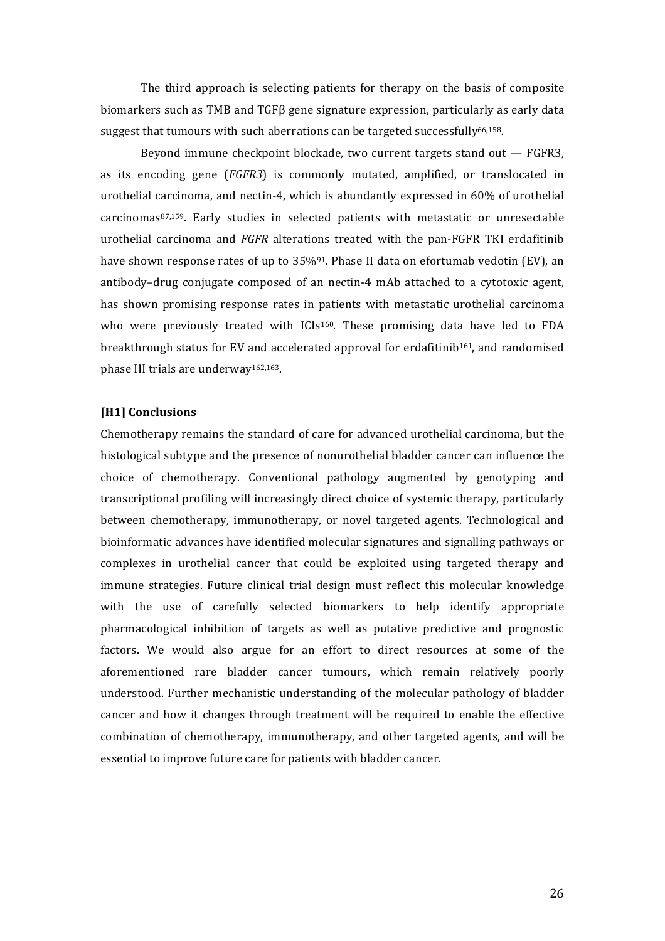The third approach is selecting patients for therapy on the basis of composite biomarkers such as TMB and  $TGF\beta$  gene signature expression, particularly as early data suggest that tumours with such aberrations can be targeted successfully<sup>66,158</sup>.

Beyond immune checkpoint blockade, two current targets stand out  $-$  FGFR3, as its encoding gene (*FGFR3*) is commonly mutated, amplified, or translocated in urothelial carcinoma, and nectin-4, which is abundantly expressed in  $60\%$  of urothelial carcinomas<sup>87,159</sup>. Early studies in selected patients with metastatic or unresectable urothelial carcinoma and *FGFR* alterations treated with the pan-FGFR TKI erdafitinib have shown response rates of up to  $35\%$ <sup>91</sup>. Phase II data on efortumab vedotin (EV), an antibody-drug conjugate composed of an nectin-4 mAb attached to a cytotoxic agent, has shown promising response rates in patients with metastatic urothelial carcinoma who were previously treated with ICIs<sup>160</sup>. These promising data have led to FDA breakthrough status for EV and accelerated approval for erdafitinib<sup>161</sup>, and randomised phase III trials are underway<sup>162,163</sup>.

## [H1] Conclusions

Chemotherapy remains the standard of care for advanced urothelial carcinoma, but the histological subtype and the presence of nonurothelial bladder cancer can influence the choice of chemotherapy. Conventional pathology augmented by genotyping and transcriptional profiling will increasingly direct choice of systemic therapy, particularly between chemotherapy, immunotherapy, or novel targeted agents. Technological and bioinformatic advances have identified molecular signatures and signalling pathways or complexes in urothelial cancer that could be exploited using targeted therapy and immune strategies. Future clinical trial design must reflect this molecular knowledge with the use of carefully selected biomarkers to help identify appropriate pharmacological inhibition of targets as well as putative predictive and prognostic factors. We would also argue for an effort to direct resources at some of the aforementioned rare bladder cancer tumours, which remain relatively poorly understood. Further mechanistic understanding of the molecular pathology of bladder cancer and how it changes through treatment will be required to enable the effective combination of chemotherapy, immunotherapy, and other targeted agents, and will be essential to improve future care for patients with bladder cancer.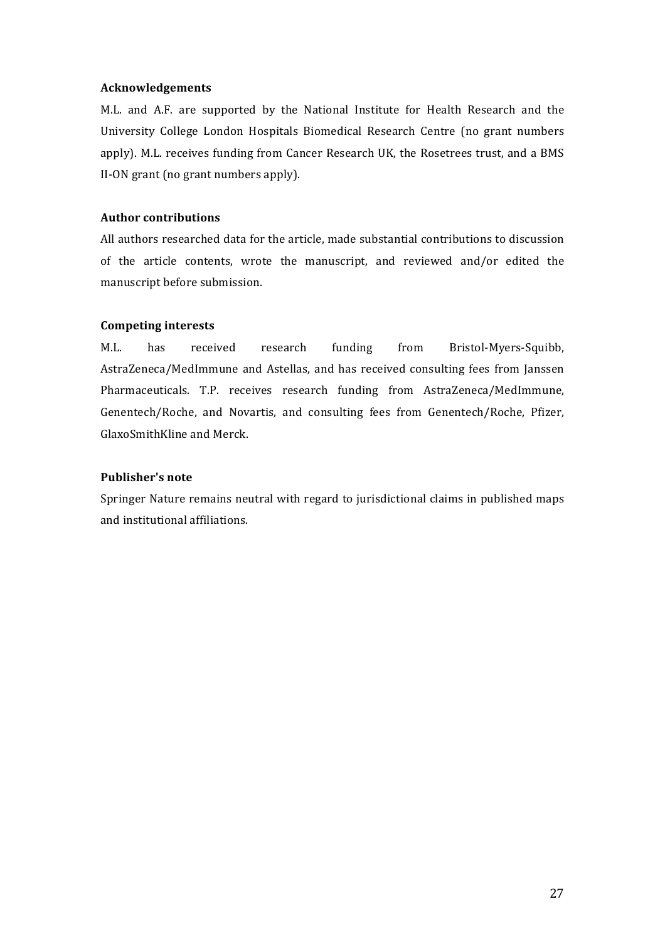## **Acknowledgements**

M.L. and A.F. are supported by the National Institute for Health Research and the University College London Hospitals Biomedical Research Centre (no grant numbers apply). M.L. receives funding from Cancer Research UK, the Rosetrees trust, and a BMS II-ON grant (no grant numbers apply).

# **Author contributions**

All authors researched data for the article, made substantial contributions to discussion of the article contents, wrote the manuscript, and reviewed and/or edited the manuscript before submission.

# **Competing interests**

M.L. has received research funding from Bristol-Myers-Squibb, AstraZeneca/MedImmune and Astellas, and has received consulting fees from Janssen Pharmaceuticals. T.P. receives research funding from AstraZeneca/MedImmune, Genentech/Roche, and Novartis, and consulting fees from Genentech/Roche, Pfizer, GlaxoSmithKline and Merck.

# **Publisher's note**

Springer Nature remains neutral with regard to jurisdictional claims in published maps and institutional affiliations.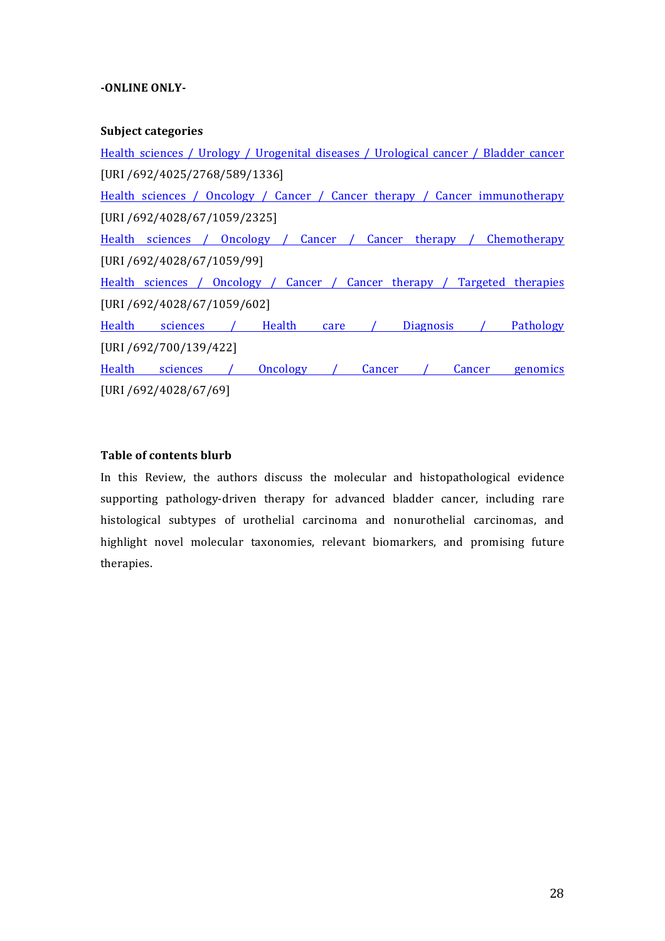## **-ONLINE ONLY-**

## **Subject categories**

Health sciences / Urology / Urogenital diseases / Urological cancer / Bladder cancer [URI /692/4025/2768/589/1336] Health sciences / Oncology / Cancer / Cancer therapy / Cancer immunotherapy [URI /692/4028/67/1059/2325] Health sciences / Oncology / Cancer / Cancer therapy / Chemotherapy [URI /692/4028/67/1059/99] Health sciences / Oncology / Cancer / Cancer therapy / Targeted therapies [URI /692/4028/67/1059/602] Health sciences / Health care / Diagnosis / Pathology [URI /692/700/139/422] Health sciences / Oncology / Cancer / Cancer genomics [URI /692/4028/67/69]

## **Table of contents blurb**

In this Review, the authors discuss the molecular and histopathological evidence supporting pathology-driven therapy for advanced bladder cancer, including rare histological subtypes of urothelial carcinoma and nonurothelial carcinomas, and highlight novel molecular taxonomies, relevant biomarkers, and promising future therapies.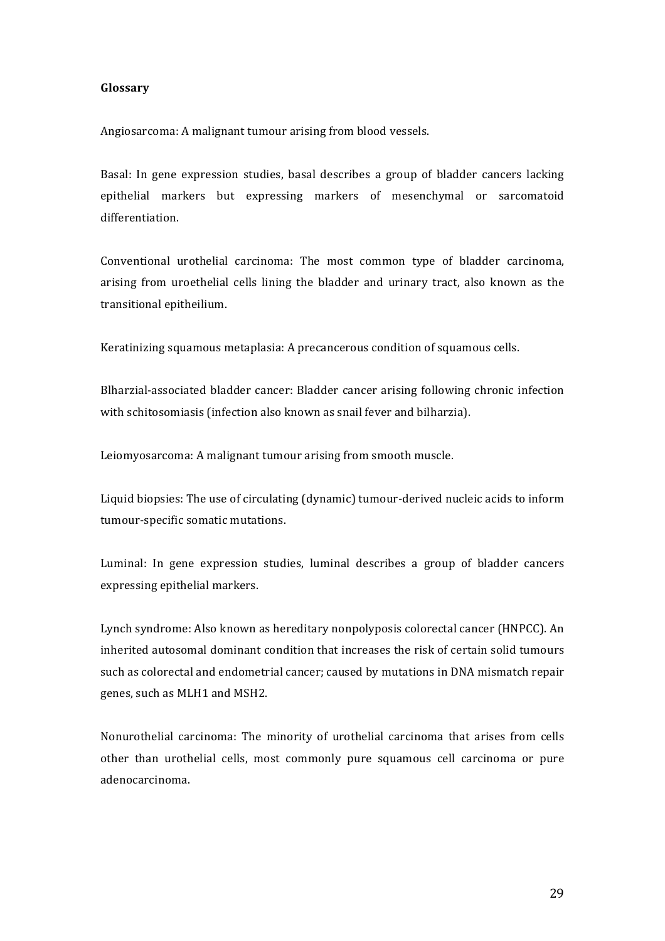#### **Glossary**

Angiosarcoma: A malignant tumour arising from blood vessels.

Basal: In gene expression studies, basal describes a group of bladder cancers lacking epithelial markers but expressing markers of mesenchymal or sarcomatoid differentiation.

Conventional urothelial carcinoma: The most common type of bladder carcinoma, arising from uroethelial cells lining the bladder and urinary tract, also known as the transitional epitheilium.

Keratinizing squamous metaplasia: A precancerous condition of squamous cells.

Blharzial-associated bladder cancer: Bladder cancer arising following chronic infection with schitosomiasis (infection also known as snail fever and bilharzia).

Leiomyosarcoma: A malignant tumour arising from smooth muscle.

Liquid biopsies: The use of circulating (dynamic) tumour-derived nucleic acids to inform tumour-specific somatic mutations.

Luminal: In gene expression studies, luminal describes a group of bladder cancers expressing epithelial markers.

Lynch syndrome: Also known as hereditary nonpolyposis colorectal cancer (HNPCC). An inherited autosomal dominant condition that increases the risk of certain solid tumours such as colorectal and endometrial cancer; caused by mutations in DNA mismatch repair genes, such as MLH1 and MSH2.

Nonurothelial carcinoma: The minority of urothelial carcinoma that arises from cells other than urothelial cells, most commonly pure squamous cell carcinoma or pure adenocarcinoma.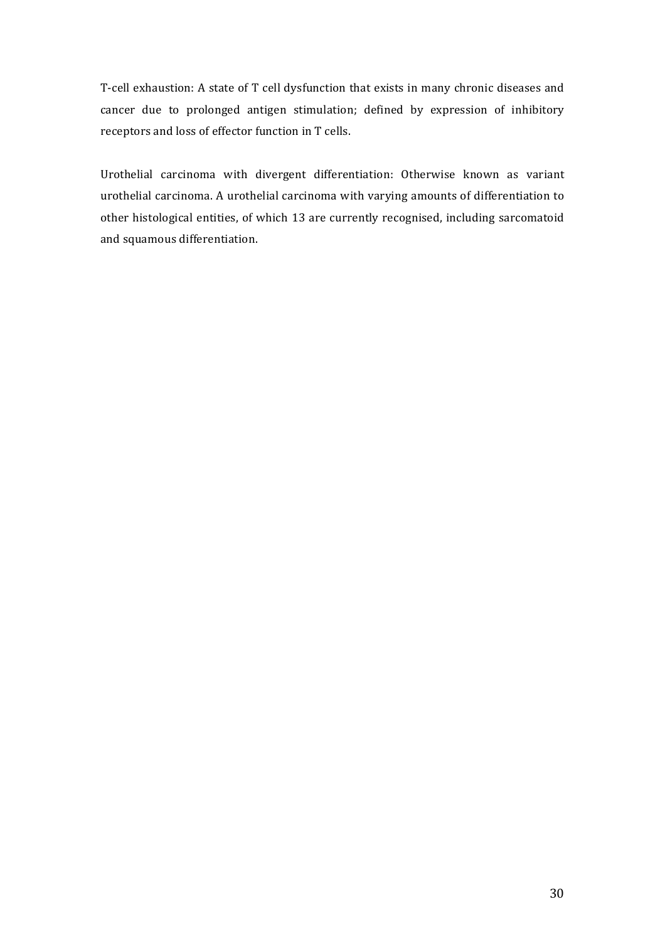T-cell exhaustion: A state of T cell dysfunction that exists in many chronic diseases and cancer due to prolonged antigen stimulation; defined by expression of inhibitory receptors and loss of effector function in T cells.

Urothelial carcinoma with divergent differentiation: Otherwise known as variant urothelial carcinoma. A urothelial carcinoma with varying amounts of differentiation to other histological entities, of which 13 are currently recognised, including sarcomatoid and squamous differentiation.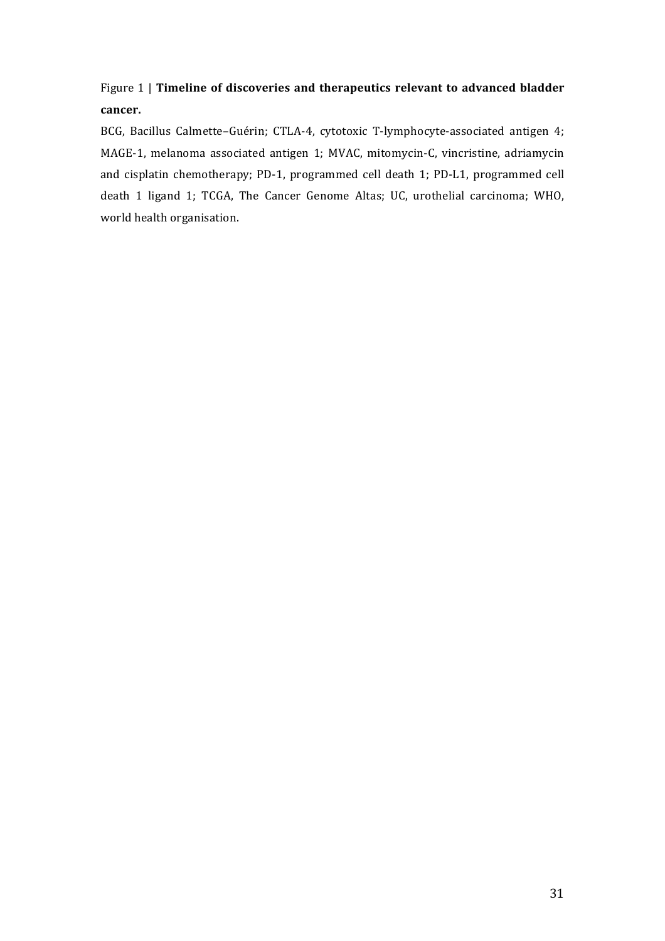Figure 1 | **Timeline of discoveries and therapeutics relevant to advanced bladder cancer.**

BCG, Bacillus Calmette-Guérin; CTLA-4, cytotoxic T-lymphocyte-associated antigen 4; MAGE-1, melanoma associated antigen 1; MVAC, mitomycin-C, vincristine, adriamycin and cisplatin chemotherapy; PD-1, programmed cell death 1; PD-L1, programmed cell death 1 ligand 1; TCGA, The Cancer Genome Altas; UC, urothelial carcinoma; WHO, world health organisation.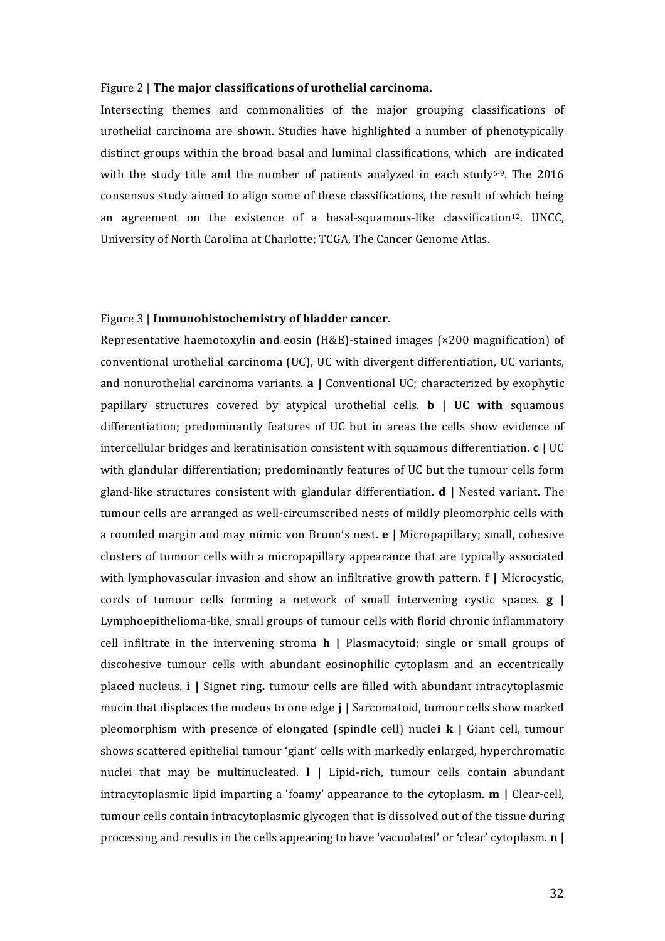#### Figure 2 | **The major classifications of urothelial carcinoma.**

Intersecting themes and commonalities of the major grouping classifications of urothelial carcinoma are shown. Studies have highlighted a number of phenotypically distinct groups within the broad basal and luminal classifications, which are indicated with the study title and the number of patients analyzed in each study<sup>6-9</sup>. The 2016 consensus study aimed to align some of these classifications, the result of which being an agreement on the existence of a basal-squamous-like classification<sup>12</sup>. UNCC, University of North Carolina at Charlotte: TCGA, The Cancer Genome Atlas.

#### Figure 3 | **Immunohistochemistry of bladder cancer.**

Representative haemotoxylin and eosin (H&E)-stained images ( $\times$ 200 magnification) of conventional urothelial carcinoma (UC), UC with divergent differentiation, UC variants, and nonurothelial carcinoma variants. **a** | Conventional UC; characterized by exophytic papillary structures covered by atypical urothelial cells. **b** | **UC** with squamous differentiation; predominantly features of UC but in areas the cells show evidence of intercellular bridges and keratinisation consistent with squamous differentiation. **c** | UC with glandular differentiation; predominantly features of UC but the tumour cells form gland-like structures consistent with glandular differentiation.  $\mathbf{d}$  | Nested variant. The tumour cells are arranged as well-circumscribed nests of mildly pleomorphic cells with a rounded margin and may mimic von Brunn's nest. **e** | Micropapillary; small, cohesive clusters of tumour cells with a micropapillary appearance that are typically associated with lymphovascular invasion and show an infiltrative growth pattern. **f** | Microcystic, cords of tumour cells forming a network of small intervening cystic spaces. **g** | Lymphoepithelioma-like, small groups of tumour cells with florid chronic inflammatory cell infiltrate in the intervening stroma **h** | Plasmacytoid; single or small groups of discohesive tumour cells with abundant eosinophilic cytoplasm and an eccentrically placed nucleus. **i** | Signet ring. tumour cells are filled with abundant intracytoplasmic mucin that displaces the nucleus to one edge **j** | Sarcomatoid, tumour cells show marked pleomorphism with presence of elongated (spindle cell) nuclei **k** | Giant cell, tumour shows scattered epithelial tumour 'giant' cells with markedly enlarged, hyperchromatic nuclei that may be multinucleated. **I** | Lipid-rich, tumour cells contain abundant intracytoplasmic lipid imparting a 'foamy' appearance to the cytoplasm. **m** | Clear-cell, tumour cells contain intracytoplasmic glycogen that is dissolved out of the tissue during processing and results in the cells appearing to have 'vacuolated' or 'clear' cytoplasm. **n** |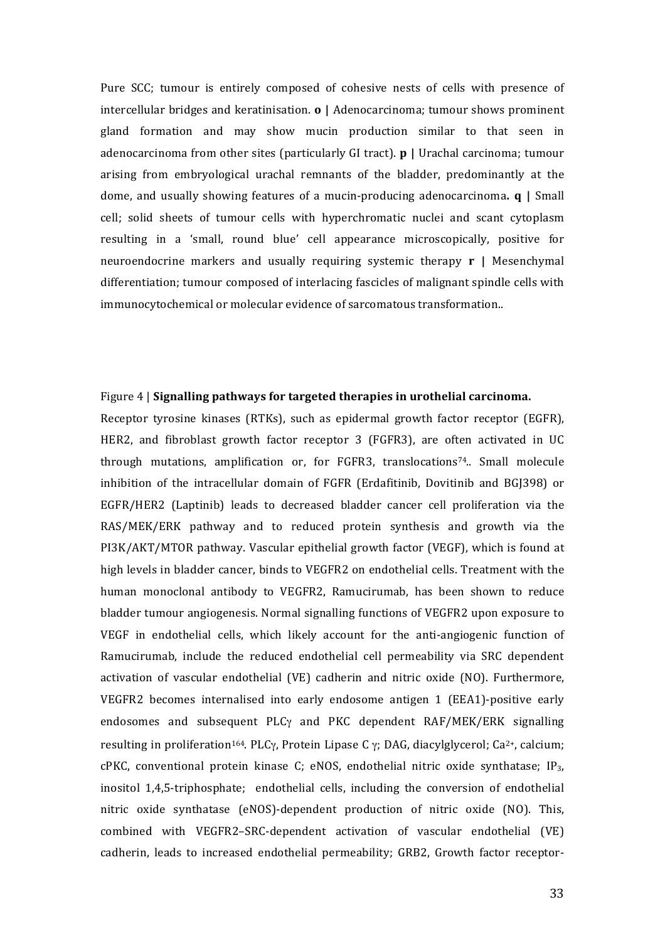Pure SCC; tumour is entirely composed of cohesive nests of cells with presence of intercellular bridges and keratinisation. **o** | Adenocarcinoma; tumour shows prominent gland formation and may show mucin production similar to that seen in adenocarcinoma from other sites (particularly GI tract). **p** | Urachal carcinoma; tumour arising from embryological urachal remnants of the bladder, predominantly at the dome, and usually showing features of a mucin-producing adenocarcinoma. **q** | Small cell; solid sheets of tumour cells with hyperchromatic nuclei and scant cytoplasm resulting in a 'small, round blue' cell appearance microscopically, positive for neuroendocrine markers and usually requiring systemic therapy **r** | Mesenchymal differentiation; tumour composed of interlacing fascicles of malignant spindle cells with immunocytochemical or molecular evidence of sarcomatous transformation..

## Figure 4 | Signalling pathways for targeted therapies in urothelial carcinoma.

Receptor tyrosine kinases (RTKs), such as epidermal growth factor receptor (EGFR), HER2, and fibroblast growth factor receptor 3 (FGFR3), are often activated in UC through mutations, amplification or, for FGFR3, translocations<sup>74</sup>.. Small molecule inhibition of the intracellular domain of FGFR (Erdafitinib, Dovitinib and BGJ398) or EGFR/HER2 (Laptinib) leads to decreased bladder cancer cell proliferation via the RAS/MEK/ERK pathway and to reduced protein synthesis and growth via the PI3K/AKT/MTOR pathway. Vascular epithelial growth factor (VEGF), which is found at high levels in bladder cancer, binds to VEGFR2 on endothelial cells. Treatment with the human monoclonal antibody to VEGFR2, Ramucirumab, has been shown to reduce bladder tumour angiogenesis. Normal signalling functions of VEGFR2 upon exposure to VEGF in endothelial cells, which likely account for the anti-angiogenic function of Ramucirumab, include the reduced endothelial cell permeability via SRC dependent activation of vascular endothelial (VE) cadherin and nitric oxide (NO). Furthermore, VEGFR2 becomes internalised into early endosome antigen 1 (EEA1)-positive early endosomes and subsequent PLC $\gamma$  and PKC dependent RAF/MEK/ERK signalling resulting in proliferation<sup>164</sup>. PLCγ, Protein Lipase C γ; DAG, diacylglycerol; Ca<sup>2+</sup>, calcium;  $cPKC$ , conventional protein kinase C; eNOS, endothelial nitric oxide synthatase;  $IP<sub>3</sub>$ , inositol 1,4,5-triphosphate; endothelial cells, including the conversion of endothelial nitric oxide synthatase (eNOS)-dependent production of nitric oxide (NO). This, combined with VEGFR2-SRC-dependent activation of vascular endothelial (VE) cadherin, leads to increased endothelial permeability; GRB2, Growth factor receptor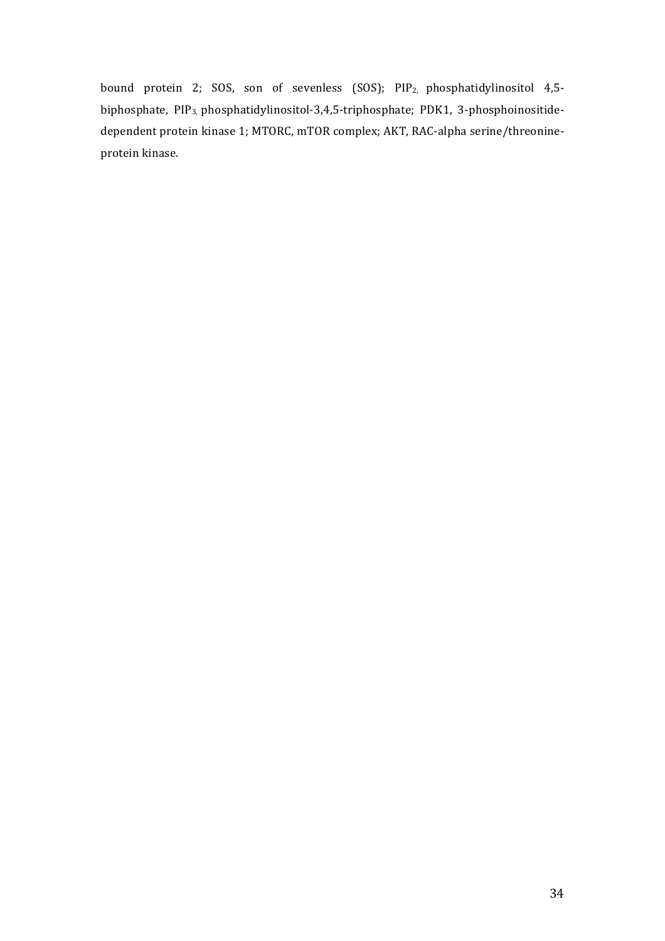bound protein 2; SOS, son of sevenless (SOS); PIP<sub>2</sub>, phosphatidylinositol 4,5biphosphate, PIP<sub>3,</sub> phosphatidylinositol-3,4,5-triphosphate; PDK1, 3-phosphoinositidedependent protein kinase 1; MTORC, mTOR complex; AKT, RAC-alpha serine/threonineprotein kinase.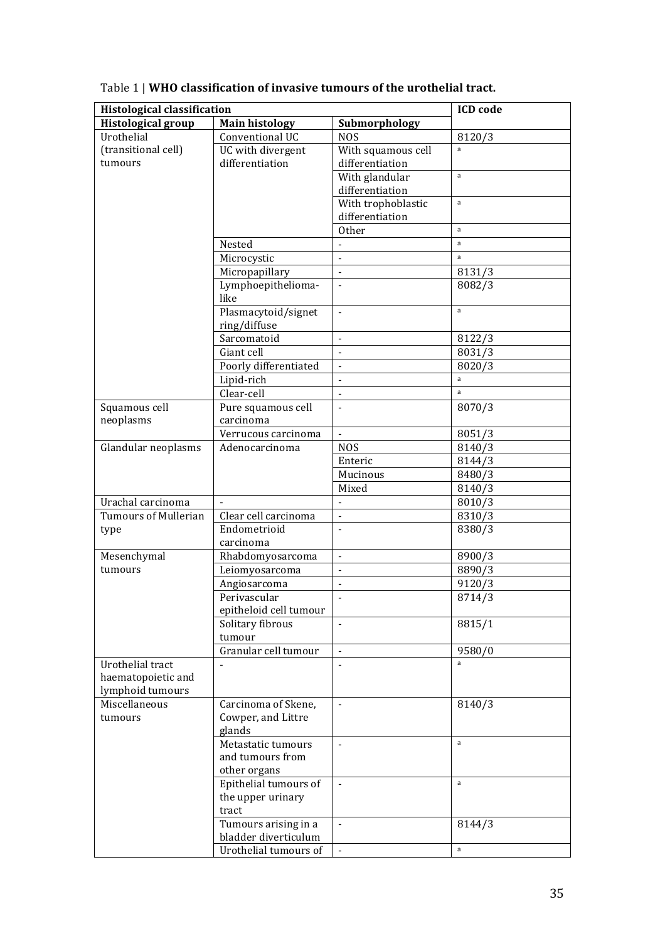| <b>Histological classification</b> |                        |                    | <b>ICD</b> code |
|------------------------------------|------------------------|--------------------|-----------------|
| <b>Histological group</b>          | <b>Main histology</b>  | Submorphology      |                 |
| Urothelial                         | Conventional UC        | <b>NOS</b>         | 8120/3          |
| (transitional cell)                | UC with divergent      | With squamous cell | a               |
| tumours                            | differentiation        | differentiation    |                 |
|                                    |                        | With glandular     | a               |
|                                    |                        | differentiation    |                 |
|                                    |                        | With trophoblastic | a               |
|                                    |                        | differentiation    |                 |
|                                    |                        | <b>Other</b>       | $\mathbf{a}$    |
|                                    | Nested                 | $\blacksquare$     | a               |
|                                    | Microcystic            | $\blacksquare$     | a               |
|                                    | Micropapillary         | $\blacksquare$     | 8131/3          |
|                                    | Lymphoepithelioma-     |                    | 8082/3          |
|                                    | like                   |                    |                 |
|                                    | Plasmacytoid/signet    | ä,                 | $\mathbf{a}$    |
|                                    | ring/diffuse           |                    |                 |
|                                    | Sarcomatoid            |                    | 8122/3          |
|                                    | Giant cell             | $\blacksquare$     | 8031/3          |
|                                    | Poorly differentiated  | $\blacksquare$     | 8020/3          |
|                                    | Lipid-rich             | $\blacksquare$     | a               |
|                                    | Clear-cell             | $\blacksquare$     | a               |
| Squamous cell                      | Pure squamous cell     | $\blacksquare$     | 8070/3          |
| neoplasms                          | carcinoma              |                    |                 |
|                                    | Verrucous carcinoma    | $\blacksquare$     | 8051/3          |
| Glandular neoplasms                | Adenocarcinoma         | <b>NOS</b>         | 8140/3          |
|                                    |                        | Enteric            | 8144/3          |
|                                    |                        | Mucinous           | 8480/3          |
|                                    |                        | Mixed              | 8140/3          |
| Urachal carcinoma                  |                        | $\blacksquare$     | 8010/3          |
| <b>Tumours of Mullerian</b>        | Clear cell carcinoma   | $\blacksquare$     | 8310/3          |
| type                               | Endometrioid           | $\blacksquare$     | 8380/3          |
|                                    | carcinoma              |                    |                 |
| Mesenchymal                        | Rhabdomyosarcoma       | $\blacksquare$     | 8900/3          |
| tumours                            | Leiomyosarcoma         | $\blacksquare$     | 8890/3          |
|                                    | Angiosarcoma           | $\blacksquare$     | 9120/3          |
|                                    | Perivascular           |                    | 8714/3          |
|                                    | epitheloid cell tumour |                    |                 |
|                                    | Solitary fibrous       | $\blacksquare$     | 8815/1          |
|                                    | tumour                 |                    |                 |
|                                    | Granular cell tumour   | $\blacksquare$     | 9580/0          |
| Urothelial tract                   |                        |                    | a               |
| haematopoietic and                 |                        |                    |                 |
| lymphoid tumours                   |                        |                    |                 |
| Miscellaneous                      | Carcinoma of Skene,    | $\blacksquare$     | 8140/3          |
| tumours                            | Cowper, and Littre     |                    |                 |
|                                    | glands                 |                    |                 |
|                                    | Metastatic tumours     | $\blacksquare$     | a               |
|                                    | and tumours from       |                    |                 |
|                                    | other organs           |                    |                 |
|                                    | Epithelial tumours of  | $\blacksquare$     | $\mathbf{a}$    |
|                                    | the upper urinary      |                    |                 |
|                                    | tract                  |                    |                 |
|                                    | Tumours arising in a   |                    | 8144/3          |
|                                    | bladder diverticulum   |                    |                 |
|                                    | Urothelial tumours of  |                    | a               |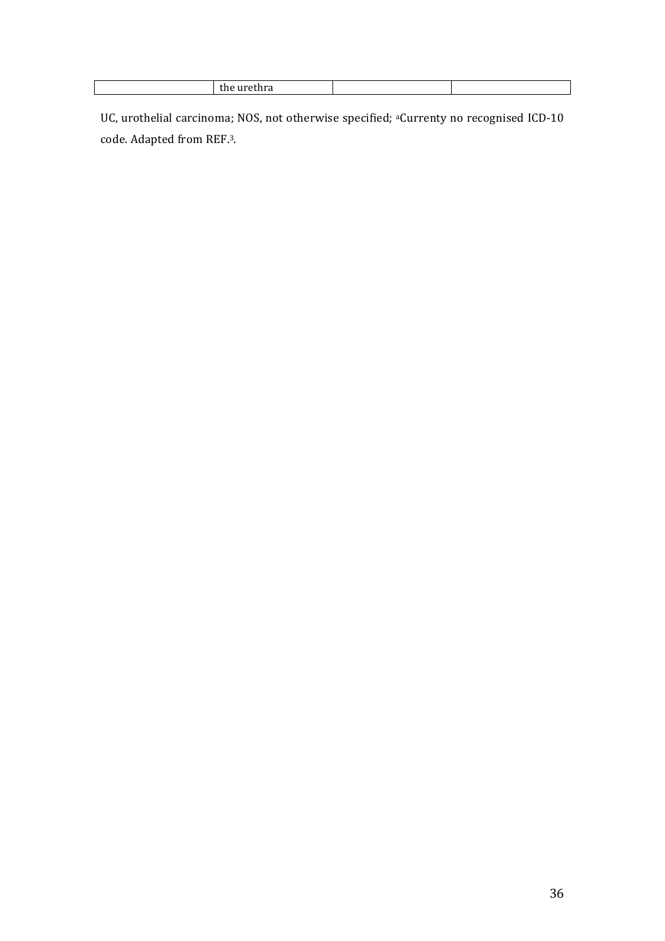| . |  |
|---|--|
|   |  |

UC, urothelial carcinoma; NOS, not otherwise specified; <sup>a</sup>Currenty no recognised ICD-10 code. Adapted from REF.<sup>3</sup>.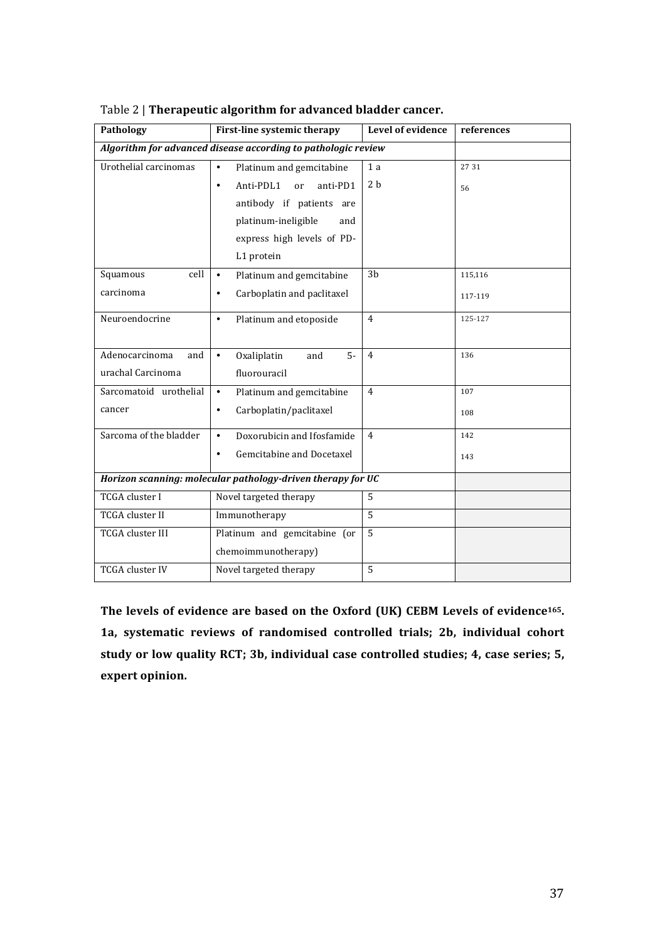| Pathology              | First-line systemic therapy                                   | Level of evidence | references |
|------------------------|---------------------------------------------------------------|-------------------|------------|
|                        | Algorithm for advanced disease according to pathologic review |                   |            |
| Urothelial carcinomas  | $\bullet$<br>Platinum and gemcitabine                         | 1 a               | 27 31      |
|                        | Anti-PDL1<br>anti-PD1<br>$\bullet$<br>or                      | 2 <sub>b</sub>    | 56         |
|                        | antibody if patients are                                      |                   |            |
|                        | platinum-ineligible<br>and                                    |                   |            |
|                        | express high levels of PD-                                    |                   |            |
|                        | L1 protein                                                    |                   |            |
| cell<br>Squamous       | Platinum and gemcitabine<br>$\bullet$                         | 3 <sub>b</sub>    | 115,116    |
| carcinoma              | Carboplatin and paclitaxel<br>$\bullet$                       |                   | 117-119    |
| Neuroendocrine         | Platinum and etoposide<br>$\bullet$                           | $\overline{4}$    | 125-127    |
| Adenocarcinoma<br>and  | Oxaliplatin<br>$5-$<br>$\bullet$<br>and                       | $\overline{4}$    | 136        |
| urachal Carcinoma      | fluorouracil                                                  |                   |            |
| Sarcomatoid urothelial | $\bullet$<br>Platinum and gemcitabine                         | 4                 | 107        |
| cancer                 | Carboplatin/paclitaxel<br>$\bullet$                           |                   | 108        |
| Sarcoma of the bladder | Doxorubicin and Ifosfamide<br>$\bullet$                       | $\overline{4}$    | 142        |
|                        | Gemcitabine and Docetaxel<br>$\bullet$                        |                   | 143        |
|                        | Horizon scanning: molecular pathology-driven therapy for UC   |                   |            |
| TCGA cluster I         | Novel targeted therapy                                        | $\overline{5}$    |            |
| <b>TCGA</b> cluster II | Immunotherapy                                                 | 5                 |            |
| TCGA cluster III       | Platinum and gemcitabine (or                                  | 5                 |            |
|                        | chemoimmunotherapy)                                           |                   |            |
| <b>TCGA</b> cluster IV | Novel targeted therapy                                        | 5                 |            |

Table 2 | Therapeutic algorithm for advanced bladder cancer.

The levels of evidence are based on the Oxford (UK) CEBM Levels of evidence<sup>165</sup>. 1a, systematic reviews of randomised controlled trials; 2b, individual cohort study or low quality RCT; 3b, individual case controlled studies; 4, case series; 5, expert opinion.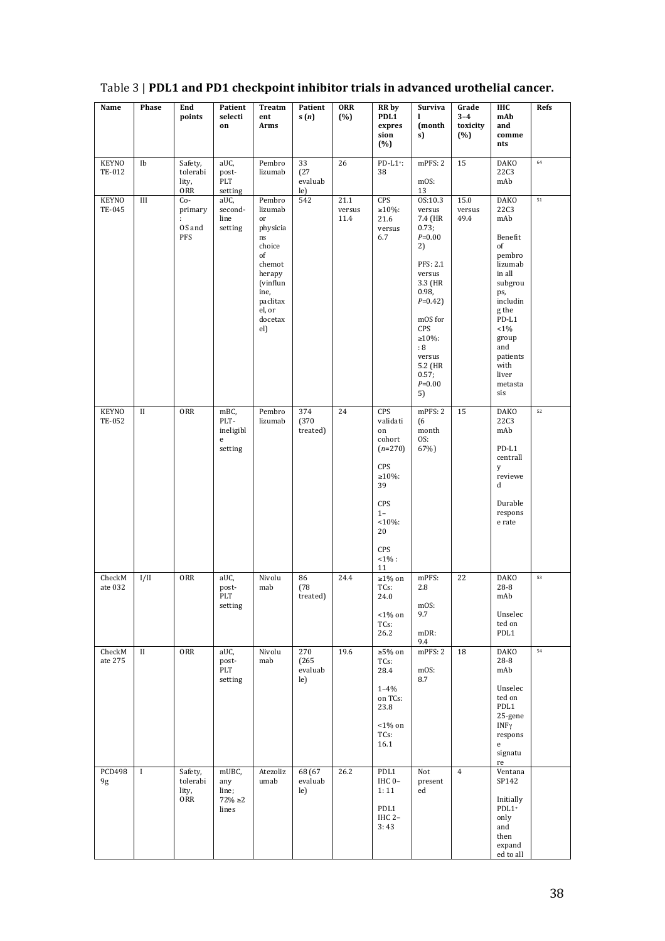| Name                   | Phase        | End<br>points                              | Patient<br>selecti<br>on                             | Treatm<br>ent<br>Arms                                                                                                                     | Patient<br>s(n)                | ORR<br>(%)             | <b>RR</b> by<br>PDL1<br>expres<br>sion<br>(%)                                                                                         | Surviva<br>1<br>(month<br>s)                                                                                                                                                                               | Grade<br>$3 - 4$<br>toxicity<br>(%) | IHC<br>mAb<br>and<br>comme<br>nts                                                                                                                                                                           | Refs |
|------------------------|--------------|--------------------------------------------|------------------------------------------------------|-------------------------------------------------------------------------------------------------------------------------------------------|--------------------------------|------------------------|---------------------------------------------------------------------------------------------------------------------------------------|------------------------------------------------------------------------------------------------------------------------------------------------------------------------------------------------------------|-------------------------------------|-------------------------------------------------------------------------------------------------------------------------------------------------------------------------------------------------------------|------|
| <b>KEYNO</b><br>TE-012 | Ib           | Safety,<br>tolerabi<br>lity,<br><b>ORR</b> | aUC,<br>post-<br>PLT<br>setting                      | Pembro<br>lizumab                                                                                                                         | 33<br>(27)<br>evaluab<br>le)   | 26                     | $PD-L1$ <sup>+</sup> :<br>38                                                                                                          | mPFS: 2<br>mOS:<br>13                                                                                                                                                                                      | 15                                  | <b>DAKO</b><br><b>22C3</b><br>mAb                                                                                                                                                                           | 64   |
| <b>KEYNO</b><br>TE-045 | III          | Co-<br>primary<br>ŕ.<br>OS and<br>PFS      | aUC,<br>second-<br>line<br>setting                   | Pembro<br>lizumab<br>or<br>physicia<br>ns<br>choice<br>of<br>chemot<br>herapy<br>(vinflun<br>ine,<br>paclitax<br>el, or<br>docetax<br>el) | 542                            | 21.1<br>versus<br>11.4 | CPS<br>$≥10%$ :<br>21.6<br>versus<br>6.7                                                                                              | OS:10.3<br>versus<br>7.4 (HR<br>0.73;<br>$P = 0.00$<br>2)<br>PFS: 2.1<br>versus<br>3.3 (HR<br>0.98,<br>$P=0.42$<br>mOS for<br>CPS<br>$\geq 10\%$ :<br>:8<br>versus<br>5.2 (HR<br>0.57;<br>$P = 0.00$<br>5) | 15.0<br>versus<br>49.4              | <b>DAKO</b><br><b>22C3</b><br>mAb<br>Benefit<br>of<br>pembro<br>lizumab<br>in all<br>subgrou<br>ps,<br>includin<br>g the<br>PD-L1<br>$< 1\%$<br>group<br>and<br>patients<br>with<br>liver<br>metasta<br>sis | 51   |
| <b>KEYNO</b><br>TE-052 | $_{\rm II}$  | ORR                                        | mBC,<br>PLT-<br>ineligibl<br>$\mathbf{e}$<br>setting | Pembro<br>lizumab                                                                                                                         | 374<br>(370)<br>treated)       | 24                     | CPS<br>validati<br>on<br>cohort<br>$(n=270)$<br>CPS<br>$\geq 10\%$ :<br>39<br>CPS<br>$1 -$<br>$<10%$ :<br>20<br>CPS<br>$<1\%$ :<br>11 | mPFS: 2<br>(6)<br>month<br>OS:<br>67%)                                                                                                                                                                     | 15                                  | <b>DAKO</b><br><b>22C3</b><br>mAb<br>$PD-L1$<br>centrall<br>у<br>reviewe<br>d<br>Durable<br>respons<br>e rate                                                                                               | 52   |
| CheckM<br>ate 032      | I/II         | ORR                                        | aUC,<br>post-<br>PLT<br>setting                      | Nivolu<br>mab                                                                                                                             | 86<br>(78)<br>treated)         | 24.4                   | $\geq 1\%$ on<br>TCs:<br>24.0<br>$<$ 1% on<br>TCs:<br>26.2                                                                            | mPFS:<br>2.8<br>mOS:<br>9.7<br>mDR:<br>9.4                                                                                                                                                                 | 22                                  | <b>DAKO</b><br>$28 - 8$<br>mAb<br>Unselec<br>ted on<br>PDL1                                                                                                                                                 | 53   |
| CheckM<br>ate 275      | $_{\rm II}$  | ORR                                        | aUC,<br>post-<br>PLT<br>setting                      | Nivolu<br>mab                                                                                                                             | 270<br>(265)<br>evaluab<br>le) | 19.6                   | $≥5%$ on<br>TCs:<br>28.4<br>$1 - 4\%$<br>on TCs:<br>23.8<br>$<$ 1% on<br>TCs:<br>16.1                                                 | mPFS: 2<br>mOS:<br>8.7                                                                                                                                                                                     | 18                                  | <b>DAKO</b><br>28-8<br>mAb<br>Unselec<br>ted on<br>PDL1<br>25-gene<br>INFγ<br>respons<br>$\mathbf{e}$<br>signatu<br>re                                                                                      | 54   |
| <b>PCD498</b><br>9g    | $\mathbf{I}$ | Safety,<br>tolerabi<br>lity,<br>ORR        | mUBC,<br>any<br>line;<br>$72\%$ ${\geq}2$<br>lines   | Atezoliz<br>umab                                                                                                                          | 68 (67<br>evaluab<br>le)       | 26.2                   | PDL1<br>IHC 0-<br>1:11<br>PDL1<br>IHC 2-<br>3:43                                                                                      | Not<br>present<br>ed                                                                                                                                                                                       | $\overline{4}$                      | Ventana<br>SP142<br>Initially<br>PDL1+<br>only<br>and<br>then<br>expand<br>ed to all                                                                                                                        |      |

# Table 3 | **PDL1** and PD1 checkpoint inhibitor trials in advanced urothelial cancer.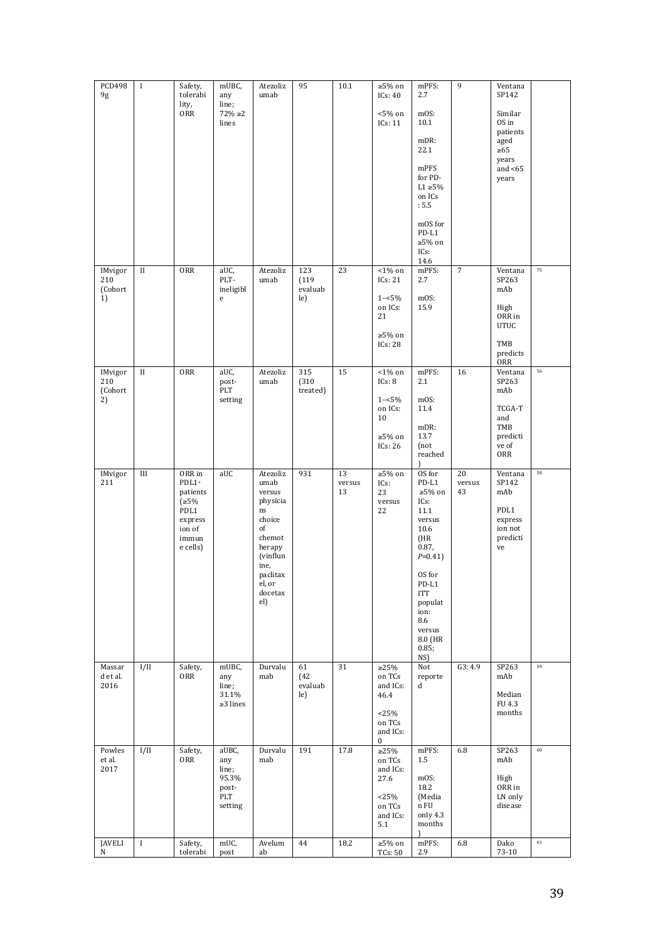| <b>PCD498</b><br>9g             | $\bf{I}$     | Safety,<br>tolerabi<br>lity,<br>ORR                                                   | mUBC,<br>any<br>line;<br>$72\% \ge 2$<br>lines            | Atezoliz<br>umab                                                                                                                                   | 95                             | 10.1               | ${\geq}5\%$ on<br>ICs: 40<br>$<\!\!5\!\, \%$ on<br>ICs: 11                           | mPFS:<br>2.7<br>mOS:<br>10.1<br>mDR:<br>22.1<br>mPFS<br>for PD-<br>$L1 \geq 5\%$<br>on ICs<br>: 5.5<br>mOS for<br>PD-L1<br>≥5% on                                                       | 9                  | Ventana<br>SP142<br>Similar<br>OS in<br>patients<br>aged<br>$\geq 65$<br>years<br>and $<$ 65<br>years |        |
|---------------------------------|--------------|---------------------------------------------------------------------------------------|-----------------------------------------------------------|----------------------------------------------------------------------------------------------------------------------------------------------------|--------------------------------|--------------------|--------------------------------------------------------------------------------------|-----------------------------------------------------------------------------------------------------------------------------------------------------------------------------------------|--------------------|-------------------------------------------------------------------------------------------------------|--------|
| IMvigor<br>210<br>(Cohort<br>1) | $_{\rm II}$  | ORR                                                                                   | aUC,<br>PLT-<br>ineligibl<br>e                            | Atezoliz<br>umab                                                                                                                                   | 123<br>(119)<br>evaluab<br>le) | 23                 | $1\%$ on<br>ICs: 21<br>$1 - 5\%$<br>on ICs:<br>21<br>${\geq}5\%$ on<br>ICs: 28       | ICs:<br>14.6<br>mPFS:<br>2.7<br>mOS:<br>15.9                                                                                                                                            | $\overline{7}$     | Ventana<br>SP263<br>mAb<br>High<br>ORR in<br><b>UTUC</b><br>TMB<br>predicts<br>ORR                    | 75     |
| IMvigor<br>210<br>(Cohort<br>2) | $_{\rm II}$  | ORR                                                                                   | aUC,<br>post-<br>$\ensuremath{\text{PLT}}$<br>setting     | Atezoliz<br>umab                                                                                                                                   | 315<br>(310)<br>treated)       | 15                 | $<\!\!1\!\!$ % on<br>ICs: 8<br>$1 - 5\%$<br>on ICs:<br>10<br>$≥5%$ on<br>ICs: 26     | mPFS:<br>2.1<br>mOS:<br>11.4<br>mDR:<br>13.7<br>(not<br>reached                                                                                                                         | 16                 | Ventana<br>SP263<br>mAb<br>TCGA-T<br>and<br>TMB<br>predicti<br>ve of<br>ORR                           | 56     |
| IMvigor<br>211                  | $\rm III$    | ORR in<br>PDL1+<br>patients<br>(≥5%<br>PDL1<br>express<br>ion of<br>immun<br>e cells) | aUC                                                       | Atezoliz<br>umab<br>versus<br>physicia<br>$\rm ns$<br>choice<br>of<br>chemot<br>herapy<br>(vinflun<br>ine,<br>paclitax<br>el, or<br>docetax<br>el) | 931                            | 13<br>versus<br>13 | ${\geq}5\%$ on<br>ICs:<br>23<br>versus<br>22                                         | OS for<br>PD-L1<br>$\geq 5\%$ on<br>ICs:<br>11.1<br>versus<br>10.6<br>(HR<br>0.87,<br>$P=0.41$<br>OS for<br>PD-L1<br>ITT<br>populat<br>ion:<br>8.6<br>versus<br>8.0 (HR<br>0.85;<br>NS) | 20<br>versus<br>43 | Ventana<br>SP142<br>mAb<br>PDL1<br>express<br>ion not<br>predicti<br>ve                               | 58     |
| Massar<br>d et al.<br>2016      | I/II         | Safety,<br>ORR                                                                        | mUBC,<br>any<br>line;<br>$31.1\%$<br>$\geq$ 3 lines       | Durvalu<br>mab                                                                                                                                     | 61<br>(42)<br>evaluab<br>le)   | 31                 | ${\geq}25\%$<br>on TCs<br>and ICs:<br>46.4<br><25%<br>on TCs<br>and ICs:<br>$\bf{0}$ | Not<br>reporte<br>d                                                                                                                                                                     | G3:4.9             | SP263<br>mAb<br>Median<br>FU 4.3<br>months                                                            | 59     |
| Powles<br>et al.<br>2017        | I/II         | Safety,<br>ORR                                                                        | aUBC,<br>any<br>line;<br>95.3%<br>post-<br>PLT<br>setting | Durvalu<br>mab                                                                                                                                     | 191                            | 17.8               | ${\geq}25\%$<br>on TCs<br>and ICs:<br>27.6<br><25%<br>on TCs<br>and ICs:<br>5.1      | mPFS:<br>1.5<br>mOS:<br>18.2<br>(Media<br>n FU<br>only 4.3<br>months<br>ſ                                                                                                               | 6.8                | SP263<br>mAb<br>High<br>ORR in<br>LN only<br>disease                                                  | $60\,$ |
| <b>JAVELI</b><br>N              | $\mathbf{I}$ | Safety,<br>tolerabi                                                                   | mUC,<br>post                                              | Avelum<br>ab                                                                                                                                       | 44                             | 18.2               | $≥5%$ on<br><b>TCs: 50</b>                                                           | mPFS:<br>2.9                                                                                                                                                                            | 6.8                | Dako<br>73-10                                                                                         | $61\,$ |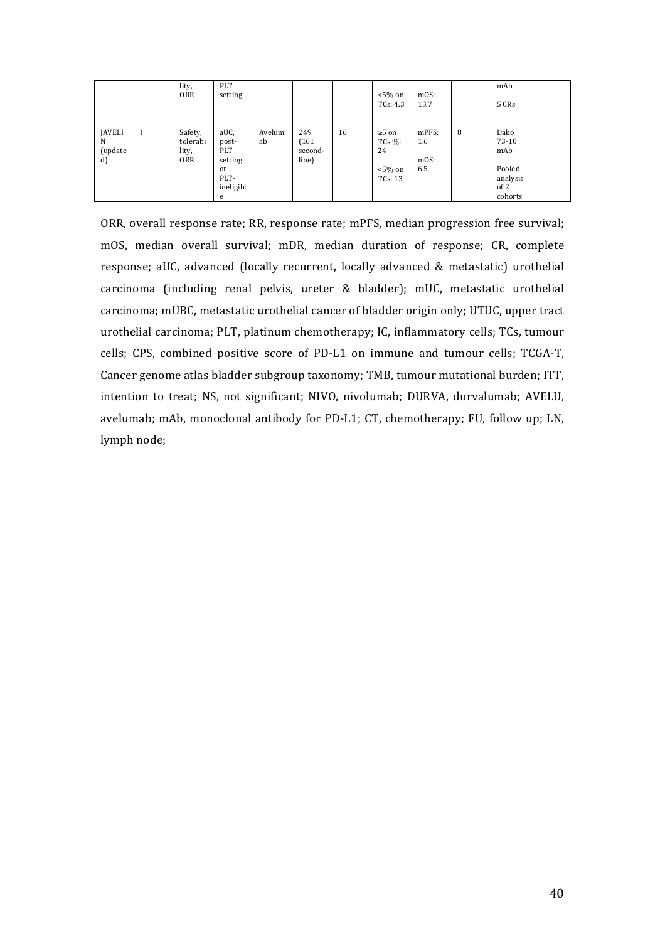|                                     | lity,<br><b>ORR</b>                        | PLT<br>setting                                                             |              |                                  |    | $< 5\%$ on<br>TCs: 4.3                                | mOS:<br>13.7                |   | mAb<br>5 CRs                                                  |  |
|-------------------------------------|--------------------------------------------|----------------------------------------------------------------------------|--------------|----------------------------------|----|-------------------------------------------------------|-----------------------------|---|---------------------------------------------------------------|--|
| <b>JAVELI</b><br>N<br>(update<br>d) | Safety,<br>tolerabi<br>lity,<br><b>ORR</b> | aUC,<br>post-<br>PLT<br>setting<br><sub>or</sub><br>PLT-<br>ineligibl<br>e | Avelum<br>ab | 249<br>(161)<br>second-<br>line) | 16 | $\geq 5$ on<br>$TCs$ %:<br>24<br>$<$ 5% on<br>TCs: 13 | mPFS:<br>1.6<br>mOS:<br>6.5 | 8 | Dako<br>73-10<br>mAb<br>Pooled<br>analysis<br>of 2<br>cohorts |  |

ORR, overall response rate; RR, response rate; mPFS, median progression free survival; mOS, median overall survival; mDR, median duration of response; CR, complete response; aUC, advanced (locally recurrent, locally advanced & metastatic) urothelial carcinoma (including renal pelvis, ureter & bladder); mUC, metastatic urothelial carcinoma; mUBC, metastatic urothelial cancer of bladder origin only; UTUC, upper tract urothelial carcinoma; PLT, platinum chemotherapy; IC, inflammatory cells; TCs, tumour cells; CPS, combined positive score of PD-L1 on immune and tumour cells; TCGA-T, Cancer genome atlas bladder subgroup taxonomy; TMB, tumour mutational burden; ITT, intention to treat; NS, not significant; NIVO, nivolumab; DURVA, durvalumab; AVELU, avelumab; mAb, monoclonal antibody for PD-L1; CT, chemotherapy; FU, follow up; LN, lymph node;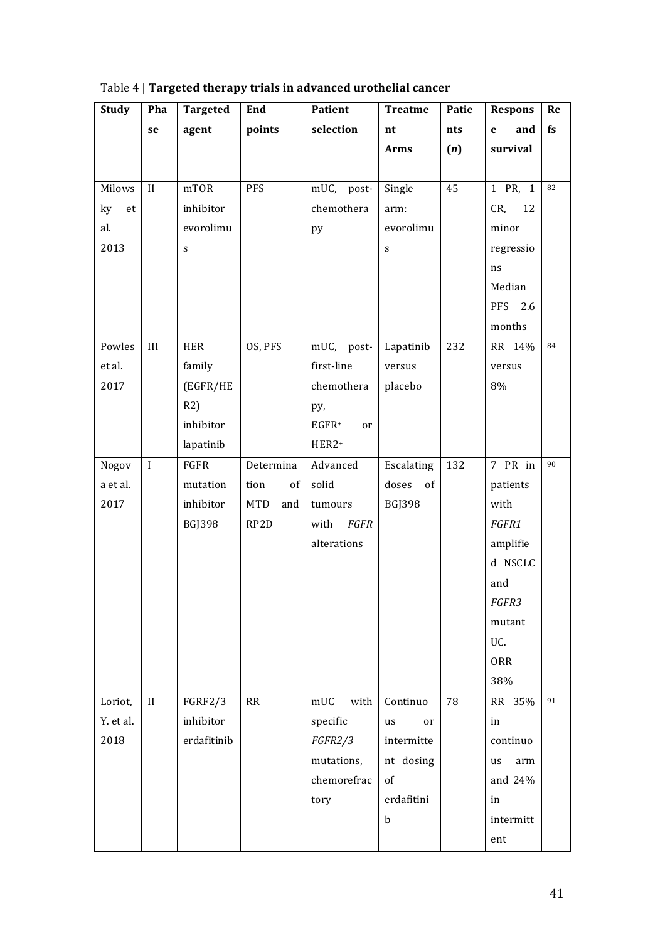| <b>Study</b> | Pha     | <b>Targeted</b> | End                | Patient        | <b>Treatme</b>            | Patie | <b>Respons</b>     | Re |
|--------------|---------|-----------------|--------------------|----------------|---------------------------|-------|--------------------|----|
|              | se      | agent           | points             | selection      | nt                        | nts   | and<br>$\mathbf e$ | fs |
|              |         |                 |                    |                | <b>Arms</b>               | (n)   | survival           |    |
|              |         |                 |                    |                |                           |       |                    |    |
| Milows       | II      | mTOR            | PFS                | mUC, post-     | Single                    | 45    | 1 PR, 1            | 82 |
| ky<br>et     |         | inhibitor       |                    | chemothera     | arm:                      |       | CR,<br>12          |    |
| al.          |         | evorolimu       |                    | py             | evorolimu                 |       | minor              |    |
| 2013         |         | S               |                    |                | $\boldsymbol{\mathsf{S}}$ |       | regressio          |    |
|              |         |                 |                    |                |                           |       | ns                 |    |
|              |         |                 |                    |                |                           |       | Median             |    |
|              |         |                 |                    |                |                           |       | PFS<br>2.6         |    |
|              |         |                 |                    |                |                           |       | months             |    |
| Powles       | III     | <b>HER</b>      | OS, PFS            | mUC, post-     | Lapatinib                 | 232   | RR 14%             | 84 |
| et al.       |         | family          |                    | first-line     | versus                    |       | versus             |    |
| 2017         |         | (EGFR/HE        |                    | chemothera     | placebo                   |       | 8%                 |    |
|              |         | R2)             |                    | py,            |                           |       |                    |    |
|              |         | inhibitor       |                    | $EGFR+$<br>or  |                           |       |                    |    |
|              |         | lapatinib       |                    | HER2+          |                           |       |                    |    |
| Nogov        | $\bf I$ | FGFR            | Determina          | Advanced       | Escalating                | 132   | 7 PR in            | 90 |
| a et al.     |         | mutation        | tion<br>$\sigma f$ | solid          | doses of                  |       | patients           |    |
| 2017         |         | inhibitor       | MTD<br>and         | tumours        | <b>BGJ398</b>             |       | with               |    |
|              |         | <b>BGJ398</b>   | RP2D               | FGFR<br>with   |                           |       | FGFR1              |    |
|              |         |                 |                    | alterations    |                           |       | amplifie           |    |
|              |         |                 |                    |                |                           |       | d NSCLC            |    |
|              |         |                 |                    |                |                           |       | and                |    |
|              |         |                 |                    |                |                           |       | <i>FGFR3</i>       |    |
|              |         |                 |                    |                |                           |       | mutant             |    |
|              |         |                 |                    |                |                           |       | UC.                |    |
|              |         |                 |                    |                |                           |       | <b>ORR</b>         |    |
|              |         |                 |                    |                |                           |       | 38%                |    |
| Loriot,      | II      | <b>FGRF2/3</b>  | RR                 | mUC<br>with    | Continuo                  | 78    | RR 35%             | 91 |
| Y. et al.    |         | inhibitor       |                    | specific       | us<br>or                  |       | in                 |    |
| 2018         |         | erdafitinib     |                    | <i>FGFR2/3</i> | intermitte                |       | continuo           |    |
|              |         |                 |                    | mutations,     | nt dosing                 |       | arm<br>us          |    |
|              |         |                 |                    | chemorefrac    | of                        |       | and 24%            |    |
|              |         |                 |                    | tory           | erdafitini                |       | in                 |    |
|              |         |                 |                    |                | $\mathbf b$               |       | intermitt          |    |
|              |         |                 |                    |                |                           |       | ent                |    |

Table 4 | **Targeted therapy trials in advanced urothelial cancer**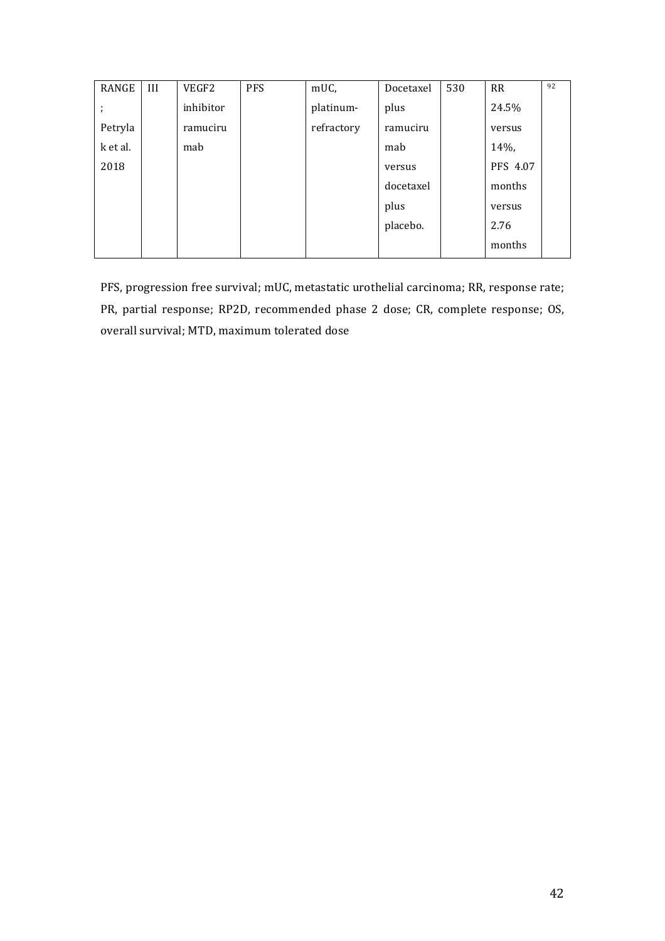| RANGE    | III | VEGF2     | <b>PFS</b> | mUC,       | Docetaxel | 530 | RR       | 92 |
|----------|-----|-----------|------------|------------|-----------|-----|----------|----|
|          |     | inhibitor |            | platinum-  | plus      |     | 24.5%    |    |
| Petryla  |     | ramuciru  |            | refractory | ramuciru  |     | versus   |    |
| k et al. |     | mab       |            |            | mab       |     | $14%$ ,  |    |
| 2018     |     |           |            |            | versus    |     | PFS 4.07 |    |
|          |     |           |            |            | docetaxel |     | months   |    |
|          |     |           |            |            | plus      |     | versus   |    |
|          |     |           |            |            | placebo.  |     | 2.76     |    |
|          |     |           |            |            |           |     | months   |    |

PFS, progression free survival; mUC, metastatic urothelial carcinoma; RR, response rate; PR, partial response; RP2D, recommended phase 2 dose; CR, complete response; OS, overall survival; MTD, maximum tolerated dose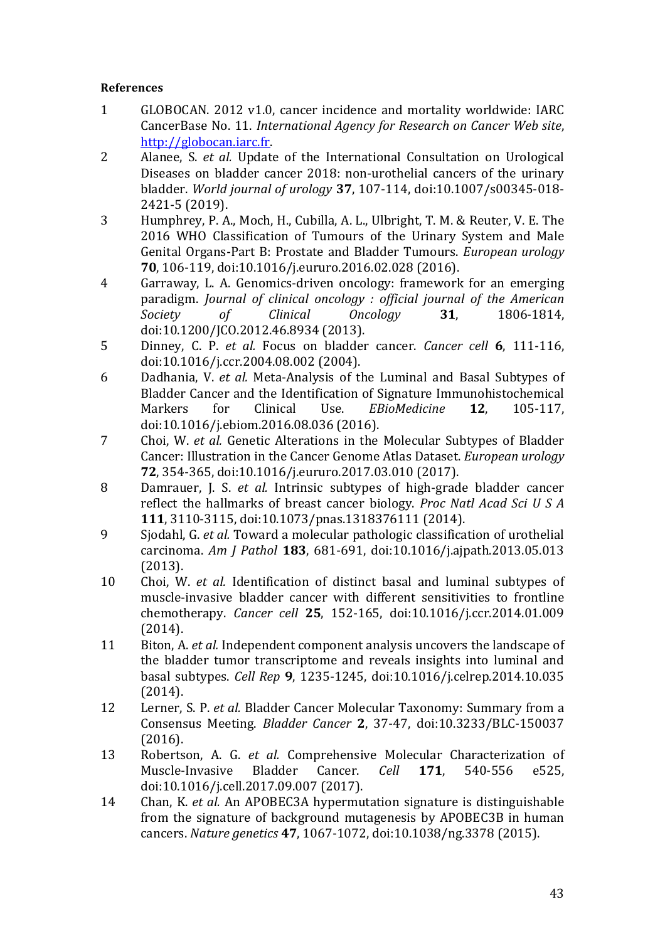# **References**

- 1 GLOBOCAN. 2012 v1.0, cancer incidence and mortality worldwide: IARC CancerBase No. 11. *International Agency for Research on Cancer Web site*, http://globocan.iarc.fr.
- 2 Alanee, *S. et al.* Update of the International Consultation on Urological Diseases on bladder cancer 2018: non-urothelial cancers of the urinary bladder. *World journal of urology* 37, 107-114, doi:10.1007/s00345-018-2421-5 (2019).
- 3 Humphrey, P. A., Moch, H., Cubilla, A. L., Ulbright, T. M. & Reuter, V. E. The 2016 WHO Classification of Tumours of the Urinary System and Male Genital Organs-Part B: Prostate and Bladder Tumours. *European urology* **70**, 106-119, doi:10.1016/j.eururo.2016.02.028 (2016).
- 4 Garraway, L. A. Genomics-driven oncology: framework for an emerging paradigm. *Journal of clinical oncology : official journal of the American Society of Clinical Oncology* **31**, 1806-1814, doi:10.1200/JCO.2012.46.8934 (2013).
- 5 Dinney, C. P. *et al.* Focus on bladder cancer. *Cancer cell* **6**, 111-116, doi:10.1016/j.ccr.2004.08.002 (2004).
- 6 Dadhania, V. *et al.* Meta-Analysis of the Luminal and Basal Subtypes of Bladder Cancer and the Identification of Signature Immunohistochemical Markers for Clinical Use. *EBioMedicine* 12, 105-117, doi:10.1016/j.ebiom.2016.08.036 (2016).
- 7 Choi, W. *et al.* Genetic Alterations in the Molecular Subtypes of Bladder Cancer: Illustration in the Cancer Genome Atlas Dataset. *European urology* **72**, 354-365, doi:10.1016/j.eururo.2017.03.010 (2017).
- 8 Damrauer, J. S. *et al.* Intrinsic subtypes of high-grade bladder cancer reflect the hallmarks of breast cancer biology. *Proc Natl Acad Sci U S A* **111**, 3110-3115, doi:10.1073/pnas.1318376111 (2014).
- 9 Siodahl, G. *et al.* Toward a molecular pathologic classification of urothelial carcinoma. *Am J Pathol* **183**, 681-691, doi:10.1016/j.ajpath.2013.05.013 (2013).
- 10 Choi, W. *et al.* Identification of distinct basal and luminal subtypes of muscle-invasive bladder cancer with different sensitivities to frontline chemotherapy. *Cancer cell* **25**, 152-165, doi:10.1016/j.ccr.2014.01.009 (2014).
- 11 Biton, A. *et al.* Independent component analysis uncovers the landscape of the bladder tumor transcriptome and reveals insights into luminal and basal subtypes. *Cell Rep* **9**, 1235-1245, doi:10.1016/j.celrep.2014.10.035 (2014).
- 12 Lerner, S. P. *et al.* Bladder Cancer Molecular Taxonomy: Summary from a Consensus Meeting. *Bladder Cancer* **2**, 37-47, doi:10.3233/BLC-150037 (2016).
- 13 Robertson, A. G. *et al.* Comprehensive Molecular Characterization of Muscle-Invasive Bladder Cancer. *Cell* **171**, 540-556 e525, doi:10.1016/j.cell.2017.09.007 (2017).
- 14 Chan, K. *et al.* An APOBEC3A hypermutation signature is distinguishable from the signature of background mutagenesis by APOBEC3B in human cancers. *Nature genetics* **47**, 1067-1072, doi:10.1038/ng.3378 (2015).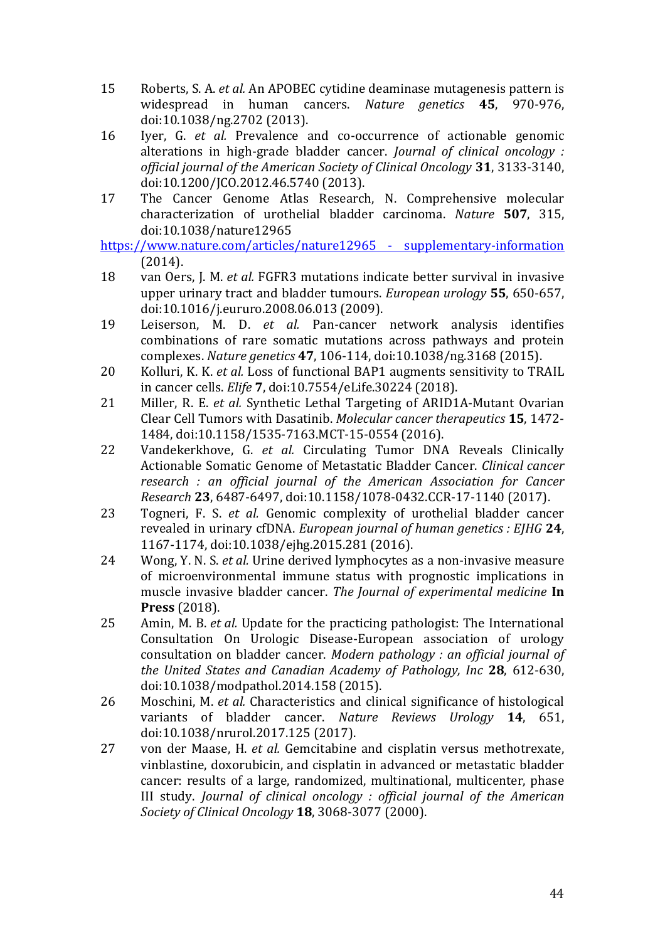- 15 Roberts, S. A. *et al.* An APOBEC cytidine deaminase mutagenesis pattern is widespread in human cancers. *Nature genetics* 45, 970-976, doi:10.1038/ng.2702 (2013).
- 16 Iyer, G. *et al.* Prevalence and co-occurrence of actionable genomic alterations in high-grade bladder cancer. *Journal of clinical oncology* : *official journal of the American Society of Clinical Oncology* **31**, 3133-3140, doi:10.1200/JCO.2012.46.5740 (2013).
- 17 The Cancer Genome Atlas Research, N. Comprehensive molecular characterization of urothelial bladder carcinoma. *Nature* **507**, 315, doi:10.1038/nature12965

https://www.nature.com/articles/nature12965 - supplementary-information (2014).

- 18 van Oers, J. M. *et al.* FGFR3 mutations indicate better survival in invasive upper urinary tract and bladder tumours. *European urology* 55, 650-657, doi:10.1016/j.eururo.2008.06.013 (2009).
- 19 Leiserson, M. D. *et al.* Pan-cancer network analysis identifies combinations of rare somatic mutations across pathways and protein complexes. *Nature genetics* **47**, 106-114, doi:10.1038/ng.3168 (2015).
- 20 Kolluri, K. K. *et al.* Loss of functional BAP1 augments sensitivity to TRAIL in cancer cells. *Elife* **7**, doi:10.7554/eLife.30224 (2018).
- 21 Miller, R. E. *et al.* Synthetic Lethal Targeting of ARID1A-Mutant Ovarian Clear Cell Tumors with Dasatinib. *Molecular cancer therapeutics* **15**, 1472- 1484, doi:10.1158/1535-7163.MCT-15-0554 (2016).
- 22 Vandekerkhove, G. *et al.* Circulating Tumor DNA Reveals Clinically Actionable Somatic Genome of Metastatic Bladder Cancer. *Clinical cancer research : an official journal of the American Association for Cancer Research* **23**, 6487-6497, doi:10.1158/1078-0432.CCR-17-1140 (2017).
- 23 Togneri, F. S. *et al.* Genomic complexity of urothelial bladder cancer revealed in urinary cfDNA. *European journal of human genetics : EJHG* 24, 1167-1174, doi:10.1038/ejhg.2015.281 (2016).
- 24 Wong, Y. N. S. *et al.* Urine derived lymphocytes as a non-invasive measure of microenvironmental immune status with prognostic implications in muscle invasive bladder cancer. The Journal of experimental medicine In **Press** (2018).
- 25 Amin, M. B. *et al.* Update for the practicing pathologist: The International Consultation On Urologic Disease-European association of urology consultation on bladder cancer. *Modern pathology : an official iournal of the United States and Canadian Academy of Pathology, Inc* 28, 612-630, doi:10.1038/modpathol.2014.158 (2015).
- 26 Moschini, M. *et al.* Characteristics and clinical significance of histological variants of bladder cancer. *Nature Reviews Urology* **14**, 651, doi:10.1038/nrurol.2017.125 (2017).
- 27 von der Maase, H. *et al.* Gemcitabine and cisplatin versus methotrexate, vinblastine, doxorubicin, and cisplatin in advanced or metastatic bladder cancer: results of a large, randomized, multinational, multicenter, phase III study. *Journal of clinical oncology : official journal of the American Society of Clinical Oncology* **18**, 3068-3077 (2000).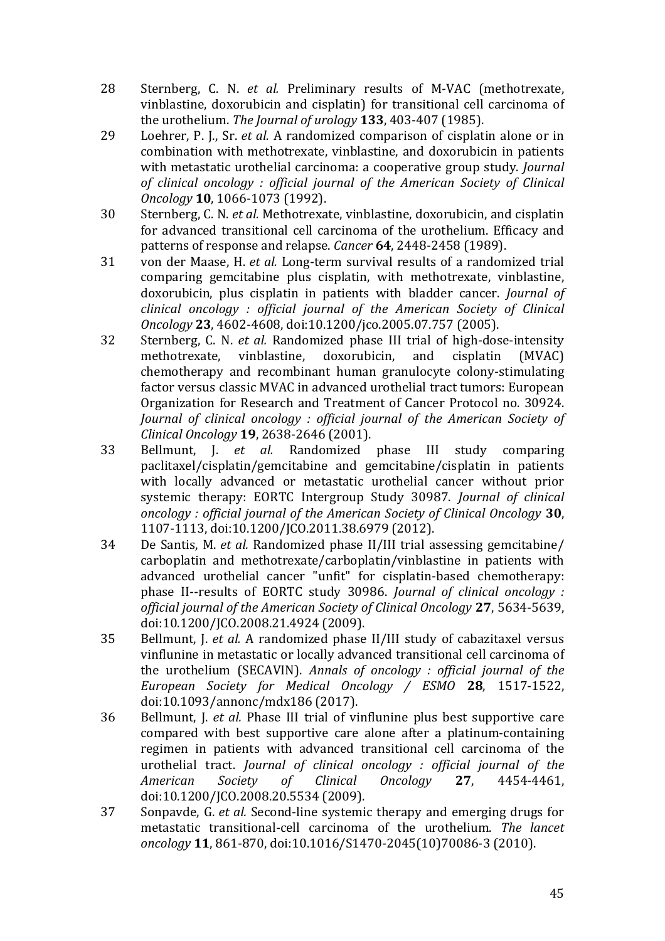- 28 Sternberg, C. N. *et al.* Preliminary results of M-VAC (methotrexate, vinblastine, doxorubicin and cisplatin) for transitional cell carcinoma of the urothelium. *The Journal of urology* **133**, 403-407 (1985).
- 29 Loehrer, P. J., Sr. *et al.* A randomized comparison of cisplatin alone or in combination with methotrexate, vinblastine, and doxorubicin in patients with metastatic urothelial carcinoma: a cooperative group study. *Journal of clinical oncology : official journal of the American Society of Clinical Oncology* **10**, 1066-1073 (1992).
- 30 Sternberg, C. N. *et al.* Methotrexate, vinblastine, doxorubicin, and cisplatin for advanced transitional cell carcinoma of the urothelium. Efficacy and patterns of response and relapse. *Cancer* 64, 2448-2458 (1989).
- 31 von der Maase, H. *et al.* Long-term survival results of a randomized trial comparing gemcitabine plus cisplatin, with methotrexate, vinblastine, doxorubicin, plus cisplatin in patients with bladder cancer. *Journal of clinical oncology : official journal of the American Society of Clinical Oncology* **23**, 4602-4608, doi:10.1200/jco.2005.07.757 (2005).
- 32 Sternberg, C. N. *et al.* Randomized phase III trial of high-dose-intensity methotrexate, vinblastine, doxorubicin, and cisplatin (MVAC) chemotherapy and recombinant human granulocyte colony-stimulating factor versus classic MVAC in advanced urothelial tract tumors: European Organization for Research and Treatment of Cancer Protocol no. 30924. *Journal of clinical oncology : official journal of the American Society of Clinical Oncology* **19**, 2638-2646 (2001).
- 33 Bellmunt, J. *et al.* Randomized phase III study comparing paclitaxel/cisplatin/gemcitabine and gemcitabine/cisplatin in patients with locally advanced or metastatic urothelial cancer without prior systemic therapy: EORTC Intergroup Study 30987. *Journal of clinical oncology : official journal of the American Society of Clinical Oncology* **30**, 1107-1113, doi:10.1200/JCO.2011.38.6979 (2012).
- 34 De Santis, M. *et al.* Randomized phase II/III trial assessing gemcitabine/ carboplatin and methotrexate/carboplatin/vinblastine in patients with advanced urothelial cancer "unfit" for cisplatin-based chemotherapy: phase II--results of EORTC study 30986. *Journal of clinical oncology* : *official journal of the American Society of Clinical Oncology* **27**, 5634-5639, doi:10.1200/JCO.2008.21.4924 (2009).
- 35 Bellmunt, J. *et al.* A randomized phase II/III study of cabazitaxel versus vinflunine in metastatic or locally advanced transitional cell carcinoma of the urothelium (SECAVIN). *Annals of oncology : official journal of the European Society for Medical Oncology / ESMO* **28**, 1517-1522, doi:10.1093/annonc/mdx186 (2017).
- 36 Bellmunt, I. *et al.* Phase III trial of vinflunine plus best supportive care compared with best supportive care alone after a platinum-containing regimen in patients with advanced transitional cell carcinoma of the urothelial tract. *Journal of clinical oncology : official journal of the American Society of Clinical Oncology* **27**, 4454-4461, doi:10.1200/JCO.2008.20.5534 (2009).
- 37 Sonpavde, G. *et al.* Second-line systemic therapy and emerging drugs for metastatic transitional-cell carcinoma of the urothelium. The *lancet oncology* **11**, 861-870, doi:10.1016/S1470-2045(10)70086-3 (2010).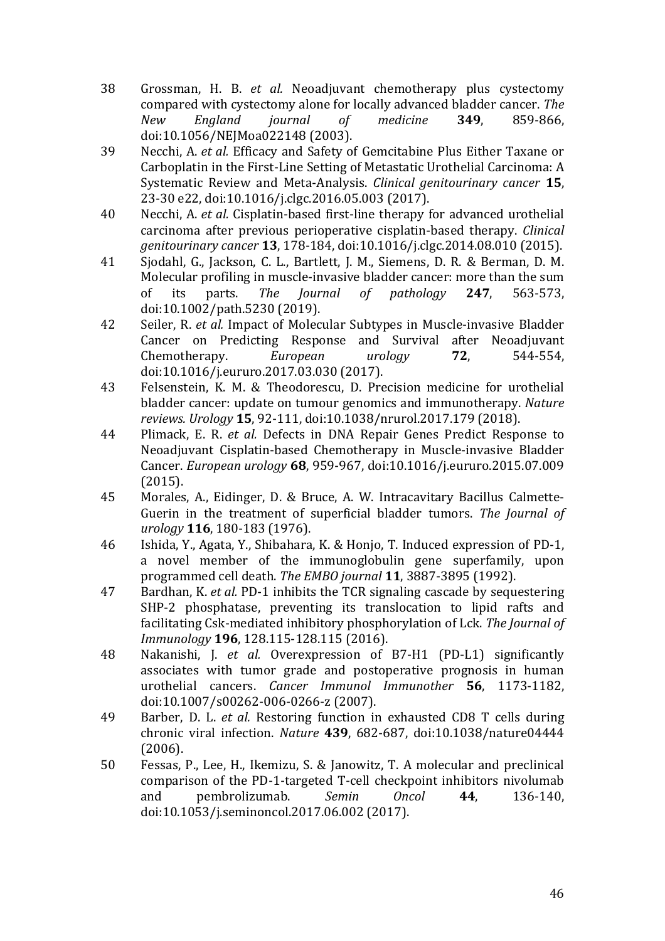- 38 Grossman, H. B. *et al.* Neoadjuvant chemotherapy plus cystectomy compared with cystectomy alone for locally advanced bladder cancer. *The New England journal of medicine* **349**, 859-866, doi:10.1056/NEJMoa022148 (2003).
- 39 Necchi, A. *et al.* Efficacy and Safety of Gemcitabine Plus Either Taxane or Carboplatin in the First-Line Setting of Metastatic Urothelial Carcinoma: A Systematic Review and Meta-Analysis. *Clinical genitourinary cancer* **15**, 23-30 e22, doi:10.1016/j.clgc.2016.05.003 (2017).
- 40 Necchi, A. *et al.* Cisplatin-based first-line therapy for advanced urothelial carcinoma after previous perioperative cisplatin-based therapy. *Clinical genitourinary cancer* **13**, 178-184, doi:10.1016/j.clgc.2014.08.010 (2015).
- 41 Sjodahl, G., Jackson, C. L., Bartlett, J. M., Siemens, D. R. & Berman, D. M. Molecular profiling in muscle-invasive bladder cancer: more than the sum of its parts. *The Journal of pathology* **247**, 563-573, doi:10.1002/path.5230 (2019).
- 42 Seiler, R. *et al.* Impact of Molecular Subtypes in Muscle-invasive Bladder Cancer on Predicting Response and Survival after Neoadjuvant Chemotherapy. *European urology* **72**, 544-554, doi:10.1016/j.eururo.2017.03.030 (2017).
- 43 Felsenstein, K. M. & Theodorescu, D. Precision medicine for urothelial bladder cancer: update on tumour genomics and immunotherapy. Nature *reviews. Urology* **15**, 92-111, doi:10.1038/nrurol.2017.179 (2018).
- 44 Plimack, E. R. *et al.* Defects in DNA Repair Genes Predict Response to Neoadjuvant Cisplatin-based Chemotherapy in Muscle-invasive Bladder Cancer. *European urology* **68**, 959-967, doi:10.1016/j.eururo.2015.07.009 (2015).
- 45 Morales, A., Eidinger, D. & Bruce, A. W. Intracavitary Bacillus Calmette-Guerin in the treatment of superficial bladder tumors. The *Journal of urology* **116**, 180-183 (1976).
- 46 Ishida, Y., Agata, Y., Shibahara, K. & Honjo, T. Induced expression of PD-1, a novel member of the immunoglobulin gene superfamily, upon programmed cell death. The EMBO journal **11**, 3887-3895 (1992).
- 47 Bardhan, K. *et al.* PD-1 inhibits the TCR signaling cascade by sequestering SHP-2 phosphatase, preventing its translocation to lipid rafts and facilitating Csk-mediated inhibitory phosphorylation of Lck. The *Journal of Immunology* **196**, 128.115-128.115 (2016).
- 48 Nakanishi, J. *et al.* Overexpression of B7-H1 (PD-L1) significantly associates with tumor grade and postoperative prognosis in human urothelial cancers. *Cancer Immunol Immunother* **56**, 1173-1182, doi:10.1007/s00262-006-0266-z (2007).
- 49 Barber, D. L. *et al.* Restoring function in exhausted CD8 T cells during chronic viral infection. *Nature* **439**, 682-687, doi:10.1038/nature04444 (2006).
- 50 Fessas, P., Lee, H., Ikemizu, S. & Janowitz, T. A molecular and preclinical comparison of the PD-1-targeted T-cell checkpoint inhibitors nivolumab and pembrolizumab. *Semin Oncol* **44**, 136-140, doi:10.1053/j.seminoncol.2017.06.002 (2017).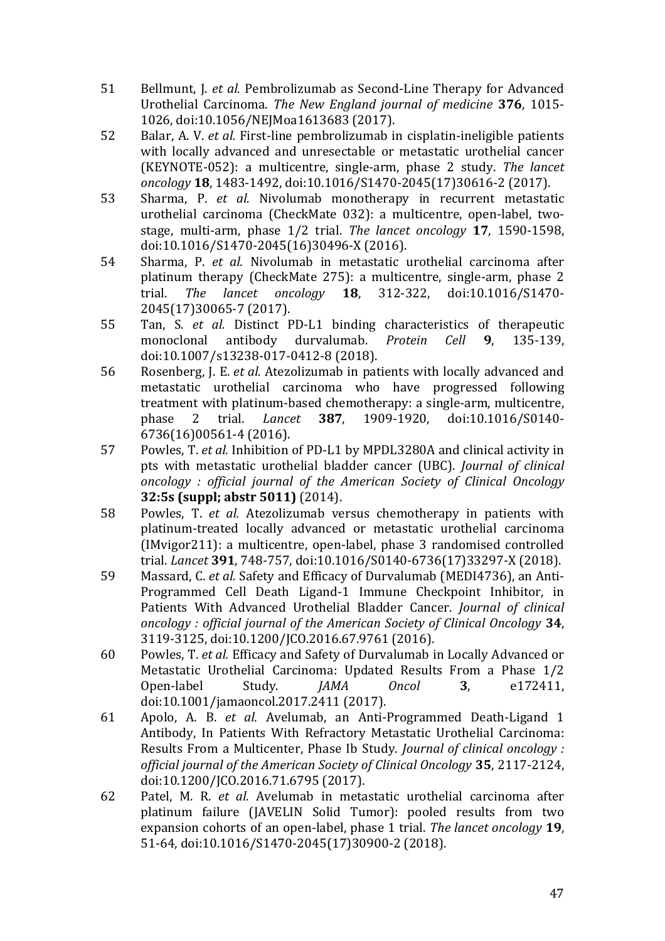- 51 Bellmunt, J. *et al.* Pembrolizumab as Second-Line Therapy for Advanced Urothelial Carcinoma. The New England journal of medicine 376, 1015-1026, doi:10.1056/NEJMoa1613683 (2017).
- 52 Balar, A. V. *et al.* First-line pembrolizumab in cisplatin-ineligible patients with locally advanced and unresectable or metastatic urothelial cancer (KEYNOTE-052): a multicentre, single-arm, phase 2 study. *The lancet oncology* **18**, 1483-1492, doi:10.1016/S1470-2045(17)30616-2 (2017).
- 53 Sharma, P. *et al.* Nivolumab monotherapy in recurrent metastatic urothelial carcinoma (CheckMate 032): a multicentre, open-label, twostage, multi-arm, phase  $1/2$  trial. *The lancet oncology* 17, 1590-1598, doi:10.1016/S1470-2045(16)30496-X (2016).
- 54 Sharma, P. *et al.* Nivolumab in metastatic urothelial carcinoma after platinum therapy (CheckMate 275): a multicentre, single-arm, phase 2 trial. *The lancet oncology* **18**, 312-322, doi:10.1016/S1470- 2045(17)30065-7 (2017).
- 55 Tan, S. *et al.* Distinct PD-L1 binding characteristics of therapeutic monoclonal antibody durvalumab. *Protein Cell* **9**, 135-139, doi:10.1007/s13238-017-0412-8 (2018).
- 56 Rosenberg, J. E. *et al.* Atezolizumab in patients with locally advanced and metastatic urothelial carcinoma who have progressed following treatment with platinum-based chemotherapy: a single-arm, multicentre, phase 2 trial. *Lancet* **387**, 1909-1920, doi:10.1016/S0140- 6736(16)00561-4 (2016).
- 57 Powles, T. *et al.* Inhibition of PD-L1 by MPDL3280A and clinical activity in pts with metastatic urothelial bladder cancer (UBC). *Journal of clinical oncology : official journal of the American Society of Clinical Oncology* **32:5s (suppl; abstr 5011)** (2014).
- 58 Powles, T. *et al.* Atezolizumab versus chemotherapy in patients with platinum-treated locally advanced or metastatic urothelial carcinoma  $(IMvigor211):$  a multicentre, open-label, phase 3 randomised controlled trial. *Lancet* **391**, 748-757, doi:10.1016/S0140-6736(17)33297-X (2018).
- 59 Massard, C. *et al.* Safety and Efficacy of Durvalumab (MEDI4736), an Anti-Programmed Cell Death Ligand-1 Immune Checkpoint Inhibitor, in Patients With Advanced Urothelial Bladder Cancer. *Journal of clinical oncology : official journal of the American Society of Clinical Oncology* **34**, 3119-3125, doi:10.1200/JCO.2016.67.9761 (2016).
- 60 Powles, T. *et al.* Efficacy and Safety of Durvalumab in Locally Advanced or Metastatic Urothelial Carcinoma: Updated Results From a Phase 1/2 Open-label Study. *JAMA Oncol* **3**, e172411, doi:10.1001/jamaoncol.2017.2411 (2017).
- 61 Apolo, A. B. *et al.* Avelumab, an Anti-Programmed Death-Ligand 1 Antibody, In Patients With Refractory Metastatic Urothelial Carcinoma: Results From a Multicenter, Phase Ib Study. *Journal of clinical oncology* : *official journal of the American Society of Clinical Oncology* **35**, 2117-2124, doi:10.1200/JCO.2016.71.6795 (2017).
- 62 Patel, M. R. *et al.* Avelumab in metastatic urothelial carcinoma after platinum failure (JAVELIN Solid Tumor): pooled results from two expansion cohorts of an open-label, phase 1 trial. *The lancet oncology* **19**, 51-64, doi:10.1016/S1470-2045(17)30900-2 (2018).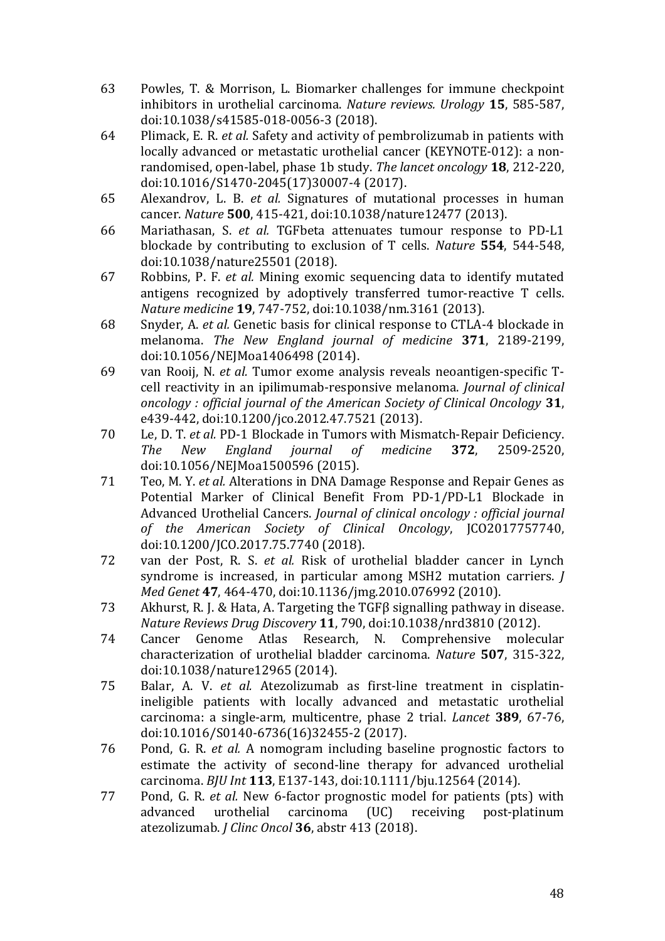- 63 Powles, T. & Morrison, L. Biomarker challenges for immune checkpoint inhibitors in urothelial carcinoma. *Nature reviews. Urology* **15**, 585-587, doi:10.1038/s41585-018-0056-3 (2018).
- 64 Plimack, E. R. *et al.* Safety and activity of pembrolizumab in patients with locally advanced or metastatic urothelial cancer (KEYNOTE-012): a nonrandomised, open-label, phase 1b study. The lancet oncology **18**, 212-220, doi:10.1016/S1470-2045(17)30007-4 (2017).
- 65 Alexandrov, L. B. *et al.* Signatures of mutational processes in human cancer. *Nature* **500**, 415-421, doi:10.1038/nature12477 (2013).
- 66 Mariathasan, S. *et al.* TGFbeta attenuates tumour response to PD-L1 blockade by contributing to exclusion of T cells. *Nature* **554**, 544-548, doi:10.1038/nature25501 (2018).
- 67 Robbins, P. F. *et al.* Mining exomic sequencing data to identify mutated antigens recognized by adoptively transferred tumor-reactive T cells. *Nature medicine* **19**, 747-752, doi:10.1038/nm.3161 (2013).
- 68 Snyder, A. *et al.* Genetic basis for clinical response to CTLA-4 blockade in melanoma. *The New England journal of medicine* **371**, 2189-2199, doi:10.1056/NEJMoa1406498 (2014).
- 69 van Rooij, N. *et al.* Tumor exome analysis reveals neoantigen-specific Tcell reactivity in an ipilimumab-responsive melanoma. *Journal of clinical oncology* : *official journal of the American Society of Clinical Oncology* 31, e439-442, doi:10.1200/jco.2012.47.7521 (2013).
- 70 Le, D. T. *et al.* PD-1 Blockade in Tumors with Mismatch-Repair Deficiency. *The New England journal of medicine* **372**, 2509-2520, doi:10.1056/NEJMoa1500596 (2015).
- 71 Teo, M. Y. *et al.* Alterations in DNA Damage Response and Repair Genes as Potential Marker of Clinical Benefit From PD-1/PD-L1 Blockade in Advanced Urothelial Cancers. *Journal of clinical oncology : official journal of the American Society of Clinical Oncology*, JCO2017757740, doi:10.1200/JCO.2017.75.7740 (2018).
- 72 van der Post, R. S. *et al.* Risk of urothelial bladder cancer in Lynch syndrome is increased, in particular among MSH2 mutation carriers. *J Med Genet* 47, 464-470, doi:10.1136/jmg.2010.076992 (2010).
- 73 Akhurst, R. J. & Hata, A. Targeting the TGFB signalling pathway in disease. *Nature Reviews Drug Discovery* **11**, 790, doi:10.1038/nrd3810 (2012).
- 74 Cancer Genome Atlas Research, N. Comprehensive molecular characterization of urothelial bladder carcinoma. *Nature* **507**, 315-322, doi:10.1038/nature12965 (2014).
- 75 Balar, A. V. *et al.* Atezolizumab as first-line treatment in cisplatinineligible patients with locally advanced and metastatic urothelial carcinoma: a single-arm, multicentre, phase 2 trial. *Lancet* **389**, 67-76, doi:10.1016/S0140-6736(16)32455-2 (2017).
- 76 Pond, G. R. *et al.* A nomogram including baseline prognostic factors to estimate the activity of second-line therapy for advanced urothelial carcinoma. *BJU Int* **113**, E137-143, doi:10.1111/bju.12564 (2014).
- 77 Pond, G. R. *et al.* New 6-factor prognostic model for patients (pts) with advanced urothelial carcinoma (UC) receiving post-platinum atezolizumab. *J Clinc Oncol* **36**, abstr 413 (2018).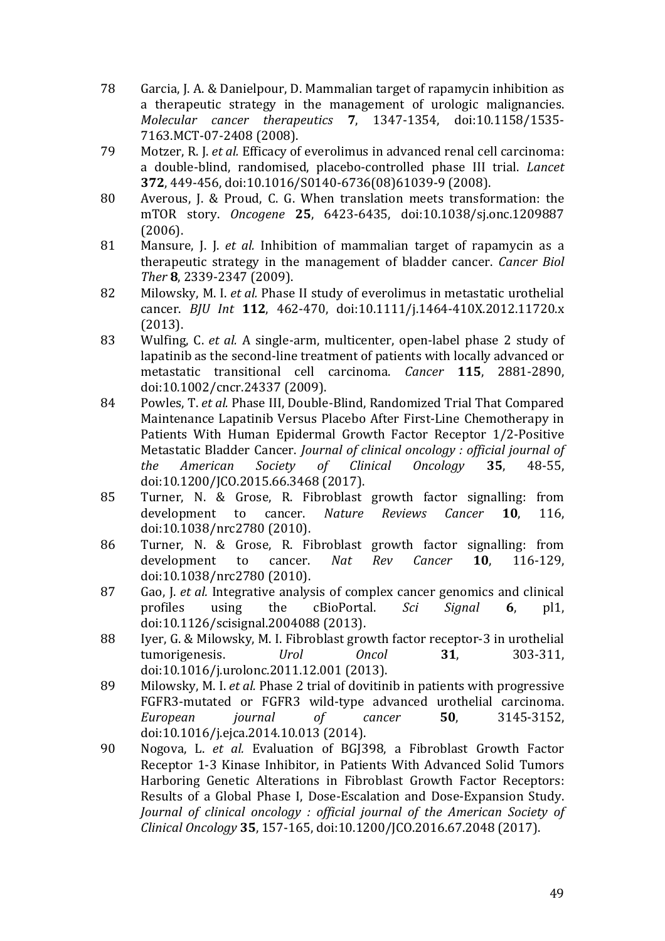- 78 Garcia, J. A. & Danielpour, D. Mammalian target of rapamycin inhibition as a therapeutic strategy in the management of urologic malignancies. *Molecular cancer therapeutics* **7**, 1347-1354, doi:10.1158/1535- 7163.MCT-07-2408 (2008).
- 79 Motzer, R. J. *et al.* Efficacy of everolimus in advanced renal cell carcinoma: a double-blind, randomised, placebo-controlled phase III trial. *Lancet* **372**, 449-456, doi:10.1016/S0140-6736(08)61039-9 (2008).
- 80 Averous, J. & Proud, C. G. When translation meets transformation: the mTOR story. *Oncogene* **25**, 6423-6435, doi:10.1038/sj.onc.1209887 (2006).
- 81 Mansure, J. J. *et al.* Inhibition of mammalian target of rapamycin as a therapeutic strategy in the management of bladder cancer. *Cancer Biol Ther* **8**, 2339-2347 (2009).
- 82 Milowsky, M. I. *et al.* Phase II study of everolimus in metastatic urothelial cancer. *BJU Int* **112**, 462-470, doi:10.1111/j.1464-410X.2012.11720.x (2013).
- 83 Wulfing, C. *et al.* A single-arm, multicenter, open-label phase 2 study of lapatinib as the second-line treatment of patients with locally advanced or metastatic transitional cell carcinoma. *Cancer* **115**, 2881-2890, doi:10.1002/cncr.24337 (2009).
- 84 Powles, T. *et al.* Phase III, Double-Blind, Randomized Trial That Compared Maintenance Lapatinib Versus Placebo After First-Line Chemotherapy in Patients With Human Epidermal Growth Factor Receptor 1/2-Positive Metastatic Bladder Cancer. *Journal of clinical oncology : official journal of the American Society of Clinical Oncology* **35**, 48-55, doi:10.1200/JCO.2015.66.3468 (2017).
- 85 Turner, N. & Grose, R. Fibroblast growth factor signalling: from development to cancer. *Nature Reviews Cancer* **10**, 116, doi:10.1038/nrc2780 (2010).
- 86 Turner, N. & Grose, R. Fibroblast growth factor signalling: from development to cancer. *Nat Rev Cancer* **10**, 116-129, doi:10.1038/nrc2780 (2010).
- 87 Gao, J. *et al.* Integrative analysis of complex cancer genomics and clinical profiles using the cBioPortal. *Sci Signal* **6**, pl1, doi:10.1126/scisignal.2004088 (2013).
- 88 Iver, G. & Milowsky, M. I. Fibroblast growth factor receptor-3 in urothelial tumorigenesis. *Urol Oncol* **31**, 303-311, doi:10.1016/j.urolonc.2011.12.001 (2013).
- 89 Milowsky, M. I. *et al.* Phase 2 trial of dovitinib in patients with progressive FGFR3-mutated or FGFR3 wild-type advanced urothelial carcinoma. *European journal of cancer* **50**, 3145-3152, doi:10.1016/j.ejca.2014.10.013 (2014).
- 90 Nogova, L. *et al.* Evaluation of BGJ398, a Fibroblast Growth Factor Receptor 1-3 Kinase Inhibitor, in Patients With Advanced Solid Tumors Harboring Genetic Alterations in Fibroblast Growth Factor Receptors: Results of a Global Phase I, Dose-Escalation and Dose-Expansion Study. *Journal of clinical oncology : official journal of the American Society of Clinical Oncology* **35**, 157-165, doi:10.1200/JCO.2016.67.2048 (2017).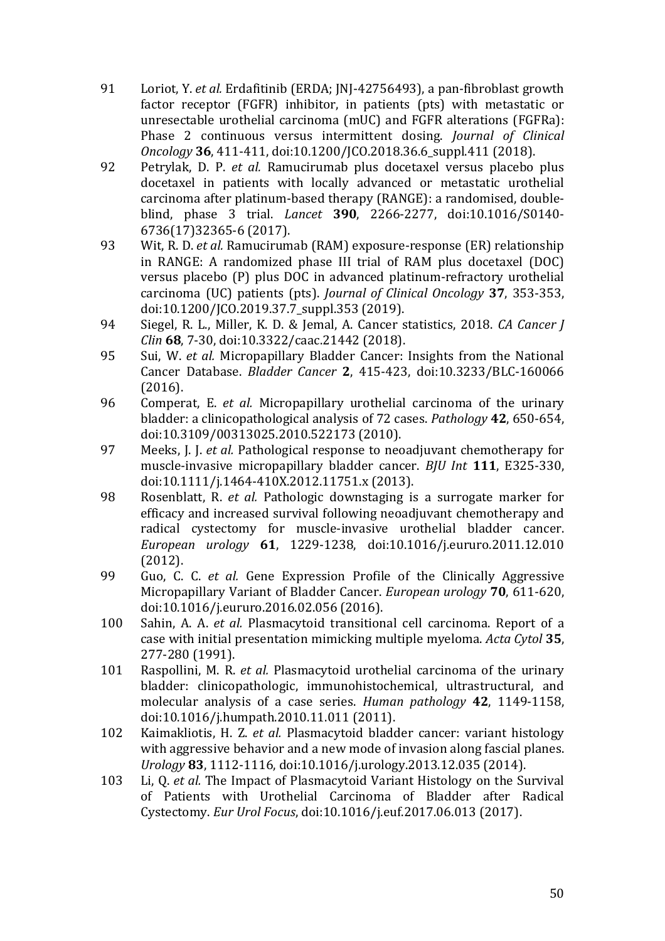- 91 Loriot, Y. *et al.* Erdafitinib (ERDA; JNJ-42756493), a pan-fibroblast growth factor receptor (FGFR) inhibitor, in patients (pts) with metastatic or unresectable urothelial carcinoma (mUC) and FGFR alterations (FGFRa): Phase 2 continuous versus intermittent dosing. *Journal of Clinical Oncology* **36**, 411-411, doi:10.1200/JCO.2018.36.6\_suppl.411 (2018).
- 92 Petrylak, D. P. *et al.* Ramucirumab plus docetaxel versus placebo plus docetaxel in patients with locally advanced or metastatic urothelial carcinoma after platinum-based therapy (RANGE): a randomised, doubleblind, phase 3 trial. *Lancet* **390**, 2266-2277, doi:10.1016/S0140- 6736(17)32365-6 (2017).
- 93 Wit, R. D. *et al.* Ramucirumab (RAM) exposure-response (ER) relationship in RANGE: A randomized phase III trial of RAM plus docetaxel (DOC) versus placebo (P) plus DOC in advanced platinum-refractory urothelial carcinoma (UC) patients (pts). *Journal of Clinical Oncology* **37**, 353-353, doi:10.1200/JCO.2019.37.7\_suppl.353 (2019).
- 94 Siegel, R. L., Miller, K. D. & Iemal, A. Cancer statistics, 2018. *CA Cancer I Clin* **68**, 7-30, doi:10.3322/caac.21442 (2018).
- 95 Sui, W. *et al.* Micropapillary Bladder Cancer: Insights from the National Cancer Database. *Bladder Cancer* **2**, 415-423, doi:10.3233/BLC-160066 (2016).
- 96 Comperat, E. *et al.* Micropapillary urothelial carcinoma of the urinary bladder: a clinicopathological analysis of 72 cases. *Pathology* **42**, 650-654, doi:10.3109/00313025.2010.522173 (2010).
- 97 Meeks, J. J. *et al.* Pathological response to neoadjuvant chemotherapy for muscle-invasive micropapillary bladder cancer. *BJU Int* 111, E325-330, doi:10.1111/j.1464-410X.2012.11751.x (2013).
- 98 Rosenblatt, R. *et al.* Pathologic downstaging is a surrogate marker for efficacy and increased survival following neoadjuvant chemotherapy and radical cystectomy for muscle-invasive urothelial bladder cancer. *European urology* **61**, 1229-1238, doi:10.1016/j.eururo.2011.12.010 (2012).
- 99 Guo, C. C. *et al.* Gene Expression Profile of the Clinically Aggressive Micropapillary Variant of Bladder Cancer. *European urology* **70**, 611-620, doi:10.1016/j.eururo.2016.02.056 (2016).
- 100 Sahin, A. A. *et al.* Plasmacytoid transitional cell carcinoma. Report of a case with initial presentation mimicking multiple myeloma. *Acta Cytol* 35, 277-280 (1991).
- 101 Raspollini, M. R. *et al.* Plasmacytoid urothelial carcinoma of the urinary bladder: clinicopathologic, immunohistochemical, ultrastructural, and molecular analysis of a case series. *Human pathology* 42, 1149-1158, doi:10.1016/j.humpath.2010.11.011 (2011).
- 102 Kaimakliotis, H. Z. *et al.* Plasmacytoid bladder cancer: variant histology with aggressive behavior and a new mode of invasion along fascial planes. *Urology* **83**, 1112-1116, doi:10.1016/j.urology.2013.12.035 (2014).
- 103 Li, O. *et al.* The Impact of Plasmacytoid Variant Histology on the Survival of Patients with Urothelial Carcinoma of Bladder after Radical Cystectomy. *Eur Urol Focus*, doi:10.1016/j.euf.2017.06.013 (2017).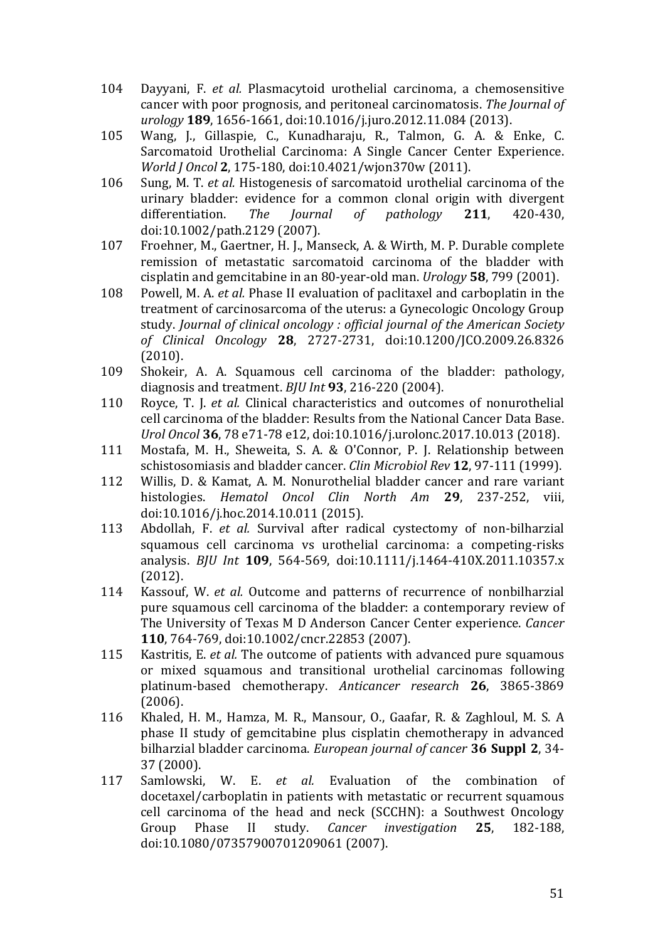- 104 Dayyani, F. *et al.* Plasmacytoid urothelial carcinoma, a chemosensitive cancer with poor prognosis, and peritoneal carcinomatosis. The *Journal of urology* 189, 1656-1661, doi:10.1016/j.juro.2012.11.084 (2013).
- 105 Wang, J., Gillaspie, C., Kunadharaju, R., Talmon, G. A. & Enke, C. Sarcomatoid Urothelial Carcinoma: A Single Cancer Center Experience. *World J Oncol* 2, 175-180, doi:10.4021/wjon370w (2011).
- 106 Sung, M. T. *et al.* Histogenesis of sarcomatoid urothelial carcinoma of the urinary bladder: evidence for a common clonal origin with divergent differentiation. *The Journal of pathology* **211**, 420-430, doi:10.1002/path.2129 (2007).
- 107 Froehner, M., Gaertner, H. J., Manseck, A. & Wirth, M. P. Durable complete remission of metastatic sarcomatoid carcinoma of the bladder with cisplatin and gemcitabine in an 80-year-old man. *Urology* **58**, 799 (2001).
- 108 Powell, M. A. *et al.* Phase II evaluation of paclitaxel and carboplatin in the treatment of carcinosarcoma of the uterus: a Gynecologic Oncology Group study. *Journal of clinical oncology : official iournal of the American Society of Clinical Oncology* **28**, 2727-2731, doi:10.1200/JCO.2009.26.8326 (2010).
- 109 Shokeir, A. A. Squamous cell carcinoma of the bladder: pathology, diagnosis and treatment. *BJU Int* 93, 216-220 (2004).
- 110 Royce, T. J. *et al.* Clinical characteristics and outcomes of nonurothelial cell carcinoma of the bladder: Results from the National Cancer Data Base. *Urol Oncol* **36**, 78 e71-78 e12, doi:10.1016/j.urolonc.2017.10.013 (2018).
- 111 Mostafa, M. H., Sheweita, S. A. & O'Connor, P. J. Relationship between schistosomiasis and bladder cancer. *Clin Microbiol Rev* 12, 97-111 (1999).
- 112 Willis, D. & Kamat, A. M. Nonurothelial bladder cancer and rare variant histologies. *Hematol Oncol Clin North Am* **29**, 237-252, viii, doi:10.1016/j.hoc.2014.10.011 (2015).
- 113 Abdollah, F. *et al.* Survival after radical cystectomy of non-bilharzial squamous cell carcinoma vs urothelial carcinoma: a competing-risks analysis. *BJU Int* **109**, 564-569, doi:10.1111/j.1464-410X.2011.10357.x (2012).
- 114 Kassouf, W. *et al.* Outcome and patterns of recurrence of nonbilharzial pure squamous cell carcinoma of the bladder: a contemporary review of The University of Texas M D Anderson Cancer Center experience. *Cancer* **110**, 764-769, doi:10.1002/cncr.22853 (2007).
- 115 Kastritis, E. *et al.* The outcome of patients with advanced pure squamous or mixed squamous and transitional urothelial carcinomas following platinum-based chemotherapy. *Anticancer research* **26**, 3865-3869 (2006).
- 116 Khaled, H. M., Hamza, M. R., Mansour, O., Gaafar, R. & Zaghloul, M. S. A phase II study of gemcitabine plus cisplatin chemotherapy in advanced bilharzial bladder carcinoma. *European journal of cancer* 36 Suppl 2, 34-37 (2000).
- 117 Samlowski, W. E. *et al.* Evaluation of the combination of docetaxel/carboplatin in patients with metastatic or recurrent squamous cell carcinoma of the head and neck (SCCHN): a Southwest Oncology Group Phase II study. *Cancer investigation* **25**, 182-188, doi:10.1080/07357900701209061 (2007).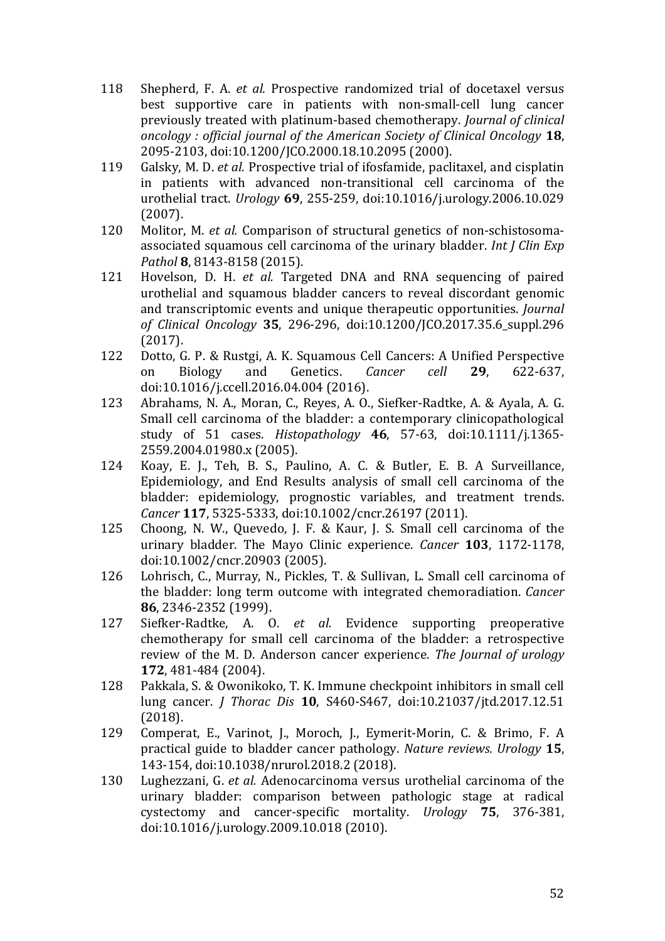- 118 Shepherd, F. A. *et al.* Prospective randomized trial of docetaxel versus best supportive care in patients with non-small-cell lung cancer previously treated with platinum-based chemotherapy. *Journal of clinical oncology* : *official journal of the American Society of Clinical Oncology* 18, 2095-2103, doi:10.1200/JCO.2000.18.10.2095 (2000).
- 119 Galsky, M. D. *et al.* Prospective trial of ifosfamide, paclitaxel, and cisplatin in patients with advanced non-transitional cell carcinoma of the urothelial tract. *Urology* **69**, 255-259, doi:10.1016/j.urology.2006.10.029 (2007).
- 120 Molitor, M. *et al.* Comparison of structural genetics of non-schistosomaassociated squamous cell carcinoma of the urinary bladder. *Int J Clin Exp Pathol* **8**, 8143-8158 (2015).
- 121 Hovelson, D. H. *et al.* Targeted DNA and RNA sequencing of paired urothelial and squamous bladder cancers to reveal discordant genomic and transcriptomic events and unique therapeutic opportunities. *Journal of Clinical Oncology* **35**, 296-296, doi:10.1200/JCO.2017.35.6\_suppl.296 (2017).
- 122 Dotto, G. P. & Rustgi, A. K. Squamous Cell Cancers: A Unified Perspective on Biology and Genetics. *Cancer cell* **29**, 622-637, doi:10.1016/j.ccell.2016.04.004 (2016).
- 123 Abrahams, N. A., Moran, C., Reyes, A. O., Siefker-Radtke, A. & Ayala, A. G. Small cell carcinoma of the bladder: a contemporary clinicopathological study of 51 cases. *Histopathology* **46**, 57-63, doi:10.1111/j.1365- 2559.2004.01980.x (2005).
- 124 Koay, E. J., Teh, B. S., Paulino, A. C. & Butler, E. B. A Surveillance, Epidemiology, and End Results analysis of small cell carcinoma of the bladder: epidemiology, prognostic variables, and treatment trends. *Cancer* **117**, 5325-5333, doi:10.1002/cncr.26197 (2011).
- 125 Choong, N. W., Quevedo, J. F. & Kaur, J. S. Small cell carcinoma of the urinary bladder. The Mayo Clinic experience. *Cancer* **103**, 1172-1178, doi:10.1002/cncr.20903 (2005).
- 126 Lohrisch, C., Murray, N., Pickles, T. & Sullivan, L. Small cell carcinoma of the bladder: long term outcome with integrated chemoradiation. *Cancer* 86, 2346-2352 (1999).
- 127 Siefker-Radtke, A. O. *et al.* Evidence supporting preoperative chemotherapy for small cell carcinoma of the bladder: a retrospective review of the M. D. Anderson cancer experience. The *Journal of urology* **172**, 481-484 (2004).
- 128 Pakkala, S. & Owonikoko, T. K. Immune checkpoint inhibitors in small cell lung cancer. *J Thorac Dis* **10**, S460-S467, doi:10.21037/jtd.2017.12.51 (2018).
- 129 Comperat, E., Varinot, J., Moroch, J., Eymerit-Morin, C. & Brimo, F. A practical guide to bladder cancer pathology. *Nature reviews. Urology* **15**, 143-154, doi:10.1038/nrurol.2018.2 (2018).
- 130 Lughezzani, G. *et al.* Adenocarcinoma versus urothelial carcinoma of the urinary bladder: comparison between pathologic stage at radical cystectomy and cancer-specific mortality. *Urology* **75**, 376-381, doi:10.1016/j.urology.2009.10.018 (2010).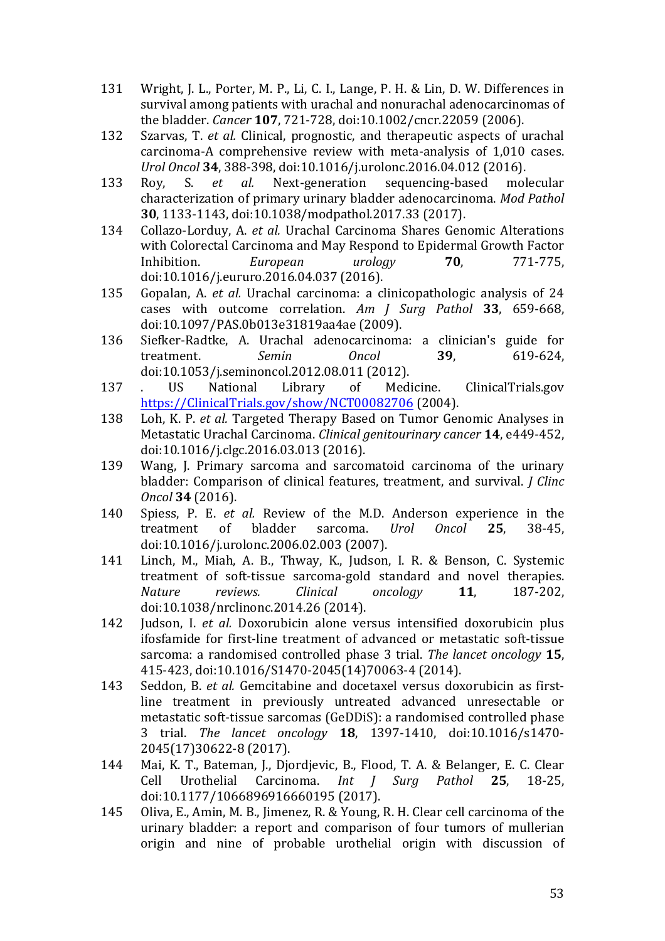- 131 Wright, J. L., Porter, M. P., Li, C. I., Lange, P. H. & Lin, D. W. Differences in survival among patients with urachal and nonurachal adenocarcinomas of the bladder. *Cancer* **107**, 721-728, doi:10.1002/cncr.22059 (2006).
- 132 Szarvas, T. *et al.* Clinical, prognostic, and therapeutic aspects of urachal carcinoma-A comprehensive review with meta-analysis of 1,010 cases. *Urol Oncol* **34**, 388-398, doi:10.1016/j.urolonc.2016.04.012 (2016).
- 133 Roy, S. *et al.* Next-generation sequencing-based molecular characterization of primary urinary bladder adenocarcinoma. *Mod Pathol* **30**, 1133-1143, doi:10.1038/modpathol.2017.33 (2017).
- 134 Collazo-Lorduy, A. *et al.* Urachal Carcinoma Shares Genomic Alterations with Colorectal Carcinoma and May Respond to Epidermal Growth Factor Inhibition. *European urology* **70**, 771-775, doi:10.1016/j.eururo.2016.04.037 (2016).
- 135 Gopalan, A. *et al.* Urachal carcinoma: a clinicopathologic analysis of 24 cases with outcome correlation. Am J Surg Pathol 33, 659-668, doi:10.1097/PAS.0b013e31819aa4ae (2009).
- 136 Siefker-Radtke, A. Urachal adenocarcinoma: a clinician's guide for treatment. *Semin Oncol* **39**, 619-624, doi:10.1053/j.seminoncol.2012.08.011 (2012).
- 137 . US National Library of Medicine. ClinicalTrials.gov https://ClinicalTrials.gov/show/NCT00082706 (2004).
- 138 Loh, K. P. *et al.* Targeted Therapy Based on Tumor Genomic Analyses in Metastatic Urachal Carcinoma. *Clinical genitourinary cancer* **14**, e449-452, doi:10.1016/j.clgc.2016.03.013 (2016).
- 139 Wang, J. Primary sarcoma and sarcomatoid carcinoma of the urinary bladder: Comparison of clinical features, treatment, and survival. *J Clinc Oncol* **34** (2016).
- 140 Spiess, P. E. *et al.* Review of the M.D. Anderson experience in the treatment of bladder sarcoma. *Urol Oncol* **25**, 38-45, doi:10.1016/j.urolonc.2006.02.003 (2007).
- 141 Linch, M., Miah, A. B., Thway, K., Judson, I. R. & Benson, C. Systemic treatment of soft-tissue sarcoma-gold standard and novel therapies. *Nature reviews. Clinical oncology* **11**, 187-202, doi:10.1038/nrclinonc.2014.26 (2014).
- 142 Judson, I. *et al.* Doxorubicin alone versus intensified doxorubicin plus ifosfamide for first-line treatment of advanced or metastatic soft-tissue sarcoma: a randomised controlled phase 3 trial. *The lancet oncology* 15, 415-423, doi:10.1016/S1470-2045(14)70063-4 (2014).
- 143 Seddon, B. *et al.* Gemcitabine and docetaxel versus doxorubicin as firstline treatment in previously untreated advanced unresectable or metastatic soft-tissue sarcomas (GeDDiS): a randomised controlled phase 3 trial. *The lancet oncology* **18**, 1397-1410, doi:10.1016/s1470- 2045(17)30622-8 (2017).
- 144 Mai, K. T., Bateman, J., Djordjevic, B., Flood, T. A. & Belanger, E. C. Clear Cell Urothelial Carcinoma. *Int J Surg Pathol* **25**, 18-25, doi:10.1177/1066896916660195 (2017).
- 145 Oliva, E., Amin, M. B., Jimenez, R. & Young, R. H. Clear cell carcinoma of the urinary bladder: a report and comparison of four tumors of mullerian origin and nine of probable urothelial origin with discussion of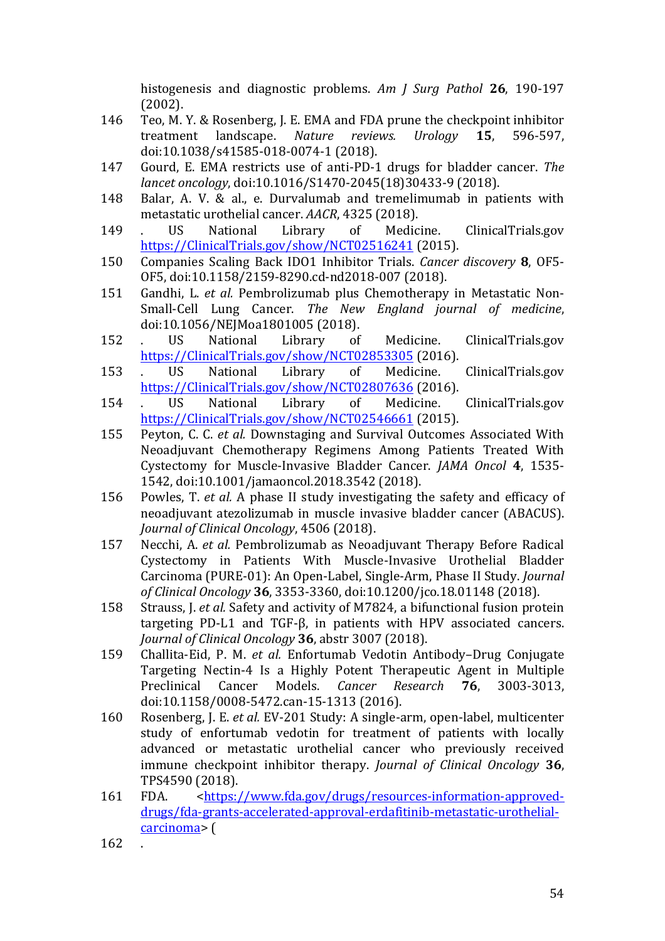histogenesis and diagnostic problems. Am *J* Surg Pathol 26, 190-197 (2002).

- 146 Teo, M. Y. & Rosenberg, J. E. EMA and FDA prune the checkpoint inhibitor treatment landscape. *Nature reviews. Urology* **15**, 596-597, doi:10.1038/s41585-018-0074-1 (2018).
- 147 Gourd, E. EMA restricts use of anti-PD-1 drugs for bladder cancer. *The lancet oncology*, doi:10.1016/S1470-2045(18)30433-9 (2018).
- 148 Balar, A. V. & al., e. Durvalumab and tremelimumab in patients with metastatic urothelial cancer. *AACR*, 4325 (2018).
- 149 . US National Library of Medicine. ClinicalTrials.gov https://ClinicalTrials.gov/show/NCT02516241 (2015).
- 150 Companies Scaling Back IDO1 Inhibitor Trials. *Cancer discovery* **8**, OF5- OF5, doi:10.1158/2159-8290.cd-nd2018-007 (2018).
- 151 Gandhi, L. *et al.* Pembrolizumab plus Chemotherapy in Metastatic Non-Small-Cell Lung Cancer. The New England journal of medicine, doi:10.1056/NEJMoa1801005 (2018).
- 152 . US National Library of Medicine. ClinicalTrials.gov https://ClinicalTrials.gov/show/NCT02853305 (2016).
- 153 . US National Library of Medicine. ClinicalTrials.gov https://ClinicalTrials.gov/show/NCT02807636 (2016).
- 154 . US National Library of Medicine. ClinicalTrials.gov https://ClinicalTrials.gov/show/NCT02546661 (2015).
- 155 Peyton, C. C. *et al.* Downstaging and Survival Outcomes Associated With Neoadjuvant Chemotherapy Regimens Among Patients Treated With Cystectomy for Muscle-Invasive Bladder Cancer. *JAMA Oncol* 4, 1535-1542, doi:10.1001/jamaoncol.2018.3542 (2018).
- 156 Powles, T. *et al.* A phase II study investigating the safety and efficacy of neoadjuvant atezolizumab in muscle invasive bladder cancer (ABACUS). *Journal of Clinical Oncology*, 4506 (2018).
- 157 Necchi, A. *et al.* Pembrolizumab as Neoadjuvant Therapy Before Radical Cystectomy in Patients With Muscle-Invasive Urothelial Bladder Carcinoma (PURE-01): An Open-Label, Single-Arm, Phase II Study. *Journal of Clinical Oncology* **36**, 3353-3360, doi:10.1200/jco.18.01148 (2018).
- 158 Strauss, J. *et al.* Safety and activity of M7824, a bifunctional fusion protein targeting PD-L1 and TGF-β, in patients with HPV associated cancers. *Journal of Clinical Oncology* **36**, abstr 3007 (2018).
- 159 Challita-Eid, P. M. *et al.* Enfortumab Vedotin Antibody–Drug Conjugate Targeting Nectin-4 Is a Highly Potent Therapeutic Agent in Multiple Preclinical Cancer Models. *Cancer Research* **76**, 3003-3013, doi:10.1158/0008-5472.can-15-1313 (2016).
- 160 Rosenberg, J. E. *et al.* EV-201 Study: A single-arm, open-label, multicenter study of enfortumab vedotin for treatment of patients with locally advanced or metastatic urothelial cancer who previously received immune checkpoint inhibitor therapy. *Journal of Clinical Oncology* 36, TPS4590 (2018).
- 161 FDA. <https://www.fda.gov/drugs/resources-information-approveddrugs/fda-grants-accelerated-approval-erdafitinib-metastatic-urothelialcarcinoma> (
- 162 .